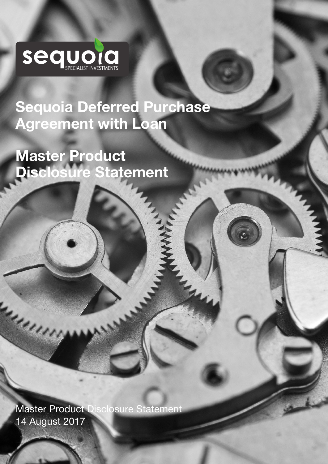

Sequoia Deferred Purchase Agreement with Loan

in In

Master Product Disclosure Statement 

Master Product Disclosure Statement 14 August 2017

**Containers**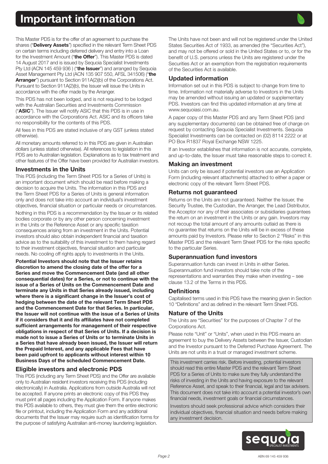

<span id="page-1-0"></span>This Master PDS is for the offer of an agreement to purchase the shares ("**Delivery Assets**") specified in the relevant Term Sheet PDS on certain terms including deferred delivery and entry into a Loan for the Investment Amount ("the Offer"). This Master PDS is dated 14 August 2017 and is issued by Sequoia Specialist Investments Pty Ltd (ACN 145 459 936) ("the Issuer") and arranged by Sequoia Asset Management Pty Ltd (ACN 135 907 550, AFSL 341506) ("the Arranger") pursuant to Section 911A(2)(b) of the Corporations Act. Pursuant to Section 911A(2)(b), the Issuer will issue the Units in accordance with the offer made by the Arranger.

This PDS has not been lodged, and is not required to be lodged with the Australian Securities and Investments Commission ("ASIC"). The Issuer will notify ASIC that this PDS is in use in accordance with the Corporations Act. ASIC and its officers take no responsibility for the contents of this PDS.

All fees in this PDS are stated inclusive of any GST (unless stated otherwise).

All monetary amounts referred to in this PDS are given in Australian dollars (unless stated otherwise). All references to legislation in this PDS are to Australian legislation. Explanations as to tax treatment and other features of the Offer have been provided for Australian investors.

#### Investments in the Units

This PDS (including the Term Sheet PDS for a Series of Units) is an important document which should be read before making a decision to acquire the Units. The information in this PDS and the Term Sheet PDS for a Series of Units is general information only and does not take into account an individual's investment objectives, financial situation or particular needs or circumstances.

Nothing in this PDS is a recommendation by the Issuer or its related bodies corporate or by any other person concerning investment in the Units or the Reference Asset or any specific taxation consequences arising from an investment in the Units. Potential investors should also obtain independent financial and taxation advice as to the suitability of this investment to them having regard to their investment objectives, financial situation and particular needs. No cooling off rights apply to investments in the Units.

Potential Investors should note that the Issuer retains discretion to amend the closing date of the offer for a Series and move the Commencement Date (and all other consequential dates) for a Series, or not to continue with the issue of a Series of Units on the Commencement Date and terminate any Units in that Series already issued, including where there is a significant change in the Issuer's cost of hedging between the date of the relevant Term Sheet PDS and the Commencement Date for that Series. In particular, the Issuer will not continue with the issue of a Series of Units if it considers that it and its affiliates have not completed sufficient arrangements for management of their respective obligations in respect of that Series of Units. If a decision is made not to issue a Series of Units or to terminate Units in a Series that have already been issued, the Issuer will return the Prepaid Interest, and any applicable Fees that have been paid upfront to applicants without interest within 10 Business Days of the scheduled Commencement Date.

## Eligible investors and electronic PDS

This PDS (including any Term Sheet PDS) and the Offer are available only to Australian resident investors receiving this PDS (including electronically) in Australia. Applications from outside Australia will not be accepted. If anyone prints an electronic copy of this PDS they must print all pages including the Application Form. If anyone makes this PDS available to others, they must give them the entire electronic file or printout, including the Application Form and any additional documents that the Issuer may require such as identification forms for the purpose of satisfying Australian anti-money laundering legislation.

The Units have not been and will not be registered under the United States Securities Act of 1933, as amended (the "Securities Act"), and may not be offered or sold in the United States or to, or for the benefit of U.S. persons unless the Units are registered under the Securities Act or an exemption from the registration requirements of the Securities Act is available.

## Updated information

Information set out in this PDS is subject to change from time to time. Information not materially adverse to Investors in the Units may be amended without issuing an updated or supplementary PDS. Investors can find this updated information at any time at www.sequoiasi.com.au.

A paper copy of this Master PDS and any Term Sheet PDS (and any supplementary documents) can be obtained free of charge on request by contacting Sequoia Specialist Investments. Sequoia Specialist Investments can be contacted on (02) 8114 2222 or at PO Box R1837 Royal Exchange NSW 1225.

If an Investor establishes that information is not accurate, complete, and up-to-date, the Issuer must take reasonable steps to correct it.

#### Making an investment

Units can only be issued if potential investors use an Application Form (including relevant attachments) attached to either a paper or electronic copy of the relevant Term Sheet PDS.

#### Returns not guaranteed

Returns on the Units are not guaranteed. Neither the Issuer, the Security Trustee, the Custodian, the Arranger, the Lead Distributor, the Acceptor nor any of their associates or subsidiaries guarantees the return on an investment in the Units or any gain. Investors may not recoup the total amount of any amounts outlaid as there is no guarantee that returns on the Units will be in excess of these amounts paid by Investors. Please refer to Section 2 "Risks" in this Master PDS and the relevant Term Sheet PDS for the risks specific to the particular Series.

#### Superannuation fund investors

Superannuation funds can invest in Units in either Series. Superannuation fund investors should take note of the representations and warranties they make when investing – see clause 13.2 of the Terms in this PDS.

#### **Definitions**

Capitalised terms used in this PDS have the meaning given in Section 10 "Definitions" and as defined in the relevant Term Sheet PDS.

#### Nature of the Units

The Units are "Securities" for the purposes of Chapter 7 of the Corporations Act.

Please note "Unit" or "Units", when used in this PDS means an agreement to buy the Delivery Assets between the Issuer, Custodian and the Investor pursuant to the Deferred Purchase Agreement. The Units are not units in a trust or managed investment scheme.

This investment carries risk. Before investing, potential investors should read this entire Master PDS and the relevant Term Sheet PDS for a Series of Units to make sure they fully understand the risks of investing in the Units and having exposure to the relevant Reference Asset, and speak to their financial, legal and tax advisers. This document does not take into account a potential investor's own financial needs, investment goals or financial circumstances.

Investors should seek professional advice which considers their individual objectives, financial situation and needs before making any investment decision.

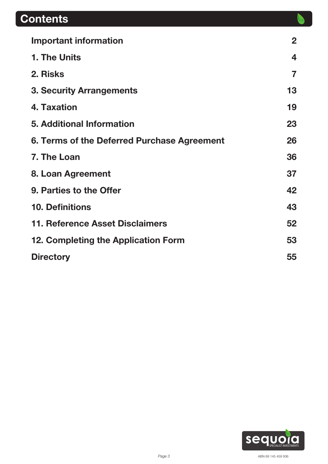# **Contents**

| <b>Important information</b>                | $\mathbf{2}$ |
|---------------------------------------------|--------------|
| 1. The Units                                | 4            |
| 2. Risks                                    |              |
| <b>3. Security Arrangements</b>             | 13           |
| 4. Taxation                                 | 19           |
| <b>5. Additional Information</b>            | 23           |
| 6. Terms of the Deferred Purchase Agreement | 26           |
| 7. The Loan                                 | 36           |
| 8. Loan Agreement                           | 37           |
| 9. Parties to the Offer                     | 42           |
| <b>10. Definitions</b>                      | 43           |
| 11. Reference Asset Disclaimers             | 52           |
| 12. Completing the Application Form         | 53           |
| <b>Directory</b>                            | 55           |

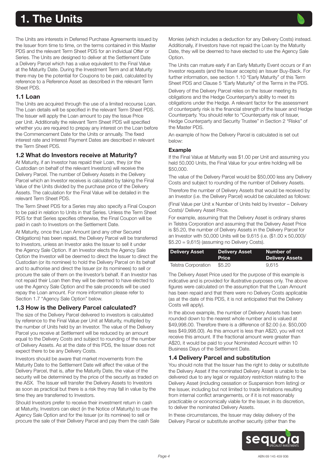# <span id="page-3-0"></span>1. The Units

The Units are interests in Deferred Purchase Agreements issued by the Issuer from time to time, on the terms contained in this Master PDS and the relevant Term Sheet PDS for an individual Offer or Series. The Units are designed to deliver at the Settlement Date a Delivery Parcel which has a value equivalent to the Final Value at the Maturity Date. During the Investment Term and at Maturity there may be the potential for Coupons to be paid, calculated by reference to a Reference Asset as described in the relevant Term Sheet PDS.

## 1.1 Loan

The Units are acquired through the use of a limited recourse Loan. The Loan details will be specified in the relevant Term Sheet PDS. The Issuer will apply the Loan amount to pay the Issue Price per Unit. Additionally the relevant Term Sheet PDS will specified whether you are required to prepay any interest on the Loan before the Commencement Date for the Units or annually. The fixed interest rate and Interest Payment Dates are described in relevant the Term Sheet PDS.

## 1.2 What do Investors receive at Maturity?

At Maturity, if an Investor has repaid their Loan, they (or the Custodian on behalf of the relevant Investors) will receive the Delivery Parcel. The number of Delivery Assets in the Delivery Parcel which an Investor receives is calculated by taking the Final Value of the Units divided by the purchase price of the Delivery Assets. The calculation for the Final Value will be detailed in the relevant Term Sheet PDS.

The Term Sheet PDS for a Series may also specify a Final Coupon to be paid in relation to Units in that Series. Unless the Term Sheet PDS for that Series specifies otherwise, the Final Coupon will be paid in cash to Investors on the Settlement Date.

At Maturity, once the Loan Amount (and any other Secured Obligations) has been repaid, the Delivery Parcel will be transferred to Investors, unless an Investor asks the Issuer to sell it under the Agency Sale Option. If an Investor elects the Agency Sale Option the Investor will be deemed to direct the Issuer to direct the Custodian (or its nominee) to hold the Delivery Parcel on its behalf and to authorise and direct the Issuer (or its nominees) to sell or procure the sale of them on the Investor's behalf. If an Investor has not repaid their Loan then they will be deemed to have elected to use the Agency Sale Option and the sale proceeds will be used repay the Loan amount. For more information please refer to Section 1.7 "Agency Sale Option" below.

#### 1.3 How is the Delivery Parcel calculated?

The size of the Delivery Parcel delivered to investors is calculated by reference to the Final Value per Unit at Maturity, multiplied by the number of Units held by an Investor. The value of the Delivery Parcel you receive at Settlement will be reduced by an amount equal to the Delivery Costs and subject to rounding of the number of Delivery Assets. As at the date of this PDS, the Issuer does not expect there to be any Delivery Costs.

Investors should be aware that market movements from the Maturity Date to the Settlement Date will affect the value of the Delivery Parcel, that is, after the Maturity Date, the value of the security will be determined by the price of the security as traded on the ASX. The Issuer will transfer the Delivery Assets to Investors as soon as practical but there is a risk they may fall in value by the time they are transferred to Investors.

Should Investors prefer to receive their investment return in cash at Maturity, Investors can elect (in the Notice of Maturity) to use the Agency Sale Option and for the Issuer (or its nominee) to sell or procure the sale of their Delivery Parcel and pay them the cash Sale Monies (which includes a deduction for any Delivery Costs) instead. Additionally, if Investors have not repaid the Loan by the Maturity Date, they will be deemed to have elected to use the Agency Sale Option.

The Units can mature early if an Early Maturity Event occurs or if an Investor requests (and the Issuer accepts) an Issuer Buy-Back. For further information, see section 1.10 "Early Maturity" of this Term Sheet PDS and Clause 5 "Early Maturity" of the Terms in the PDS.

Delivery of the Delivery Parcel relies on the Issuer meeting its obligations and the Hedge Counterparty's ability to meet its obligations under the Hedge. A relevant factor for the assessment of counterparty risk is the financial strength of the Issuer and Hedge Counterparty. You should refer to "Counterparty risk of Issuer, Hedge Counterparty and Security Trustee" in Section 2 "Risks" of the Master PDS.

An example of how the Delivery Parcel is calculated is set out below:

## Example

If the Final Value at Maturity was \$1.00 per Unit and assuming you held 50,000 Units, the Final Value for your entire holding will be \$50,000.

The value of the Delivery Parcel would be \$50,000 less any Delivery Costs and subject to rounding of the number of Delivery Assets.

Therefore the number of Delivery Assets that would be received by an Investor (i.e. the Delivery Parcel) would be calculated as follows: (Final Value per Unit x Number of Units held by Investor – Delivery Costs)/ Delivery Asset Price.

For example, assuming that the Delivery Asset is ordinary shares in Telstra Corporation and assuming that the Delivery Asset Price is \$5.20, the number of Delivery Assets in the Delivery Parcel for an Investor with 50,000 Units will be 9,615 (i.e. (\$1.00 x 50,000)/  $$5.20 = 9,615$  (assuming no Delivery Costs).

| <b>Delivery Asset</b> | <b>Delivery Asset</b><br><b>Price</b> | Number of <b>N</b><br><b>Delivery Assets</b> |
|-----------------------|---------------------------------------|----------------------------------------------|
| Telstra Corporation   | \$5.20                                | 9.615                                        |

The Delivery Asset Price used for the purpose of this example is indicative and is provided for illustrative purposes only. The above figures were calculated on the assumption that the Loan Amount has been repaid and that there were no Delivery Costs applicable (as at the date of this PDS, it is not anticipated that the Delivery Costs will apply).

In the above example, the number of Delivery Assets has been rounded down to the nearest whole number and is valued at \$49,998.00. Therefore there is a difference of \$2.00 (i.e. \$50,000 less \$49,998.00). As this amount is less than A\$20, you will not receive this amount. If the fractional amount were greater than A\$20, it would be paid to your Nominated Account within 10 Business Days of the Settlement Date.

## 1.4 Delivery Parcel and substitution

You should note that the Issuer has the right to delay or substitute the Delivery Asset if the nominated Delivery Asset is unable to be delivered due to any legal or regulatory restriction relating to the Delivery Asset (including cessation or Suspension from listing) or the Issuer, including but not limited to trade limitations resulting from internal conflict arrangements, or if it is not reasonably practicable or economically viable for the Issuer, in its discretion, to deliver the nominated Delivery Assets.

In these circumstances, the Issuer may delay delivery of the Delivery Parcel or substitute another security (other than the

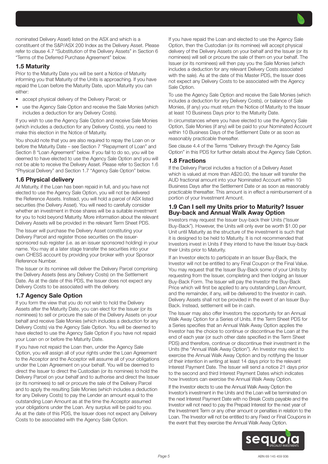nominated Delivery Asset) listed on the ASX and which is a constituent of the S&P/ASX 200 Index as the Delivery Asset. Please refer to clause 4.7 "Substitution of the Delivery Assets" in Section 6 "Terms of the Deferred Purchase Agreement" below.

### 1.5 Maturity

Prior to the Maturity Date you will be sent a Notice of Maturity informing you that Maturity of the Units is approaching. If you have repaid the Loan before the Maturity Date, upon Maturity you can either:

- accept physical delivery of the Delivery Parcel; or
- use the Agency Sale Option and receive the Sale Monies (which includes a deduction for any Delivery Costs).

If you wish to use the Agency Sale Option and receive Sale Monies (which includes a deduction for any Delivery Costs), you need to make this election in the Notice of Maturity.

You should note that you are also required to repay the Loan on or before the Maturity Date – see Section 7 "Repayment of Loan" and Section 8 "Loan Agreement" below. If you fail to do so, you will be deemed to have elected to use the Agency Sale Option and you will not be able to receive the Delivery Asset. Please refer to Section 1.6 "Physical Delivery" and Section 1.7 "Agency Sale Option" below.

## 1.6 Physical delivery

At Maturity, if the Loan has been repaid in full, and you have not elected to use the Agency Sale Option, you will not be delivered the Reference Assets. Instead, you will hold a parcel of ASX listed securities (the Delivery Asset). You will need to carefully consider whether an investment in those shares will be a suitable investment for you to hold beyond Maturity. More information about the relevant Delivery Assets will be provided in the relevant Term Sheet PDS.

The Issuer will purchase the Delivery Asset constituting your Delivery Parcel and register those securities on the issuersponsored sub register (i.e. as an issuer sponsored holding) in your name. You may at a later stage transfer the securities into your own CHESS account by providing your broker with your Sponsor Reference Number.

The Issuer or its nominee will deliver the Delivery Parcel comprising the Delivery Assets (less any Delivery Costs) on the Settlement Date. As at the date of this PDS, the Issuer does not expect any Delivery Costs to be associated with the delivery.

## 1.7 Agency Sale Option

If you form the view that you do not wish to hold the Delivery Assets after the Maturity Date, you can elect for the Issuer (or its nominees) to sell or procure the sale of the Delivery Assets on your behalf and receive Sale Monies (which includes a deduction for any Delivery Costs) via the Agency Sale Option. You will be deemed to have elected to use the Agency Sale Option if you have not repaid your Loan on or before the Maturity Date.

If you have not repaid the Loan then, under the Agency Sale Option, you will assign all of your rights under the Loan Agreement to the Acceptor and the Acceptor will assume all of your obligations under the Loan Agreement on your behalf. You will be deemed to direct the Issuer to direct the Custodian (or its nominee) to hold the Delivery Parcel on your behalf and to authorise and direct the Issuer (or its nominees) to sell or procure the sale of the Delivery Parcel and to apply the resulting Sale Monies (which includes a deduction for any Delivery Costs) to pay the Lender an amount equal to the outstanding Loan Amount as at the time the Acceptor assumed your obligations under the Loan. Any surplus will be paid to you. As at the date of this PDS, the Issuer does not expect any Delivery Costs to be associated with the Agency Sale Option.

If you have repaid the Loan and elected to use the Agency Sale Option, then the Custodian (or its nominee) will accept physical delivery of the Delivery Assets on your behalf and the Issuer (or its nominees) will sell or procure the sale of them on your behalf. The Issuer (or its nominees) will then pay you the Sale Monies (which includes a deduction for any relevant Delivery Costs associated with the sale). As at the date of this Master PDS, the Issuer does not expect any Delivery Costs to be associated with the Agency Sale Option.

To use the Agency Sale Option and receive the Sale Monies (which includes a deduction for any Delivery Costs), or balance of Sale Monies, (if any) you must return the Notice of Maturity to the Issuer at least 10 Business Days prior to the Maturity Date.

In circumstances where you have elected to use the Agency Sale Option, Sale Monies (if any) will be paid to your Nominated Account within 10 Business Days of the Settlement Date or as soon as reasonably practicable thereafter.

See clause 4.4 of the Terms "Delivery through the Agency Sale Option" in this PDS for further details about the Agency Sale Option.

## 1.8 Fractions

If the Delivery Parcel includes a fraction of a Delivery Asset which is valued at more than A\$20.00, the Issuer will transfer the AUD fractional amount into your Nominated Account within 10 Business Days after the Settlement Date or as soon as reasonably practicable thereafter. This amount is in effect a reimbursement of a portion of your Investment Amount.

#### 1.9 Can I sell my Units prior to Maturity? Issuer Buy-back and Annual Walk Away Option

Investors may request the Issuer buy-back their Units ("Issuer Buy-Back"). However, the Units will only ever be worth \$1.00 per Unit until Maturity as the structure of the investment is such that it is designed to be held to Maturity. It is not recommended that Investors invest in Units if they intend to have the Issuer buy-back their Units prior to Maturity.

If an Investor elects to participate in an Issuer Buy-Back, the Investor will not be entitled to any Final Coupon or the Final Value. You may request that the Issuer Buy-Back some of your Units by requesting from the Issuer, completing and then lodging an Issuer Buy-Back Form. The Issuer will pay the Investor the Buy-Back Price which will first be applied to any outstanding Loan Amount, and the remainder, if any, will be delivered to the Investor in cash. Delivery Assets shall not be provided in the event of an Issuer Buy-Back. Instead, settlement will be in cash.

The Issuer may also offer Investors the opportunity for an Annual Walk Away Option for a Series of Units. If the Term Sheet PDS for a Series specifies that an Annual Walk Away Option applies the Investor has the choice to continue or discontinue the Loan at the end of each year (or such other date specified in the Term Sheet PDS) and therefore, continue or discontinue their investment in the Units (the "Annual Walk Away Option"). An Investor may elect to exercise the Annual Walk Away Option and by notifying the Issuer of their intention in writing at least 14 days prior to the relevant Interest Payment Date. The Issuer will send a notice 21 days prior to the second and third Interest Payment Dates which indicates how Investors can exercise the Annual Walk Away Option.

If the Investor elects to use the Annual Walk Away Option the Investor's investment in the Units and the Loan will be terminated on the next Interest Payment Date with no Break Costs payable and the Investor will not need to pay the Prepaid Interest for the next year of the Investment Term or any other amount or penalties in relation to the Loan. The Investor will not be entitled to any Fixed or Final Coupons in the event that they exercise the Annual Walk Away Option.

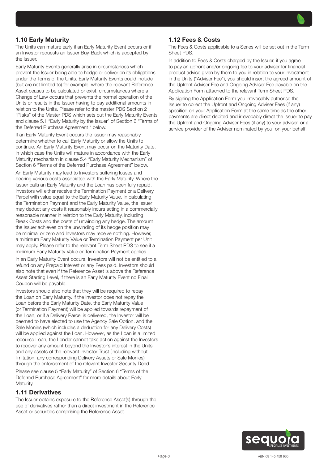

The Units can mature early if an Early Maturity Event occurs or if an Investor requests an Issuer Buy-Back which is accepted by the Issuer.

Early Maturity Events generally arise in circumstances which prevent the Issuer being able to hedge or deliver on its obligations under the Terms of the Units. Early Maturity Events could include (but are not limited to) for example, where the relevant Reference Asset ceases to be calculated or exist, circumstances where a Change of Law occurs that prevents the normal operation of the Units or results in the Issuer having to pay additional amounts in relation to the Units. Please refer to the master PDS Section 2 "Risks" of the Master PDS which sets out the Early Maturity Events and clause 5.1 "Early Maturity by the Issuer" of Section 6 "Terms of the Deferred Purchase Agreement " below.

If an Early Maturity Event occurs the Issuer may reasonably determine whether to call Early Maturity or allow the Units to continue. An Early Maturity Event may occur on the Maturity Date, in which case the Units will mature in accordance with the Early Maturity mechanism in clause 5.4 "Early Maturity Mechanism" of Section 6 "Terms of the Deferred Purchase Agreement" below.

An Early Maturity may lead to Investors suffering losses and bearing various costs associated with the Early Maturity. Where the Issuer calls an Early Maturity and the Loan has been fully repaid, Investors will either receive the Termination Payment or a Delivery Parcel with value equal to the Early Maturity Value. In calculating the Termination Payment and the Early Maturity Value, the Issuer may deduct any costs it reasonably incurs acting in a commercially reasonable manner in relation to the Early Maturity, including Break Costs and the costs of unwinding any hedge. The amount the Issuer achieves on the unwinding of its hedge position may be minimal or zero and Investors may receive nothing. However, a minimum Early Maturity Value or Termination Payment per Unit may apply. Please refer to the relevant Term Sheet PDS to see if a minimum Early Maturity Value or Termination Payment applies.

In an Early Maturity Event occurs, Investors will not be entitled to a refund on any Prepaid Interest or any Fees paid. Investors should also note that even if the Reference Asset is above the Reference Asset Starting Level, if there is an Early Maturity Event no Final Coupon will be payable.

Investors should also note that they will be required to repay the Loan on Early Maturity. If the Investor does not repay the Loan before the Early Maturity Date, the Early Maturity Value (or Termination Payment) will be applied towards repayment of the Loan, or if a Delivery Parcel is delivered, the Investor will be deemed to have elected to use the Agency Sale Option, and the Sale Monies (which includes a deduction for any Delivery Costs) will be applied against the Loan. However, as the Loan is a limited recourse Loan, the Lender cannot take action against the Investors to recover any amount beyond the Investor's interest in the Units and any assets of the relevant Investor Trust (including without limitation, any corresponding Delivery Assets or Sale Monies) through the enforcement of the relevant Investor Security Deed. Please see clause 5 "Early Maturity" of Section 6 "Terms of the

Deferred Purchase Agreement" for more details about Early Maturity.

## 1.11 Derivatives

The Issuer obtains exposure to the Reference Asset(s) through the use of derivatives rather than a direct investment in the Reference Asset or securities comprising the Reference Asset.

# 1.12 Fees & Costs

The Fees & Costs applicable to a Series will be set out in the Term Sheet PDS.

In addition to Fees & Costs charged by the Issuer, if you agree to pay an upfront and/or ongoing fee to your adviser for financial product advice given by them to you in relation to your investment in the Units ("Adviser Fee"), you should insert the agreed amount of the Upfront Adviser Fee and Ongoing Adviser Fee payable on the Application Form attached to the relevant Term Sheet PDS.

By signing the Application Form you irrevocably authorise the Issuer to collect the Upfront and Ongoing Adviser Fees (if any) specified on your Application Form at the same time as the other payments are direct debited and irrevocably direct the Issuer to pay the Upfront and Ongoing Adviser Fees (if any) to your adviser, or a service provider of the Adviser nominated by you, on your behalf.

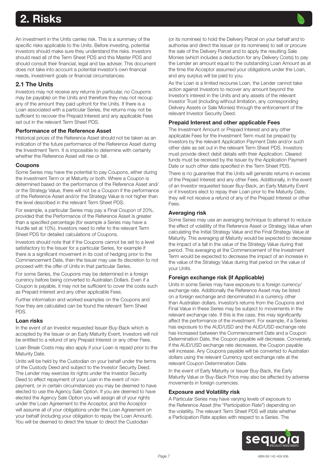# <span id="page-6-0"></span>2. Risks

An investment in the Units carries risk. This is a summary of the specific risks applicable to the Units. Before investing, potential investors should make sure they understand the risks. Investors should read all of the Term Sheet PDS and this Master PDS and should consult their financial, legal and tax adviser. This document does not take into account a potential investor's own financial needs, investment goals or financial circumstances.

## 2.1 The Units

Investors may not receive any returns (in particular, no Coupons may be payable) on the Units and therefore they may not recoup any of the amount they paid upfront for the Units. If there is a Loan associated with a particular Series, the returns may not be sufficient to recover the Prepaid Interest and any applicable Fees set out in the relevant Term Sheet PDS.

#### Performance of the Reference Asset

Historical prices of the Reference Asset should not be taken as an indication of the future performance of the Reference Asset during the Investment Term. It is impossible to determine with certainty whether the Reference Asset will rise or fall.

#### Coupons

Some Series may have the potential to pay Coupons, either during the Investment Term or at Maturity or both. Where a Coupon is determined based on the performance of the Reference Asset and/ or the Strategy Value, there will not be a Coupon if the performance of the Reference Asset and/or the Strategy Value is not higher than the level described in the relevant Term Sheet PDS.

For example, a particular Series may pay a Final Coupon of 20%, provided that the Performance of the Reference Asset is greater than a specified percentage (for example a Series may have a Hurdle set at 10%). Investors need to refer to the relevant Term Sheet PDS for detailed calculations of Coupons.

Investors should note that if the Coupons cannot be set to a level satisfactory to the Issuer for a particular Series, for example if there is a significant movement in its cost of hedging prior to the Commencement Date, then the Issuer may use its discretion to not proceed with the offer of Units in that particular Series.

For some Series, the Coupons may be determined in a foreign currency before being converted to Australian Dollars. Even if a Coupon is payable, it may not be sufficient to cover the costs such as Prepaid Interest and any other applicable Fees.

Further information and worked examples on the Coupons and how they are calculated can be found the relevant Term Sheet PDS.

#### Loan risks

In the event of an Investor requested Issuer Buy-Back which is accepted by the Issuer or an Early Maturity Event, Investors will not be entitled to a refund of any Prepaid Interest or any other Fees.

Loan Break Costs may also apply if your Loan is repaid prior to the Maturity Date.

Units will be held by the Custodian on your behalf under the terms of the Custody Deed and subject to the Investor Security Deed. The Lender may exercise its rights under the Investor Security Deed to effect repayment of your Loan in the event of nonpayment, or in certain circumstances you may be deemed to have elected to use the Agency Sale Option. If you are deemed to have elected the Agency Sale Option you will assign all of your rights under the Loan Agreement to the Acceptor, and the Acceptor will assume all of your obligations under the Loan Agreement on your behalf (including your obligation to repay the Loan Amount). You will be deemed to direct the Issuer to direct the Custodian

(or its nominee) to hold the Delivery Parcel on your behalf and to authorise and direct the Issuer (or its nominees) to sell or procure the sale of the Delivery Parcel and to apply the resulting Sale Monies (which includes a deduction for any Delivery Costs) to pay the Lender an amount equal to the outstanding Loan Amount as at the time the Acceptor assumed your obligations under the Loan, and any surplus will be paid to you.

As the Loan is a limited recourse Loan, the Lender cannot take action against Investors to recover any amount beyond the Investor's interest in the Units and any assets of the relevant Investor Trust (including without limitation, any corresponding Delivery Assets or Sale Monies) through the enforcement of the relevant Investor Security Deed.

#### Prepaid Interest and other applicable Fees

The Investment Amount or Prepaid Interest and any other applicable Fees for the Investment Term must be prepaid by Investors by the relevant Application Payment Date and/or such other date as set out in the relevant Term Sheet PDS. Investors must provide direct debit details with their Application. Cleared funds must be received by the Issuer by the Application Payment Date or such other date specified in the Term Sheet PDS.

There is no quarantee that the Units will generate returns in excess of the Prepaid Interest and any other Fees. Additionally, in the event of an Investor requested Issuer Buy-Back, an Early Maturity Event or if Investors elect to repay their Loan prior to the Maturity Date, they will not receive a refund of any of the Prepaid Interest or other Fees.

#### Averaging risk

Some Series may use an averaging technique to attempt to reduce the effect of volatility of the Reference Asset or Strategy Value when calculating the Initial Strategy Value and the Final Strategy Value at Maturity. This averaging at Maturity would be expected to decrease the impact of a fall in the value of the Strategy Value during that period. This averaging at the Commencement of the Investment Term would be expected to decrease the impact of an increase in the value of the Strategy Value during that period on the value of your Units.

#### Foreign exchange risk (if Applicable)

Units in some Series may have exposure to a foreign currency/ exchange rate. Additionally the Reference Asset may be listed on a foreign exchange and denominated in a currency other than Australian dollars. Investor's returns from the Coupons and Final Value in these Series may be subject to movements in the relevant exchange rate. If this is the case, this may significantly affect the performance of the investment. For example, if a Series has exposure to the AUD/USD and the AUD/USD exchange rate has increased between the Commencement Date and a Coupon Determination Date, the Coupon payable will decrease. Conversely, if the AUD/USD exchange rate decreases, the Coupon payable will increase. Any Coupons payable will be converted to Australian dollars using the relevant Currency spot exchange rate at the relevant Coupon Determination Date.

In the event of Early Maturity or Issuer Buy-Back, the Early Maturity Value or Buy-Back Price may also be affected by adverse movements in foreign currencies.

#### Exposure and Volatility risk

A Particular Series may have varying levels of exposure to the Reference Asset (the "Participation Rate") depending on the volatility. The relevant Term Sheet PDS will state whether a Participation Rate applies with respect to a Series. The

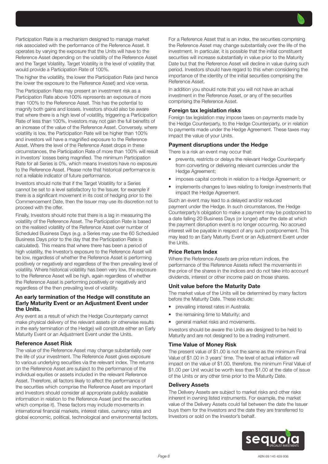Participation Rate is a mechanism designed to manage market risk associated with the performance of the Reference Asset. It operates by varying the exposure that the Units will have to the Reference Asset depending on the volatility of the Reference Asset and the Target Volatility. Target Volatility is the level of volatility that would provide a Participation Rate of 100%.

The higher the volatility, the lower the Participation Rate (and hence the lower the exposure to the Reference Asset) and vice versa.

The Participation Rate may present an investment risk as a Participation Rate above 100% represents an exposure of more than 100% to the Reference Asset. This has the potential to magnify both gains and losses. Investors should also be aware that where there is a high level of volatility, triggering a Participation Rate of less than 100%, Investors may not gain the full benefits of an increase of the value of the Reference Asset. Conversely, where volatility is low, the Participation Rate will be higher than 100% and investors will have a magnified exposure to the Reference Asset. Where the level of the Reference Asset drops in these circumstances, the Participation Rate of more than 100% will result in Investors' losses being magnified. The minimum Participation Rate for all Series is 0%, which means Investors have no exposure to the Reference Asset. Please note that historical performance is not a reliable indicator of future performance.

Investors should note that if the Target Volatility for a Series cannot be set to a level satisfactory to the Issuer, for example if there is a significant movement in its cost of hedging prior to the Commencement Date, then the Issuer may use its discretion not to proceed with the offer.

Finally, Investors should note that there is a lag in measuring the volatility of the Reference Asset. The Participation Rate is based on the realised volatility of the Reference Asset over number of Scheduled Business Days (e.g. a Series may use the 60 Scheduled Business Days prior to the day that the Participation Rate is calculated). This means that where there has been a period of high volatility, the Investor's exposure to the Reference Asset will be low, regardless of whether the Reference Asset is performing positively or negatively and regardless of the then prevailing level of volatility. Where historical volatility has been very low, the exposure to the Reference Asset will be high, again regardless of whether the Reference Asset is performing positively or negatively and regardless of the then prevailing level of volatility.

#### An early termination of the Hedge will constitute an Early Maturity Event or an Adjustment Event under the Units.

Any event as a result of which the Hedge Counterparty cannot make physical delivery of the relevant assets (or otherwise results in the early termination of the Hedge) will constitute either an Early Maturity Event or an Adjustment Event under the Units.

#### Reference Asset Risk

The value of the Reference Asset may change substantially over the life of your investment. The Reference Asset gives exposure to various underlying securities via the relevant index. The returns on the Reference Asset are subject to the performance of the individual equities or assets included in the relevant Reference Asset. Therefore, all factors likely to affect the performance of the securities which comprise the Reference Asset are important and Investors should consider all appropriate publicly available information in relation to the Reference Asset (and the securities which comprise it). These factors may include movements in international financial markets, interest rates, currency rates and global economic, political, technological and environmental factors. For a Reference Asset that is an index, the securities comprising the Reference Asset may change substantially over the life of the investment. In particular, it is possible that the initial constituent securities will increase substantially in value prior to the Maturity Date but that the Reference Asset will decline in value during such period. Investors should have regard to this when considering the importance of the identity of the initial securities comprising the Reference Asset.

In addition you should note that you will not have an actual investment in the Reference Asset, or any of the securities comprising the Reference Asset.

#### Foreign tax legislation risks

Foreign tax legislation may impose taxes on payments made by the Hedge Counterparty, to the Hedge Counterparty, or in relation to payments made under the Hedge Agreement. These taxes may impact the value of your Units.

#### Payment disruptions under the Hedge

There is a risk an event may occur that:

- prevents, restricts or delays the relevant Hedge Counterparty from converting or delivering relevant currencies under the Hedge Agreement;
- imposes capital controls in relation to a Hedge Agreement; or
- implements changes to laws relating to foreign investments that impact the Hedge Agreement.

Such an event may lead to a delayed and/or reduced payment under the Hedge. In such circumstances, the Hedge Counterparty's obligation to make a payment may be postponed to a date falling 20 Business Days (or longer) after the date at which the payment disruption event is no longer occurring. No accrued interest will be payable in respect of any such postponement. This may lead to an Early Maturity Event or an Adjustment Event under the Units.

#### Price Return Index

Where the Reference Assets are price return indices, the performance of the Reference Assets reflect the movements in the price of the shares in the indices and do not take into account dividends, interest or other income paid on those shares.

#### Unit value before the Maturity Date

The market value of the Units will be determined by many factors before the Maturity Date. These include:

- prevailing interest rates in Australia;
- the remaining time to Maturity; and
- general market risks and movements.

Investors should be aware the Units are designed to be held to Maturity and are not designed to be a trading instrument.

#### Time Value of Money Risk

The present value of \$1.00 is not the same as the minimum Final Value of \$1.00 in 3 years' time. The level of actual inflation will impact on the value of \$1.00, therefore, the minimum Final Value of \$1.00 per Unit would be worth less than \$1.00 at the date of issue of the Units or any other time prior to the Maturity Date.

#### Delivery Assets

The Delivery Assets are subject to market risks and other risks inherent in owning listed instruments. For example, the market value of the Delivery Assets could fall between the date the Issuer buys them for the Investors and the date they are transferred to Investors or sold on the Investor's behalf.

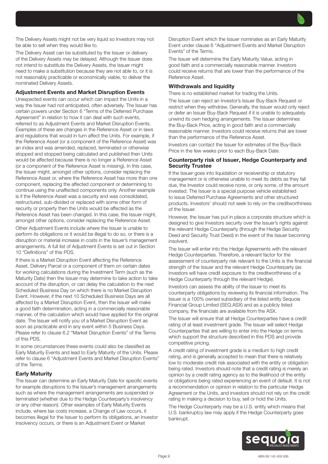The Delivery Assets might not be very liquid so Investors may not be able to sell when they would like to.

The Delivery Asset can be substituted by the Issuer or delivery of the Delivery Assets may be delayed. Although the Issuer does not intend to substitute the Delivery Assets, the Issuer might need to make a substitution because they are not able to, or it is not reasonably practicable or economically viable, to deliver the nominated Delivery Assets.

#### Adjustment Events and Market Disruption Events

Unexpected events can occur which can impact the Units in a way the Issuer had not anticipated, often adversely. The Issuer has certain powers under Section 6 "Terms of the Deferred Purchase Agreement" in relation to how it can deal with such events, referred to as Adjustment Events and Market Disruption Events. Examples of these are changes in the Reference Asset or in laws and regulations that would in turn affect the Units. For example, if the Reference Asset (or a component of the Reference Asset) was an index and was amended, replaced, terminated or otherwise stopped and stopped being calculated and published then Units would be affected because there is no longer a Reference Asset (or a component of the Reference Asset is missing). In this case, the Issuer might, amongst other options, consider replacing the Reference Asset or, where the Reference Asset has more than one component, replacing the affected component or determining to continue using the unaffected components only. Another example is if the Reference Asset was a security and was consolidated, restructured, sub-divided or replaced with some other form of security or property then the Units would be affected as the Reference Asset has been changed. In this case, the Issuer might, amongst other options, consider replacing the Reference Asset.

Other Adjustment Events include where the Issuer is unable to perform its obligations or it would be illegal to do so, or there is a disruption or material increase in costs in the Issuer's management arrangements. A full list of Adjustment Events is set out in Section 10 "Definitions" of this PDS.

If there is a Market Disruption Event affecting the Reference Asset, Delivery Parcel or a component of them on certain dates for working calculations during the Investment Term (such as the Maturity Date) then the Issuer may determine to take action to take account of the disruption, or can delay the calculation to the next Scheduled Business Day on which there is no Market Disruption Event. However, if the next 10 Scheduled Business Days are all affected by a Market Disruption Event, then the Issuer will make a good faith determination, acting in a commercially reasonable manner, of the calculation which would have applied for the original date. The Issuer will notify you of a Market Disruption Event as soon as practicable and in any event within 5 Business Days. Please refer to clause 6.2 "Market Disruption Events" of the Terms of this PDS.

In some circumstances these events could also be classified as Early Maturity Events and lead to Early Maturity of the Units. Please refer to clause 6 "Adjustment Events and Market Disruption Events" of the Terms.

#### Early Maturity

The Issuer can determine an Early Maturity Date for specific events for example disruptions to the Issuer's management arrangements such as where the management arrangements are suspended or terminated (whether due to the Hedge Counterparty's insolvency or any other reason). Other examples of Early Maturity Events include, where tax costs increase, a Change of Law occurs, it becomes illegal for the Issuer to perform its obligations, an Investor Insolvency occurs, or there is an Adjustment Event or Market

Disruption Event which the Issuer nominates as an Early Maturity Event under clause 6 "Adjustment Events and Market Disruption Events" of the Terms.

The Issuer will determine the Early Maturity Value, acting in good faith and a commercially reasonable manner. Investors could receive returns that are lower than the performance of the Reference Asset.

#### Withdrawals and liquidity

There is no established market for trading the Units.

The Issuer can reject an Investor's Issuer Buy-Back Request or restrict when they withdraw. Generally, the Issuer would only reject or defer an Issuer Buy-Back Request if it is unable to adequately unwind its own hedging arrangements. The Issuer determines the Buy-Back Price, acting in good faith and a commercially reasonable manner. Investors could receive returns that are lower than the performance of the Reference Asset.

Investors can contact the Issuer for estimates of the Buy-Back Price in the few weeks prior to each Buy-Back Date.

#### Counterparty risk of Issuer, Hedge Counterparty and Security Trustee

If the Issuer goes into liquidation or receivership or statutory management or is otherwise unable to meet its debts as they fall due, the Investor could receive none, or only some, of the amount invested. The Issuer is a special purpose vehicle established to issue Deferred Purchase Agreements and other structured products. Investors' should not seek to rely on the creditworthiness of the Issuer.

However, the Issuer has put in place a corporate structure which is designed to give Investors security over the Issuer's rights against the relevant Hedge Counterparty (through the Hedge Security Deed and Security Trust Deed) in the event of the Issuer becoming insolvent.

The Issuer will enter into the Hedge Agreements with the relevant Hedge Counterparties. Therefore, a relevant factor for the assessment of counterparty risk relevant to the Units is the financial strength of the Issuer and the relevant Hedge Counterparty (as Investors will have credit exposure to the creditworthiness of a Hedge Counterparty through the relevant Hedge).

Investors can assess the ability of the Issuer to meet its counterparty obligations by reviewing its financial information. The Issuer is a 100% owned subsidiary of the listed entity Sequoia Financial Group Limited (SEQ.ASX) and as a publicly listed company, the financials are available from the ASX.

The Issuer will ensure that all Hedge Counterparties have a credit rating of at least investment grade. The Issuer will select Hedge Counterparties that are willing to enter into the Hedge on terms which support the structure described in this PDS and provide competitive pricing.

A credit rating of investment grade is a medium to high credit rating, and is generally accepted to mean that there is relatively low to moderate credit risk associated with the entity or obligation being rated. Investors should note that a credit rating is merely an opinion by a credit rating agency as to the likelihood of the entity or obligations being rated experiencing an event of default. It is not a recommendation or opinion in relation to the particular Hedge Agreement or the Units, and investors should not rely on the credit rating in making a decision to buy, sell or hold the Units.

The Hedge Counterparty may be a U.S. entity which means that U.S. bankruptcy law may apply if the Hedge Counterparty goes bankrupt.

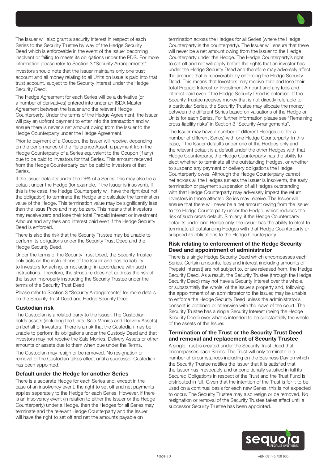The Issuer will also grant a security interest in respect of each Series to the Security Trustee by way of the Hedge Security Deed which is enforceable in the event of the Issuer becoming insolvent or failing to meets its obligations under the PDS. For more information please refer to Section 3 "Security Arrangements".

Investors should note that the Issuer maintains only one trust account and all money relating to all Units on issue is paid into that trust account, subject to the Security Interest under the Hedge Security Deed.

The Hedge Agreement for each Series will be a derivative (or a number of derivatives) entered into under an ISDA Master Agreement between the Issuer and the relevant Hedge Counterparty. Under the terms of the Hedge Agreement, the Issuer will pay an upfront payment to enter into the transaction and will ensure there is never a net amount owing from the Issuer to the Hedge Counterparty under the Hedge Agreement.

Prior to payment of a Coupon, the Issuer will receive, depending on the performance of the Reference Asset, a payment from the Hedge Counterparty of a Series equivalent to the Coupon (if any) due to be paid to Investors for that Series. This amount received from the Hedge Counterparty can be paid to Investors of that Series.

If the Issuer defaults under the DPA of a Series, this may also be a default under the Hedge (for example, if the Issuer is insolvent). If this is the case, the Hedge Counterparty will have the right (but not the obligation) to terminate the Hedge and calculate the termination value of the Hedge. This termination value may be significantly less than the Issue Price and may be zero. This means that Investors may receive zero and lose their total Prepaid Interest or Investment Amount and any fees and interest paid even if the Hedge Security Deed is enforced.

There is also the risk that the Security Trustee may be unable to perform its obligations under the Security Trust Deed and the Hedge Security Deed.

Under the terms of the Security Trust Deed, the Security Trustee only acts on the instructions of the Issuer and has no liability to Investors for acting, or not acting, in accordance with such instructions. Therefore, the structure does not address the risk of the Issuer improperly instructing the Security Trustee under the terms of the Security Trust Deed.

Please refer to Section 3 "Security Arrangements" for more details on the Security Trust Deed and Hedge Security Deed.

#### Custodian risk

The Custodian is a related party to the Issuer. The Custodian holds assets (including the Units, Sale Monies and Delivery Assets) on behalf of Investors. There is a risk that the Custodian may be unable to perform its obligations under the Custody Deed and that Investors may not receive the Sale Monies, Delivery Assets or other amounts or assets due to them when due under the Terms.

The Custodian may resign or be removed. No resignation or removal of the Custodian takes effect until a successor Custodian has been appointed.

#### Default under the Hedge for another Series

There is a separate Hedge for each Series and, except in the case of an insolvency event, the right to set off and net payments applies separately to the Hedge for each Series. However, if there is an insolvency event (in relation to either the Issuer or the Hedge Counterparty) under a Hedge, then the Hedges for all Series may terminate and the relevant Hedge Counterparty and the Issuer will have the right to set off and net the amounts payable on

termination across the Hedges for all Series (where the Hedge Counterparty is the counterparty). The Issuer will ensure that there will never be a net amount owing from the Issuer to the Hedge Counterparty under the Hedge. The Hedge Counterparty's right to set off and net will apply before the rights that an investor has under the Hedge Security Deed and therefore may adversely affect the amount that is recoverable by enforcing the Hedge Security Deed. This means that Investors may receive zero and lose their total Prepaid Interest or Investment Amount and any fees and interest paid even if the Hedge Security Deed is enforced. If the Security Trustee receives money that is not directly referable to a particular Series, the Security Trustee may allocate the money between the different Series based on valuations of the Hedge or Units for each Series. For further information please see "Remaining cross-liability risks" in Section 3 "Security Arrangements".

The Issuer may have a number of different Hedges (i.e. for a number of different Series) with one Hedge Counterparty. In this case, if the Issuer defaults under one of the Hedges only and the relevant default is a default under the other Hedges with that Hedge Counterparty, the Hedge Counterparty has the ability to elect whether to terminate all the outstanding Hedges, or whether to suspend any payment or delivery obligations the Hedge Counterparty owes. Although the Hedge Counterparty cannot net across all the Hedges (unless the Issuer is insolvent), the early termination or payment suspension of all Hedges outstanding with that Hedge Counterparty may adversely impact the return Investors in those affected Series may receive. The Issuer will ensure that there will never be a net amount owing from the Issuer to the Hedge Counterparty under the Hedge, which reduces the risk of such cross default. Similarly, if the Hedge Counterparty defaults under one Hedge only, the Issuer has the ability to elect to terminate all outstanding Hedges with that Hedge Counterparty or suspend its obligations to the Hedge Counterparty.

#### Risk relating to enforcement of the Hedge Security Deed and appointment of administrator

There is a single Hedge Security Deed which encompasses each Series. Certain amounts, fees and interest (including amounts of Prepaid Interest) are not subject to, or are released from, the Hedge Security Deed. As a result, the Security Trustee (through the Hedge Security Deed) may not have a Security Interest over the whole, or substantially the whole, of the Issuer's property and, following the appointment of an administrator to the Issuer, may be unable to enforce the Hedge Security Deed unless the administrator's consent is obtained or otherwise with the leave of the court. The Security Trustee has a single Security Interest (being the Hedge Security Deed) over what is intended to be substantially the whole of the assets of the Issuer.

#### Termination of the Trust or the Security Trust Deed and removal and replacement of Security Trustee

A single Trust is created under the Security Trust Deed that encompasses each Series. The Trust will only terminate in a number of circumstances including on the Business Day on which the Security Trustee notifies the Issuer that it is satisfied that the Issuer has irrevocably and unconditionally satisfied in full its Secured Obligations in respect of the Trust and the Trust Fund is distributed in full. Given that the intention of the Trust is for it to be used on a continual basis for each new Series, this is not expected to occur. The Security Trustee may also resign or be removed. No resignation or removal of the Security Trustee takes effect until a successor Security Trustee has been appointed.

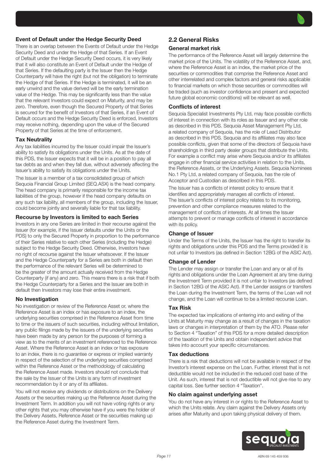## Event of Default under the Hedge Security Deed

There is an overlap between the Events of Default under the Hedge Security Deed and under the Hedge of that Series. If an Event of Default under the Hedge Security Deed occurs, it is very likely that it will also constitute an Event of Default under the Hedge of that Series. If the defaulting party is the Issuer then the Hedge Counterparty will have the right (but not the obligation) to terminate the Hedge of that Series. If the Hedge is terminated, it will be an early unwind and the value derived will be the early termination value of the Hedge. This may be significantly less than the value that the relevant Investors could expect on Maturity, and may be zero. Therefore, even though the Secured Property of that Series is secured for the benefit of Investors of that Series, if an Event of Default occurs and the Hedge Security Deed is enforced, Investors may receive nothing, depending upon the value of the Secured Property of that Series at the time of enforcement.

#### Tax Neutrality

Any tax liabilities incurred by the Issuer could impair the Issuer's ability to satisfy its obligations under the Units. As at the date of this PDS, the Issuer expects that it will be in a position to pay all tax debts as and when they fall due, without adversely affecting the Issuer's ability to satisfy its obligations under the Units.

The Issuer is a member of a tax consolidated group of which Sequoia Financial Group Limited (SEQ.ASX) is the head company. The head company is primarily responsible for the income tax liabilities of the group, however if the head company defaults on any such tax liability, all members of the group, including the Issuer, could become jointly and severally liable for that tax liability.

#### Recourse by Investors is limited to each Series

Investors in any one Series are limited in their recourse against the Issuer (for example, if the Issuer defaults under the Units or the PDS) to only the Secured Property in proportion to the performance of their Series relative to each other Series (including the Hedge) subject to the Hedge Security Deed. Otherwise, Investors have no right of recourse against the Issuer whatsoever. If the Issuer and the Hedge Counterparty for a Series are both in default then the performance of the relevant Series will be determined to be the greater of the amount actually received from the Hedge Counterparty (if any) and zero. This means there is a risk that if both the Hedge Counterparty for a Series and the Issuer are both in default then Investors may lose their entire investment.

#### No Investigation

No investigation or review of the Reference Asset or, where the Reference Asset is an index or has exposure to an index, the underlying securities comprised in the Reference Asset from time to time or the issuers of such securities, including without limitation, any public filings made by the issuers of the underlying securities have been made by any person for the purposes of forming a view as to the merits of an investment referenced to the Reference Asset. Where the Reference Asset is an index or has exposure to an index, there is no guarantee or express or implied warranty in respect of the selection of the underlying securities comprised within the Reference Asset or the methodology of calculating the Reference Asset made. Investors should not conclude that the sale by the Issuer of the Units is any form of investment recommendation by it or any of its affiliates.

You will not receive any dividends or distributions on the Delivery Assets or the securities making up the Reference Asset during the Investment Term. In addition you will not have voting rights or any other rights that you may otherwise have if you were the holder of the Delivery Assets, Reference Asset or the securities making up the Reference Asset during the Investment Term.

## 2.2 General Risks

#### General market risk

The performance of the Reference Asset will largely determine the market price of the Units. The volatility of the Reference Asset, and, where the Reference Asset is an index, the market price of the securities or commodities that comprise the Reference Asset and other interrelated and complex factors and general risks applicable to financial markets on which those securities or commodities will be traded (such as investor confidence and present and expected future global economic conditions) will be relevant as well.

#### Conflicts of interest

Sequoia Specialist Investments Pty Ltd, may face possible conflicts of interest in connection with its roles as Issuer and any other role as described in this PDS. Sequoia Asset Management Pty Ltd, a related company of Sequoia, has the role of Lead Distributor as described in this PDS. Sequoia and its affiliates may also face possible conflicts, given that some of the directors of Sequoia have shareholdings in third party dealer groups that distribute the Units. For example a conflict may arise where Sequoia and/or its affiliates engage in other financial service activities in relation to the Units, the Reference Assets, or the Underlying Assets. Sequoia Nominees No.1 Pty Ltd, a related company of Sequoia, has the role of Acceptor and Custodian as described in this PDS.

The Issuer has a conflicts of interest policy to ensure that it identifies and appropriately manages all conflicts of interest. The Issuer's conflicts of interest policy relates to its monitoring, prevention and other compliance measures related to the management of conflicts of interests. At all times the Issuer attempts to prevent or manage conflicts of interest in accordance with its policy.

#### Change of Issuer

Under the Terms of the Units, the Issuer has the right to transfer its rights and obligations under this PDS and the Terms provided it is not unfair to Investors (as defined in Section 12BG of the ASIC Act).

#### Change of Lender

The Lender may assign or transfer the Loan and any or all of its rights and obligations under the Loan Agreement at any time during the Investment Term provided it is not unfair to Investors (as defined in Section 12BG of the ASIC Act). If the Lender assigns or transfers the Loan during the Investment Term, the terms of the Loan will not change, and the Loan will continue to be a limited recourse Loan.

#### Tax Risk

The expected tax implications of entering into and exiting of the Units at Maturity may change as a result of changes in the taxation laws or changes in interpretation of them by the ATO. Please refer to Section 4 "Taxation" of this PDS for a more detailed description of the taxation of the Units and obtain independent advice that takes into account your specific circumstances.

#### Tax deductions

There is a risk that deductions will not be available in respect of the Investor's interest expense on the Loan. Further, interest that is not deductible would not be included in the reduced cost base of the Unit. As such, interest that is not deductible will not give rise to any capital loss. See further section 4 "Taxation".

#### No claim against underlying asset

You do not have any interest in or rights to the Reference Asset to which the Units relate. Any claim against the Delivery Assets only arises after Maturity and upon taking physical delivery of them.

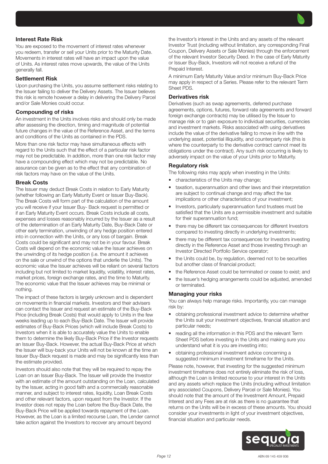#### Interest Rate Risk

You are exposed to the movement of interest rates whenever you redeem, transfer or sell your Units prior to the Maturity Date. Movements in interest rates will have an impact upon the value of Units. As interest rates move upwards, the value of the Units generally fall.

#### Settlement Risk

Upon purchasing the Units, you assume settlement risks relating to the Issuer failing to deliver the Delivery Assets. The Issuer believes this risk is remote however a delay in delivering the Delivery Parcel and/or Sale Monies could occur.

#### Compounding of risks

An investment in the Units involves risks and should only be made after assessing the direction, timing and magnitude of potential future changes in the value of the Reference Asset, and the terms and conditions of the Units as contained in the PDS.

More than one risk factor may have simultaneous effects with regard to the Units such that the effect of a particular risk factor may not be predictable. In addition, more than one risk factor may have a compounding effect which may not be predictable. No assurance can be given as to the effect that any combination of risk factors may have on the value of the Units.

#### Break Costs

The Issuer may deduct Break Costs in relation to Early Maturity (whether following an Early Maturity Event or Issuer Buy-Back). The Break Costs will form part of the calculation of the amount you will receive if your Issuer Buy- Back request is permitted or if an Early Maturity Event occurs. Break Costs include all costs, expenses and losses reasonably incurred by the Issuer as a result of the determination of an Early Maturity Date, Buy-Back Date or other early termination, unwinding of any hedge position entered into in connection with the Units, or any loss of bargain. Break Costs could be significant and may not be in your favour. Break Costs will depend on the economic value the Issuer achieves on the unwinding of its hedge position (i.e. the amount it achieves on the sale or unwind of the options that underlie the Units). The economic value the Issuer achieves will be reliant on several factors including but not limited to market liquidity, volatility, interest rates, market prices, foreign exchange rates, and the time to Maturity. The economic value that the Issuer achieves may be minimal or nothing.

The impact of these factors is largely unknown and is dependent on movements in financial markets. Investors and their advisers can contact the Issuer and request an estimate of the Buy-Back Price (including Break Costs) that would apply to Units in the few weeks leading up to each Buy-Back Date. The Issuer will provide estimates of Buy-Back Prices (which will include Break Costs) to Investors when it is able to accurately value the Units to enable them to determine the likely Buy-Back Price if the Investor requests an Issuer Buy-Back. However, the actual Buy-Back Price at which the Issuer will buy-back your Units will not be known at the time an Issuer Buy-Back request is made and may be significantly less than the estimate provided.

Investors should also note that they will be required to repay the Loan on an Issuer Buy-Back. The Issuer will provide the Investor with an estimate of the amount outstanding on the Loan, calculated by the Issuer, acting in good faith and a commercially reasonable manner, and subject to interest rates, liquidity, Loan Break Costs and other relevant factors, upon request from the Investor. If the Investor does not repay the Loan before the Buy-Back Date, the Buy-Back Price will be applied towards repayment of the Loan. However, as the Loan is a limited recourse Loan, the Lender cannot take action against the Investors to recover any amount beyond

the Investor's interest in the Units and any assets of the relevant Investor Trust (including without limitation, any corresponding Final Coupon, Delivery Assets or Sale Monies) through the enforcement of the relevant Investor Security Deed. In the case of Early Maturity or Issuer Buy-Back, Investors will not receive a refund of the Prepaid Interest.

A minimum Early Maturity Value and/or minimum Buy-Back Price may apply in respect of a Series. Please refer to the relevant Term Sheet PDS.

#### Derivatives risk

Derivatives (such as swap agreements, deferred purchase agreements, options, futures, forward rate agreements and forward foreign exchange contracts) may be utilised by the Issuer to manage risk or to gain exposure to individual securities, currencies and investment markets. Risks associated with using derivatives include the value of the derivative failing to move in line with the underlying asset, potential illiquidity, and counterparty risk (this is where the counterparty to the derivative contract cannot meet its obligations under the contract). Any such risk occurring is likely to adversely impact on the value of your Units prior to Maturity.

#### Regulatory risk

The following risks may apply when investing in the Units:

- characteristics of the Units may change;
- taxation, superannuation and other laws and their interpretation are subject to continual change and may affect the tax implications or other characteristics of your investment;
- Investors, particularly superannuation fund trustees must be satisfied that the Units are a permissible investment and suitable for their superannuation fund;
- there may be different tax consequences for different Investors compared to investing directly in underlying investments;
- there may be different tax consequences for Investors investing directly in the Reference Asset and those investing through an Investor Directed Portfolio Service operator;
- the Units could be, by regulation, deemed not to be securities but another class of financial product;
- the Reference Asset could be terminated or cease to exist; and
- the Issuer's hedging arrangements could be adjusted, amended or terminated.

#### Managing your risks

You can always help manage risks. Importantly, you can manage risk by:

- obtaining professional investment advice to determine whether the Units suit your investment objectives, financial situation and particular needs;
- reading all the information in this PDS and the relevant Term Sheet PDS before investing in the Units and making sure you understand what it is you are investing into;
- obtaining professional investment advice concerning a suggested minimum investment timeframe for the Units.

Please note, however, that investing for the suggested minimum investment timeframe does not entirely eliminate the risk of loss, although the Loan is limited recourse to your interest in the Units and any assets which replace the Units (including without limitation any associated Coupons, Delivery Parcel or Sale Monies). You should note that the amount of the Investment Amount, Prepaid Interest and any Fees are at risk as there is no guarantee that returns on the Units will be in excess of these amounts. You should consider your investments in light of your investment objectives, financial situation and particular needs.

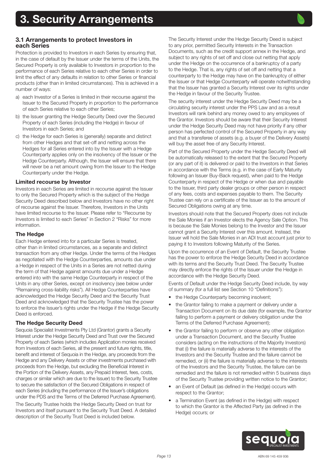<span id="page-12-0"></span>

Protection is provided to Investors in each Series by ensuring that, in the case of default by the Issuer under the terms of the Units, the Secured Property is only available to Investors in proportion to the performance of each Series relative to each other Series in order to limit the effect of any defaults in relation to other Series or financial products (other than in limited circumstances). This is achieved in a number of ways:

- a) each Investor of a Series is limited in their recourse against the Issuer to the Secured Property in proportion to the performance of each Series relative to each other Series;
- b) the Issuer granting the Hedge Security Deed over the Secured Property of each Series (including the Hedge) in favour of Investors in each Series; and
- c) the Hedge for each Series is (generally) separate and distinct from other Hedges and that set-off and netting across the Hedges for all Series entered into by the Issuer with a Hedge Counterparty applies only on the insolvency of the Issuer or the Hedge Counterparty. Although, the Issuer will ensure that there will never be a net amount owing from the Issuer to the Hedge Counterparty under the Hedge.

#### Limited recourse by Investor

Investors in each Series are limited in recourse against the Issuer to only the Secured Property which is the subject of the Hedge Security Deed described below and Investors have no other right of recourse against the Issuer. Therefore, Investors in the Units have limited recourse to the Issuer. Please refer to "Recourse by Investors is limited to each Series" in Section 2 "Risks" for more information.

#### The Hedge

Each Hedge entered into for a particular Series is treated, other than in limited circumstances, as a separate and distinct transaction from any other Hedge. Under the terms of the Hedges as negotiated with the Hedge Counterparties, amounts due under a Hedge in respect of the Units in a Series are not netted during the term of that Hedge against amounts due under a Hedge entered into with the same Hedge Counterparty in respect of the Units in any other Series, except on insolvency (see below under "Remaining cross-liability risks"). All Hedge Counterparties have acknowledged the Hedge Security Deed and the Security Trust Deed and acknowledged that the Security Trustee has the power to enforce the Issuer's rights under the Hedge if the Hedge Security Deed is enforced.

#### The Hedge Security Deed

Sequoia Specialist Investments Pty Ltd (Grantor) grants a Security Interest under the Hedge Security Deed and Trust over the Secured Property of each Series (which includes Application monies received from Investors of each Series, all the present and future rights, title, benefit and interest of Sequoia in the Hedge, any proceeds from the Hedge and any Delivery Assets or other investments purchased with proceeds from the Hedge, but excluding the Beneficial Interest in the Portion of the Delivery Assets, any Prepaid Interest, fees, costs, charges or similar which are due to the Issuer) to the Security Trustee to secure the satisfaction of the Secured Obligations in respect of each Series (including the performance of the Issuer's obligations under the PDS and the Terms of the Deferred Purchase Agreement).

The Security Trustee holds the Hedge Security Deed on trust for Investors and itself pursuant to the Security Trust Deed. A detailed description of the Security Trust Deed is included below.

The Security Interest under the Hedge Security Deed is subject to any prior, permitted Security Interests in the Transaction Documents, such as the credit support annex in the Hedge, and subject to any rights of set off and close out netting that apply under the Hedge on the occurrence of a bankruptcy of a party to the Hedge. That is, any rights of set off and netting that a counterparty to the Hedge may have on the bankruptcy of either the Issuer or that Hedge Counterparty will operate notwithstanding that the Issuer has granted a Security Interest over its rights under the Hedge in favour of the Security Trustee.

The security interest under the Hedge Security Deed may be a circulating security interest under the PPS Law and as a result Investors will rank behind any money owed to any employees of the Grantor. Investors should be aware that their Security Interest under the Hedge Security Deed may not have priority if any other person has perfected control of the Secured Property in any way and that a transferee of assets (e.g. a buyer of the Delivery Assets) will buy the asset free of any Security Interest.

Part of the Secured Property under the Hedge Security Deed will be automatically released to the extent that the Secured Property (or any part of it) is delivered or paid to the Investors in that Series in accordance with the Terms (e.g. in the case of Early Maturity following an Issuer Buy-Back request), when paid to the Hedge Counterparty in respect of the Hedge or when due and payable to the Issuer, third party dealer groups or other person in respect of any fees, costs and expenses payable to them. The Security Trustee can rely on a certificate of the Issuer as to the amount of Secured Obligations owing at any time.

Investors should note that the Secured Property does not include the Sale Monies if an Investor elects the Agency Sale Option. This is because the Sale Monies belong to the Investor and the Issuer cannot grant a Security Interest over this amount. Instead, the Issuer will hold the Sale Monies in an ADI trust account just prior to paying it to Investors following Maturity of the Series.

Upon the occurrence of an Event of Default, the Security Trustee has the power to enforce the Hedge Security Deed in accordance with its terms and the Security Trust Deed. The Security Trustee may directly enforce the rights of the Issuer under the Hedge in accordance with the Hedge Security Deed.

Events of Default under the Hedge Security Deed include, by way of summary (for a full list see Section 10 "Definitions"):

- the Hedge Counterparty becoming insolvent:
- the Grantor failing to make a payment or delivery under a Transaction Document on its due date (for example, the Grantor failing to perform a payment or delivery obligation under the Terms of the Deferred Purchase Agreement);
- the Grantor failing to perform or observe any other obligation under a Transaction Document, and the Security Trustee considers (acting on the instructions of the Majority Investors) that (i) the failure is materially adverse to the interests of the Investors and the Security Trustee and the failure cannot be remedied, or (ii) the failure is materially adverse to the interests of the Investors and the Security Trustee, the failure can be remedied and the failure is not remedied within 5 business days of the Security Trustee providing written notice to the Grantor;
- an Event of Default (as defined in the Hedge) occurs with respect to the Grantor;
- a Termination Event (as defined in the Hedge) with respect to which the Grantor is the Affected Party (as defined in the Hedge) occurs; or

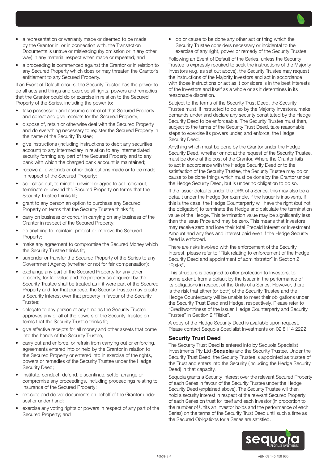- a representation or warranty made or deemed to be made by the Grantor in, or in connection with, the Transaction Documents is untrue or misleading (by omission or in any other way) in any material respect when made or repeated; and
- a proceeding is commenced against the Grantor or in relation to any Secured Property which does or may threaten the Grantor's entitlement to any Secured Property.

If an Event of Default occurs, the Security Trustee has the power to do all acts and things and exercise all rights, powers and remedies that the Grantor could do or exercise in relation to the Secured Property of the Series, including the power to:

- take possession and assume control of that Secured Property and collect and give receipts for the Secured Property;
- dispose of, retain or otherwise deal with the Secured Property and do everything necessary to register the Secured Property in the name of the Security Trustee;
- give instructions (including instructions to debit any securities account) to any intermediary in relation to any intermediated security forming any part of the Secured Property and to any bank with which the charged bank account is maintained;
- receive all dividends or other distributions made or to be made in respect of the Secured Property;
- sell, close out, terminate, unwind or agree to sell, closeout, terminate or unwind the Secured Property on terms that the Security Trustee thinks fit;
- grant to any person an option to purchase any Secured Property on terms that the Security Trustee thinks fit;
- carry on business or concur in carrying on any business of the Grantor in respect of the Secured Property;
- do anything to maintain, protect or improve the Secured Property;
- make any agreement to compromise the Secured Money which the Security Trustee thinks fit;
- surrender or transfer the Secured Property of the Series to any Government Agency (whether or not for fair compensation);
- exchange any part of the Secured Property for any other property, for fair value and the property so acquired by the Security Trustee shall be treated as if it were part of the Secured Property and, for that purpose, the Security Trustee may create a Security Interest over that property in favour of the Security Trustee;
- delegate to any person at any time as the Security Trustee approves any or all of the powers of the Security Trustee on terms that the Security Trustee thinks fit;
- give effective receipts for all money and other assets that come into the hands of the Security Trustee;
- carry out and enforce, or refrain from carrying out or enforcing, agreements entered into or held by the Grantor in relation to the Secured Property or entered into in exercise of the rights, powers or remedies of the Security Trustee under the Hedge Security Deed;
- institute, conduct, defend, discontinue, settle, arrange or compromise any proceedings, including proceedings relating to insurance of the Secured Property;
- execute and deliver documents on behalf of the Grantor under seal or under hand;
- exercise any voting rights or powers in respect of any part of the Secured Property; and

• do or cause to be done any other act or thing which the Security Trustee considers necessary or incidental to the exercise of any right, power or remedy of the Security Trustee.

Following an Event of Default of the Series, unless the Security Trustee is expressly required to seek the instructions of the Majority Investors (e.g. as set out above), the Security Trustee may request the instructions of the Majority Investors and act in accordance with those instructions or act as it considers is in the best interests of the Investors and itself as a whole or as it determines in its reasonable discretion.

Subject to the terms of the Security Trust Deed, the Security Trustee must, if instructed to do so by the Majority Investors, make demands under and declare any security constituted by the Hedge Security Deed to be enforceable. The Security Trustee must then, subject to the terms of the Security Trust Deed, take reasonable steps to exercise its powers under, and enforce, the Hedge Security Deed.

Anything which must be done by the Grantor under the Hedge Security Deed, whether or not at the request of the Security Trustee, must be done at the cost of the Grantor. Where the Grantor fails to act in accordance with the Hedge Security Deed or to the satisfaction of the Security Trustee, the Security Trustee may do or cause to be done things which must be done by the Grantor under the Hedge Security Deed, but is under no obligation to do so.

If the Issuer defaults under the DPA of a Series, this may also be a default under the Hedge (for example, if the Issuer is insolvent). If this is the case, the Hedge Counterparty will have the right (but not the obligation) to terminate the Hedge and calculate the termination value of the Hedge. This termination value may be significantly less than the Issue Price and may be zero. This means that Investors may receive zero and lose their total Prepaid Interest or Investment Amount and any fees and interest paid even if the Hedge Security Deed is enforced.

There are risks involved with the enforcement of the Security Interest, please refer to "Risk relating to enforcement of the Hedge Security Deed and appointment of administrator" in Section 2 "Risks".

This structure is designed to offer protection to Investors, to some extent, from a default by the Issuer in the performance of its obligations in respect of the Units of a Series. However, there is the risk that either (or both) of the Security Trustee and the Hedge Counterparty will be unable to meet their obligations under the Security Trust Deed and Hedge, respectively. Please refer to "Creditworthiness of the Issuer, Hedge Counterparty and Security Trustee" in Section 2 "Risks".

A copy of the Hedge Security Deed is available upon request. Please contact Sequoia Specialist Investments on 02 8114 2222.

#### Security Trust Deed

The Security Trust Deed is entered into by Sequoia Specialist Investments Pty Ltd (Sequoia) and the Security Trustee. Under the Security Trust Deed, the Security Trustee is appointed as trustee of the Trust and enters into the Security (including the Hedge Security Deed) in that capacity.

Sequoia grants a Security Interest over the relevant Secured Property of each Series in favour of the Security Trustee under the Hedge Security Deed (explained above). The Security Trustee will then hold a security interest in respect of the relevant Secured Property of each Series on trust for itself and each Investor (in proportion to the number of Units an Investor holds and the performance of each Series) on the terms of the Security Trust Deed until such a time as the Secured Obligations for a Series are satisfied.

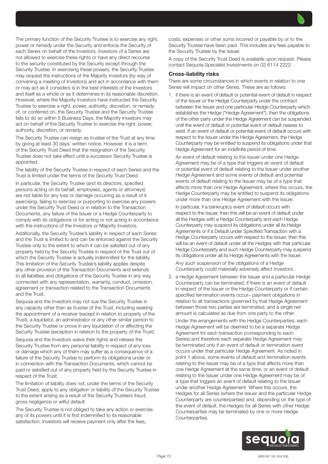The primary function of the Security Trustee is to exercise any right, power or remedy under the Security and enforce the Security of each Series on behalf of the Investors. Investors of a Series are not allowed to exercise these rights or have any direct recourse to the security constituted by the Security except through the Security Trustee. In exercising these powers, the Security Trustee may request the instructions of the Majority Investors (by way of convening a meeting of Investors) and act in accordance with them or may act as it considers is in the best interests of the Investors and itself as a whole or as it determines in its reasonable discretion. However, where the Majority Investors have instructed the Security Trustee to exercise a right, power, authority, discretion, or remedy of, or conferred on, the Security Trustee and the Security Trustee fails to do so within 5 Business Days, the Majority Investors may act on behalf of the Security Trustee to exercise the right, power, authority, discretion, or remedy.

The Security Trustee can resign as trustee of the Trust at any time by giving at least 30 days' written notice. However, it is a term of the Security Trust Deed that the resignation of the Security Trustee does not take effect until a successor Security Trustee is appointed.

The liability of the Security Trustee in respect of each Series and the Trust is limited under the terms of the Security Trust Deed.

In particular, the Security Trustee (and its directors, specified persons acting on its behalf, employees, agents or attorneys) are not liable for any loss or damage occurring as a result of it exercising, failing to exercise or purporting to exercise any powers under the Security Trust Deed or in relation to the Transaction Documents, any failure of the Issuer or a Hedge Counterparty to comply with its obligations or for acting or not acting in accordance with the instructions of the Investors or Majority Investors.

Additionally, the Security Trustee's liability in respect of each Series and the Trust is limited to and can be enforced against the Security Trustee only to the extent to which it can be satisfied out of any property held by the Security Trustee in respect of the Trust out of which the Security Trustee is actually indemnified for the liability. This limitation of the Security Trustee's liability applies despite any other provision of the Transaction Documents and extends to all liabilities and obligations of the Security Trustee in any way connected with any representation, warranty, conduct, omission, agreement or transaction related to the Transaction Documents and the Trust.

Sequoia and the Investors may not sue the Security Trustee in any capacity other than as trustee of the Trust, including seeking the appointment of a receiver (except in relation to property of the Trust), a liquidator, an administrator or any other similar person to the Security Trustee or prove in any liquidation of or affecting the Security Trustee (exception in relation to the property of the Trust).

Sequoia and the Investors waive their rights and release the Security Trustee from any personal liability in respect of any loss or damage which any of them may suffer as a consequence of a failure of the Security Trustee to perform its obligations under or in connection with the Transaction Documents, which cannot be paid or satisfied out of any property held by the Security Trustee in respect of the Trust.

The limitation of liability does not, under the terms of the Security Trust Deed, apply to any obligation or liability of the Security Trustee to the extent arising as a result of the Security Trustee's fraud, gross negligence or wilful default.

The Security Trustee is not obliged to take any action or exercise any of its powers until it is first indemnified to its reasonable satisfaction. Investors will receive payment only after the fees,

costs, expenses or other sums incurred or payable by or to the Security Trustee have been paid. This includes any fees payable to the Security Trustee by the Issuer.

A copy of the Security Trust Deed is available upon request. Please contact Sequoia Specialist Investments on 02 8114 2222.

#### Cross-liability risks

There are some circumstances in which events in relation to one Series will impact on other Series. These are as follows:

1. if there is an event of default or potential event of default in respect of the Issuer or the Hedge Counterparty under the contract between the Issuer and one particular Hedge Counterparty which establishes the Hedge ("Hedge Agreement"), then the obligations of the other party under the Hedge Agreement can be suspended until the event of default or potential event of default ceases to exist. If an event of default or potential event of default occurs with respect to the Issuer under the Hedge Agreement, the Hedge Counterparty may be entitled to suspend its obligations under that Hedge Agreement for an indefinite period of time.

An event of default relating to the Issuer under one Hedge Agreement may be of a type that triggers an event of default or potential event of default relating to the Issuer under another Hedge Agreement and some events of default and potential events of default relating to the Issuer may be of a type that affects more than one Hedge Agreement, where this occurs, the Hedge Counterparty may be entitled to suspend its obligations under more than one Hedge Agreement with the Issuer.

In particular, if a bankruptcy event of default occurs with respect to the Issuer, then this will be an event of default under all the Hedges with a Hedge Counterparty and each Hedge Counterparty may suspend its obligations under all its Hedge Agreements or if a Default under Specified Transaction with a Hedge Counterparty occurs with respect to the Issuer, then this will be an event of default under all the Hedges with that particular Hedge Counterparty and such Hedge Counterparty may suspend its obligations under all its Hedge Agreements with the Issuer.

Any such suspension of the obligations of a Hedge Counterparty could materially adversely affect Investors.

2. a Hedge Agreement between the Issuer and a particular Hedge Counterparty can be terminated, if there is an event of default in respect of the Issuer or the Hedge Counterparty or if certain specified termination events occur– payment obligations in relation to all transactions governed by that Hedge Agreement between those two parties are terminated, and a single net amount is calculated as due from one party to the other.

Under the arrangements with the Hedge Counterparties, each Hedge Agreement will be deemed to be a separate Hedge Agreement for each transaction (corresponding to each Series) and therefore each separate Hedge Agreement may be terminated only if an event of default or termination event occurs under that particular Hedge Agreement. As noted in point 1 above, some events of default and termination events relating to the Issuer may be of a type that affects more than one Hedge Agreement at the same time, or an event of default relating to the Issuer under one Hedge Agreement may be of a type that triggers an event of default relating to the Issuer under another Hedge Agreement. Where this occurs, the Hedges for all Series (where the Issuer and the particular Hedge Counterparty are counterparties) and, depending on the type of the event of default, the Hedges for all Series with other Hedge Counterparties may be terminated by one or more Hedge Counterparties.

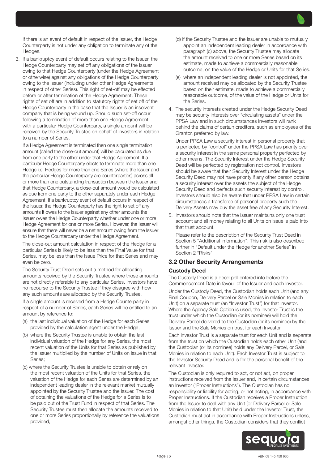

3. If a bankruptcy event of default occurs relating to the Issuer, the Hedge Counterparty may set off any obligations of the Issuer owing to that Hedge Counterparty (under the Hedge Agreement or otherwise) against any obligations of the Hedge Counterparty owing to the Issuer (including under other Hedge Agreements in respect of other Series). This right of set-off may be effected before or after termination of the Hedge Agreement. These rights of set off are in addition to statutory rights of set off of the Hedge Counterparty in the case that the Issuer is an insolvent company that is being wound up. Should such set-off occur following a termination of more than one Hedge Agreement with a particular Hedge Counterparty, a single amount will be received by the Security Trustee on behalf of Investors in relation to a number of Series.

If a Hedge Agreement is terminated then one single termination amount (called the close-out amount) will be calculated as due from one party to the other under that Hedge Agreement. If a particular Hedge Counterparty elects to terminate more than one Hedge i.e. Hedges for more than one Series (where the Issuer and the particular Hedge Counterparty are counterparties) across all or more than one outstanding transaction between the Issuer and that Hedge Counterparty, a close-out amount would be calculated as due from one party to the other separately under each Hedge Agreement. If a bankruptcy event of default occurs in respect of the Issuer, the Hedge Counterparty has the right to set off any amounts it owes to the Issuer against any other amounts the Issuer owes the Hedge Counterparty whether under one or more Hedge Agreement for one or more Series. However, the Issuer will ensure that there will never be a net amount owing from the Issuer to the Hedge Counterparty under the Hedge Agreement.

The close-out amount calculation in respect of the Hedge for a particular Series is likely to be less than the Final Value for that Series, may be less than the Issue Price for that Series and may even be zero.

The Security Trust Deed sets out a method for allocating amounts received by the Security Trustee where those amounts are not directly referable to any particular Series. Investors have no recourse to the Security Trustee if they disagree with how any such amounts are allocated by the Security Trustee.

If a single amount is received from a Hedge Counterparty in respect of a number of Series, each Series will be entitled to an amount by reference to:

- (a) the last individual valuation of the Hedge for each Series provided by the calculation agent under the Hedge;
- (b) where the Security Trustee is unable to obtain the last individual valuation of the Hedge for any Series, the most recent valuation of the Units for that Series as published by the Issuer multiplied by the number of Units on issue in that Series;
- (c) where the Security Trustee is unable to obtain or rely on the most recent valuation of the Units for that Series, the valuation of the Hedge for each Series are determined by an independent leading dealer in the relevant market mutually appointed by the Security Trustee and the Issuer. The cost of obtaining the valuations of the Hedge for a Series is to be paid out of the Trust Fund in respect of that Series. The Security Trustee must then allocate the amounts received to one or more Series proportionally by reference the valuations provided;
- (d) if the Security Trustee and the Issuer are unable to mutually appoint an independent leading dealer in accordance with paragraph (c) above, the Security Trustee may allocate the amount received to one or more Series based on its estimate, made to achieve a commercially reasonable outcome, on the value of the Hedge or Units for that Series.
- (e) where an independent leading dealer is not appointed, the amount received may be allocated by the Security Trustee based on their estimate, made to achieve a commercially reasonable outcome, of the value of the Hedge or Units for the Series.
- 4. The security interests created under the Hedge Security Deed may be security interests over "circulating assets" under the PPSA Law and in such circumstances Investors will rank behind the claims of certain creditors, such as employees of the Grantor, preferred by law.

Under PPSA Law a security interest in personal property that is perfected by "control" under the PPSA Law has priority over a security interest in the same personal property perfected by other means. The Security Interest under the Hedge Security Deed will be perfected by registration not control. Investors should be aware that their Security Interest under the Hedge Security Deed may not have priority if any other person obtains a security interest over the assets the subject of the Hedge Security Deed and perfects such security interest by control. Investors should also be aware that under PPSA Law in certain circumstances a transferee of personal property such the Delivery Assets may buy the asset free of any Security Interest.

5. Investors should note that the Issuer maintains only one trust account and all money relating to all Units on issue is paid into that trust account.

Please refer to the description of the Security Trust Deed in Section 5 "Additional Information". This risk is also described further in "Default under the Hedge for another Series" in Section 2 "Risks".

#### 3.2 Other Security Arrangements

#### Custody Deed

The Custody Deed is a deed poll entered into before the Commencement Date in favour of the Issuer and each Investor. Under the Custody Deed, the Custodian holds each Unit (and any Final Coupon, Delivery Parcel or Sale Monies in relation to each Unit) on a separate trust (an "Investor Trust") for that Investor. Where the Agency Sale Option is used, the Investor Trust is the trust under which the Custodian (or its nominee) will hold the Delivery Parcel delivered to the Custodian (or its nominee) by the Issuer and the Sale Monies on trust for each Investor.

Each Investor Trust is a separate trust for each Unit and is separate from the trust on which the Custodian holds each other Unit (and the Custodian (or its nominee) holds any Delivery Parcel, or Sale Monies in relation to each Unit). Each Investor Trust is subject to the Investor Security Deed and is for the personal benefit of the relevant Investor.

The Custodian is only required to act, or not act, on proper instructions received from the Issuer and, in certain circumstances an Investor ("Proper Instructions"). The Custodian has no responsibility or liability for acting, or not acting, in accordance with Proper Instructions. If the Custodian receives a Proper Instruction from the Issuer to deal with any Unit (or Delivery Parcel or Sale Monies in relation to that Unit) held under the Investor Trust, the Custodian must act in accordance with Proper Instructions unless, amongst other things, the Custodian considers that they conflict

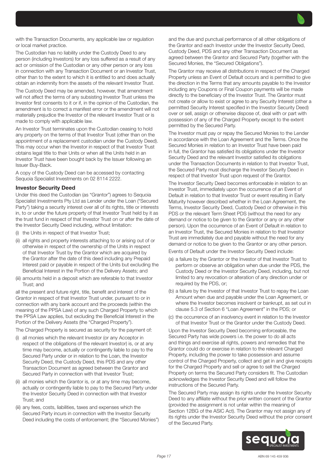with the Transaction Documents, any applicable law or regulation or local market practice.

The Custodian has no liability under the Custody Deed to any person (including Investors) for any loss suffered as a result of any act or omission of the Custodian or any other person or any loss in connection with any Transaction Document or an Investor Trust, other than to the extent to which it is entitled to and does actually obtain an indemnity from the assets of the relevant Investor Trust.

The Custody Deed may be amended, however, that amendment will not affect the terms of any subsisting Investor Trust unless the Investor first consents to it or if, in the opinion of the Custodian, the amendment is to correct a manifest error or the amendment will not materially prejudice the Investor of the relevant Investor Trust or is made to comply with applicable law.

An Investor Trust terminates upon the Custodian ceasing to hold any property on the terms of that Investor Trust (other than on the appointment of a replacement custodian under the Custody Deed). This may occur when the Investor in respect of that Investor Trust obtains legal title to their Units or when all the Units held in an Investor Trust have been bought back by the Issuer following an Issuer Buy-Back.

A copy of the Custody Deed can be accessed by contacting Sequoia Specialist Investments on 02 8114 2222.

#### Investor Security Deed

Under this deed the Custodian (as "Grantor") agrees to Sequoia Specialist Investments Pty Ltd as Lender under the Loan ("Secured Party") taking a security interest over all of its rights, title or interests in, to or under the future property of that Investor Trust held by it as the trust fund in respect of that Investor Trust on or after the date of the Investor Security Deed including, without limitation:

- (i) the Units in respect of that Investor Trust;
- (ii) all rights and property interests attaching to or arising out of or otherwise in respect of the ownership of the Units in respect of that Investor Trust by the Grantor which are acquired by the Grantor after the date of this deed including any Prepaid Interest paid or payable in respect of the Units but excluding the Beneficial Interest in the Portion of the Delivery Assets; and
- (iii) amounts held in a deposit which are referable to that Investor Trust; and

all the present and future right, title, benefit and interest of the Grantor in respect of that Investor Trust under, pursuant to or in connection with any bank account and the proceeds (within the meaning of the PPSA Law) of any such Charged Property to which the PPSA Law applies, but excluding the Beneficial Interest in the Portion of the Delivery Assets (the "Charged Property").

The Charged Property is secured as security for the payment of:

- (i) all monies which the relevant Investor (or any Acceptor in respect of the obligations of the relevant Investor) is, or at any time may become, actually or contingently liable to pay to the Secured Party under or in relation to the Loan, the Investor Security Deed, the Custody Deed, this PDS and any other Transaction Document as agreed between the Grantor and Secured Party in connection with that Investor Trust;
- (ii) all monies which the Grantor is, or at any time may become, actually or contingently liable to pay to the Secured Party under the Investor Security Deed in connection with that Investor Trust; and
- (iii) any fees, costs, liabilities, taxes and expenses which the Secured Party incurs in connection with the Investor Security Deed including the costs of enforcement; (the "Secured Monies")

and the due and punctual performance of all other obligations of the Grantor and each Investor under the Investor Security Deed, Custody Deed, PDS and any other Transaction Document as agreed between the Grantor and Secured Party (together with the Secured Monies, the "Secured Obligations").

The Grantor may receive all distributions in respect of the Charged Property unless an Event of Default occurs and is permitted to give the direction in the Terms that any amounts payable to the Investor including any Coupons or Final Coupon payments will be made directly to the beneficiary of the Investor Trust. The Grantor must not create or allow to exist or agree to any Security Interest (other a permitted Security Interest specified in the Investor Security Deed) over or sell, assign or otherwise dispose of, deal with or part with possession of any of the Charged Property except to the extent permitted by the Secured Party.

The Investor must pay or repay the Secured Monies to the Lender in accordance with the Loan Agreement and the Terms. Once the Secured Monies in relation to an Investor Trust have been paid in full, the Grantor has satisfied its obligations under the Investor Security Deed and the relevant Investor satisfied its obligations under the Transaction Documents in relation to that Investor Trust, the Secured Party must discharge the Investor Security Deed in respect of that Investor Trust upon request of the Grantor.

The Investor Security Deed becomes enforceable in relation to an Investor Trust, immediately upon the occurrence of an Event of Default in relation to that Investor Trust or event resulting in Early Maturity however described whether in the Loan Agreement, the Terms, Investor Security Deed, Custody Deed or otherwise in this PDS or the relevant Term Sheet PDS (without the need for any demand or notice to be given to the Grantor or any or any other person). Upon the occurrence of an Event of Default in relation to an Investor Trust, the Secured Monies in relation to that Investor Trust are immediately due and payable without the need for any demand or notice to be given to the Grantor or any other person.

Events of Default under the Investor Security Deed include:

- (a) a failure by the Grantor or the Investor of that Investor Trust to perform or observe an obligation when due under the PDS, the Custody Deed or the Investor Security Deed, including, but not limited to any revocation or alteration of any direction under or required by the PDS, or;
- (b) a failure by the Investor of that Investor Trust to repay the Loan Amount when due and payable under the Loan Agreement, or where the Investor becomes insolvent or bankrupt, as set out in clause 5.3 of Section 6 "Loan Agreement" in the PDS; or
- (c) the occurrence of an insolvency event in relation to the Investor of that Investor Trust or the Grantor under the Custody Deed.

Upon the Investor Security Deed becoming enforceable, the Secured Party has wide powers i.e. the power to do all acts and things and exercise all rights, powers and remedies that the Grantor could do or exercise in relation to the relevant Charged Property, including the power to take possession and assume control of the Charged Property, collect and get in and give receipts for the Charged Property and sell or agree to sell the Charged Property on terms the Secured Party considers fit. The Custodian acknowledges the Investor Security Deed and will follow the instructions of the Secured Party.

The Secured Party may assign its rights under the Investor Security Deed to any affiliate without the prior written consent of the Grantor (provided the assignment is not unfair within the meaning of Section 12BG of the ASIC Act). The Grantor may not assign any of its rights under the Investor Security Deed without the prior consent of the Secured Party.

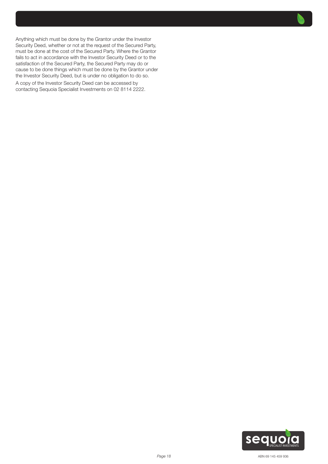

Anything which must be done by the Grantor under the Investor Security Deed, whether or not at the request of the Secured Party, must be done at the cost of the Secured Party. Where the Grantor fails to act in accordance with the Investor Security Deed or to the satisfaction of the Secured Party, the Secured Party may do or cause to be done things which must be done by the Grantor under the Investor Security Deed, but is under no obligation to do so.

A copy of the Investor Security Deed can be accessed by contacting Sequoia Specialist Investments on 02 8114 2222.

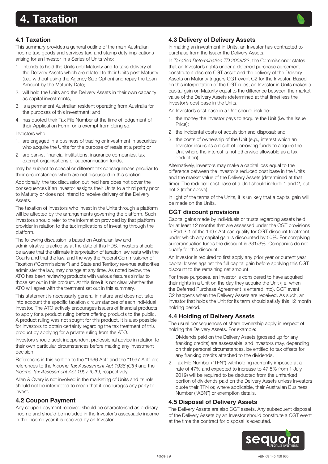# <span id="page-18-0"></span>4. Taxation

## 4.1 Taxation

This summary provides a general outline of the main Australian income tax, goods and services tax, and stamp duty implications arising for an Investor in a Series of Units who:

- 1. intends to hold the Units until Maturity and to take delivery of the Delivery Assets which are related to their Units post Maturity (i.e., without using the Agency Sale Option) and repay the Loan Amount by the Maturity Date;
- 2. will hold the Units and the Delivery Assets in their own capacity as capital investments;
- 3. is a permanent Australian resident operating from Australia for the purposes of this investment; and
- 4. has quoted their Tax File Number at the time of lodgement of their Application Form, or is exempt from doing so.

Investors who:

- 1. are engaged in a business of trading or investment in securities who acquire the Units for the purpose of resale at a profit; or
- 2. are banks, financial institutions, insurance companies, tax exempt organisations or superannuation funds,

may be subject to special or different tax consequences peculiar to their circumstances which are not discussed in this section.

Additionally, the tax discussion outlined here does not cover the consequences if an Investor assigns their Units to a third party prior to Maturity or does not intend to receive delivery of the Delivery Assets.

The taxation of Investors who invest in the Units through a platform will be affected by the arrangements governing the platform. Such Investors should refer to the information provided by that platform provider in relation to the tax implications of investing through the platform.

The following discussion is based on Australian law and administrative practice as at the date of this PDS. Investors should be aware that the ultimate interpretation of taxation law rests with the Courts and that the law, and the way the Federal Commissioner of Taxation ("Commissioner") and State and Territory revenue authorities administer the law, may change at any time. As noted below, the ATO has been reviewing products with various features similar to those set out in this product. At this time it is not clear whether the ATO will agree with the treatment set out in this summary.

This statement is necessarily general in nature and does not take into account the specific taxation circumstances of each individual Investor. The ATO actively encourages issuers of financial products to apply for a product ruling before offering products to the public. A product ruling was not sought for this product. It is also possible for Investors to obtain certainty regarding the tax treatment of this product by applying for a private ruling from the ATO.

Investors should seek independent professional advice in relation to their own particular circumstances before making any investment decision.

References in this section to the "1936 Act" and the "1997 Act" are references to the *Income Tax Assessment Act 1936 (Cth)* and the *Income Tax Assessment Act 1997 (Cth)*, respectively.

Allen & Overy is not involved in the marketing of Units and its role should not be interpreted to mean that it encourages any party to invest.

## 4.2 Coupon Payment

Any coupon payment received should be characterised as ordinary income and should be included in the Investor's assessable income in the income year it is received by an Investor.

## 4.3 Delivery of Delivery Assets

In making an investment in Units, an Investor has contracted to purchase from the Issuer the Delivery Assets.

In *Taxation Determination TD 2008/22*, the Commissioner states that an Investor's rights under a deferred purchase agreement constitute a discrete CGT asset and the delivery of the Delivery Assets on Maturity triggers CGT event C2 for the Investor. Based on this interpretation of the CGT rules, an Investor in Units makes a capital gain on Maturity equal to the difference between the market value of the Delivery Assets (determined at that time) less the Investor's cost base in the Units.

An Investor's cost base in a Unit should include:

- 1. the money the Investor pays to acquire the Unit (i.e. the Issue Price);
- 2. the incidental costs of acquisition and disposal; and
- 3. the costs of ownership of the Unit (e.g., interest which an Investor incurs as a result of borrowing funds to acquire the Unit where the interest is not otherwise allowable as a tax deduction).

Alternatively, Investors may make a capital loss equal to the difference between the Investor's reduced cost base in the Units and the market value of the Delivery Assets (determined at that time). The reduced cost base of a Unit should include 1 and 2, but not 3 (refer above).

In light of the terms of the Units, it is unlikely that a capital gain will be made on the Units.

## CGT discount provisions

Capital gains made by individuals or trusts regarding assets held for at least 12 months that are assessed under the CGT provisions in Part 3-1 of the 1997 Act can qualify for CGT discount treatment, under which any capital gain is discounted by 50%. For complying superannuation funds the discount is 331/3%. Companies do not qualify for this discount.

An Investor is required to first apply any prior year or current year capital losses against the full capital gain before applying this CGT discount to the remaining net amount.

For these purposes, an Investor is considered to have acquired their rights in a Unit on the day they acquire the Unit (i.e. when the Deferred Purchase Agreement is entered into). CGT event C2 happens when the Delivery Assets are received. As such, an Investor that holds the Unit for its term should satisfy this 12 month holding period.

## 4.4 Holding of Delivery Assets

The usual consequences of share ownership apply in respect of holding the Delivery Assets. For example:

- 1. Dividends paid on the Delivery Assets (grossed up for any franking credits) are assessable, and Investors may, depending on their personal circumstances, be entitled to tax offsets for any franking credits attached to the dividends.
- 2. Tax File Number ("TFN") withholding (currently imposed at a rate of 47% and expected to increase to 47.5% from 1 July 2019) will be required to be deducted from the unfranked portion of dividends paid on the Delivery Assets unless Investors quote their TFN or, where applicable, their Australian Business Number ("ABN") or exemption details.

## 4.5 Disposal of Delivery Assets

The Delivery Assets are also CGT assets. Any subsequent disposal of the Delivery Assets by an Investor should constitute a CGT event at the time the contract for disposal is executed.

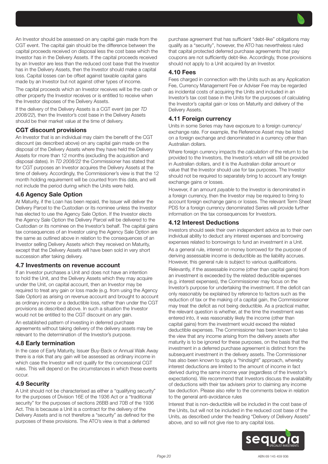An Investor should be assessed on any capital gain made from the CGT event. The capital gain should be the difference between the capital proceeds received on disposal less the cost base which the Investor has in the Delivery Assets. If the capital proceeds received by an Investor are less than the reduced cost base that the Investor has in the Delivery Assets, then the Investor should make a capital loss. Capital losses can be offset against taxable capital gains made by an Investor but not against other types of income.

The capital proceeds which an Investor receives will be the cash or other property the Investor receives or is entitled to receive when the Investor disposes of the Delivery Assets.

If the delivery of the Delivery Assets is a CGT event (as per *TD 2008/22*), then the Investor's cost base in the Delivery Assets should be their market value at the time of delivery.

#### CGT discount provisions

An Investor that is an individual may claim the benefit of the CGT discount (as described above) on any capital gain made on the disposal of the Delivery Assets where they have held the Delivery Assets for more than 12 months (excluding the acquisition and disposal dates). In *TD 2008/22* the Commissioner has stated that for CGT purposes an Investor acquires the Delivery Assets at the time of delivery. Accordingly, the Commissioner's view is that the 12 month holding requirement will be counted from this date, and will not include the period during which the Units were held.

## 4.6 Agency Sale Option

At Maturity, if the Loan has been repaid, the Issuer will deliver the Delivery Parcel to the Custodian or its nominee unless the Investor has elected to use the Agency Sale Option. If the Investor elects the Agency Sale Option the Delivery Parcel will be delivered to the Custodian or its nominee on the Investor's behalf. The capital gains tax consequences of an Investor using the Agency Sale Option are the same as outlined above in relation to the consequences of an Investor selling Delivery Assets which they received on Maturity, except that the Delivery Assets will have been sold in very short succession after taking delivery.

#### 4.7 Investments on revenue account

If an Investor purchases a Unit and does not have an intention to hold the Unit, and the Delivery Assets which they may acquire under the Unit, on capital account, then an Investor may be required to treat any gain or loss made (e.g. from using the Agency Sale Option) as arising on revenue account and brought to account as ordinary income or a deductible loss, rather than under the CGT provisions as described above. In such a situation the Investor would not be entitled to the CGT discount on any gain.

An established pattern of investing in deferred purchase agreements without taking delivery of the delivery assets may be relevant to the determination of the Investor's purpose.

#### 4.8 Early termination

In the case of Early Maturity, Issuer Buy-Back or Annual Walk Away there is a risk that any gain will be assessed as ordinary income in which case the Investor will not qualify for the concessional CGT rules. This will depend on the circumstances in which these events occur.

# 4.9 Security

A Unit should not be characterised as either a "qualifying security" for the purposes of Division 16E of the 1936 Act or a "traditional security" for the purposes of sections 26BB and 70B of the 1936 Act. This is because a Unit is a contract for the delivery of the Delivery Assets and is not therefore a "security" as defined for the purposes of these provisions. The ATO's view is that a deferred

purchase agreement that has sufficient "debt-like" obligations may qualify as a "security", however, the ATO has nevertheless ruled that capital protected deferred purchase agreements that pay coupons are not sufficiently debt-like. Accordingly, those provisions should not apply to a Unit acquired by an Investor.

## 4.10 Fees

Fees charged in connection with the Units such as any Application Fee, Currency Management Fee or Adviser Fee may be regarded as incidental costs of acquiring the Units and included in an Investor's tax cost base in the Units for the purposes of calculating the Investor's capital gain or loss on Maturity and delivery of the Delivery Assets.

## 4.11 Foreign currency

Units in some Series may have exposure to a foreign currency/ exchange rate. For example, the Reference Asset may be listed on a foreign exchange and denominated in a currency other than Australian dollars.

Where foreign currency impacts the *calculation* of the return to be provided to the Investors, the Investor's return will still be provided in Australian dollars, and it is the Australian dollar amount or value that the Investor should use for tax purposes. The Investor should not be required to separately bring to account any foreign exchange gains or losses.

However, if an amount *payable* to the Investor is denominated in a foreign currency, then the Investor may be required to bring to account foreign exchange gains or losses. The relevant Term Sheet PDS for a foreign currency denominated Series will provide further information on the tax consequences for Investors.

## 4.12 Interest Deductions

Investors should seek their own independent advice as to their own individual ability to deduct any interest expenses and borrowing expenses related to borrowings to fund an investment in a Unit.

As a general rule, interest on money borrowed for the purpose of deriving assessable income is deductible as the liability accrues. However, this general rule is subject to various qualifications.

Relevantly, if the assessable income (other than capital gains) from an investment is exceeded by the related deductible expenses (e.g. interest expenses), the Commissioner may focus on the Investor's purpose for undertaking the investment. If the deficit can only reasonably be explained by reference to factors such as the reduction of tax or the making of a capital gain, the Commissioner may treat the deficit as not being deductible. As a practical matter, the relevant question is whether, at the time the investment was entered into, it was reasonably likely the income (other than capital gains) from the investment would exceed the related deductible expenses. The Commissioner has been known to take the view that any income arising from the delivery assets after maturity is to be ignored for these purposes, on the basis that the investment in a deferred purchase agreement is distinct from the subsequent investment in the delivery assets. The Commissioner has also been known to apply a "hindsight" approach, whereby interest deductions are limited to the amount of income in fact derived during the same income year (regardless of the Investor's expectations). We recommend that Investors discuss the availability of deductions with their tax advisers prior to claiming any income tax deduction. Please also refer to the comments below in relation to the general anti-avoidance rules

Interest that is non-deductible will be included in the cost base of the Units, but will not be included in the reduced cost base of the Units, as described under the heading "Delivery of Delivery Assets" above, and so will not give rise to any capital loss.

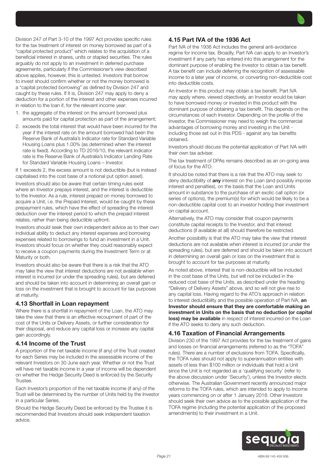

- 1. the aggregate of the interest on the amount borrowed plus amounts paid for capital protection as part of the arrangement;
- 2. exceeds the total interest that would have been incurred for the year if the interest rate on the amount borrowed had been the Reserve Bank of Australia's Indicator rate for Standard Variable Housing Loans plus 1.00% (as determined when the interest rate is fixed). According to TD 2016/10, the relevant indicator rate is the Reserve Bank of Australia's Indicator Lending Rate for Standard Variable Housing Loans – Investor.

If 1 exceeds 2, the excess amount is not deductible (but is instead capitalised into the cost base of a notional put option asset).

Investors should also be aware that certain timing rules exist where an Investor prepays interest, and the interest is deductible to the Investor. As a rule, interest prepaid on money borrowed to acquire a Unit, i.e. the Prepaid Interest, would be caught by these prepayment rules, which have the effect of spreading the interest deduction over the interest period to which the prepaid interest relates, rather than being deductible upfront.

Investors should seek their own independent advice as to their own individual ability to deduct any interest expenses and borrowing expenses related to borrowings to fund an investment in a Unit. Investors should focus on whether they could reasonably expect to receive a coupon payments during the Investment Term or at Maturity or both.

Investors should also be aware that there is a risk that the ATO may take the view that interest deductions are not available when interest is incurred (or under the spreading rules), but are deferred and should be taken into account in determining an overall gain or loss on the investment that is brought to account for tax purposes at maturity.

#### 4.13 Shortfall in Loan repayment

Where there is a shortfall in repayment of the Loan, the ATO may take the view that there is an effective recoupment of part of the cost of the Units or Delivery Assets, or further consideration for their disposal, and reduce any capital loss or increase any capital gain accordingly.

#### 4.14 Income of the Trust

A proportion of the net taxable income (if any) of the Trust created for each Series may be included in the assessable income of the relevant Investors on 30 June each year. Whether or not the Trust will have net taxable income in a year of income will be dependent on whether the Hedge Security Deed is enforced by the Security Trustee.

Each Investor's proportion of the net taxable income (if any) of the Trust will be determined by the number of Units held by the Investor in a particular Series.

Should the Hedge Security Deed be enforced by the Trustee it is recommended that Investors should seek independent taxation advice.

## 4.15 Part IVA of the 1936 Act

Part IVA of the 1936 Act includes the general anti-avoidance regime for income tax. Broadly, Part IVA can apply to an Investor's investment if any party has entered into this arrangement for the dominant purpose of enabling the Investor to obtain a tax benefit. A tax benefit can include deferring the recognition of assessable income to a later year of income, or converting non-deductible cost into deductible costs.

An Investor in this product may obtain a tax benefit. Part IVA may apply where, viewed objectively, an Investor would be taken to have borrowed money or invested in this product with the dominant purpose of obtaining a tax benefit. This depends on the circumstances of each Investor. Depending on the profile of the Investor, the Commissioner may need to weigh the commercial advantages of borrowing money and investing in the Unit including those set out in this PDS - against any tax benefits obtained.

Investors should discuss the potential application of Part IVA with their own tax adviser.

The tax treatment of DPAs remains described as an on-going area of focus for the ATO.

It should be noted that there is a risk that the ATO may seek to deny deductibility of **any** interest on the Loan (and possibly impose interest and penalties), on the basis that the Loan and Units amount in substance to the purchase of an exotic call option (or series of options), the premium(s) for which would be likely to be a non-deductible capital cost to an investor holding their investment on capital account.

Alternatively, the ATO may consider that coupon payments constitute capital receipts to the Investor, and that interest deductions (if available at all) should therefore be restricted.

Another possibility is that the ATO may take the view that interest deductions are not available when interest is incurred (or under the spreading rules), but are deferred and should be taken into account in determining an overall gain or loss on the investment that is brought to account for tax purposes at maturity.

As noted above, interest that is non-deductible will be included in the cost base of the Units, but will not be included in the reduced cost base of the Units, as described under the heading "Delivery of Delivery Assets" above, and so will not give rise to any capital loss. Having regard to the ATO's approach in relation to interest deductibility and the possible operation of Part IVA, an Investor should ensure that they are comfortable making an investment in Units on the basis that no deduction (or capital loss) may be available in respect of interest incurred on the Loan if the ATO seeks to deny any such deduction.

# 4.16 Taxation of Financial Arrangements

Division 230 of the 1997 Act provides for the tax treatment of gains and losses on financial arrangements (referred to as the "TOFA" rules). There are a number of exclusions from TOFA. Specifically, the TOFA rules should not apply to superannuation entities with assets of less than \$100 million or individuals that hold a Unit since the Unit is not regarded as a 'qualifying security' (refer to the above discussion under 'Security'), unless the Investor elects otherwise. The Australian Government recently announced major reforms to the TOFA rules, which are intended to apply to income years commencing on or after 1 January 2018. Other Investors should seek their own advice as to the possible application of the TOFA regime (including the potential application of the proposed amendments) to their investment in a Unit.

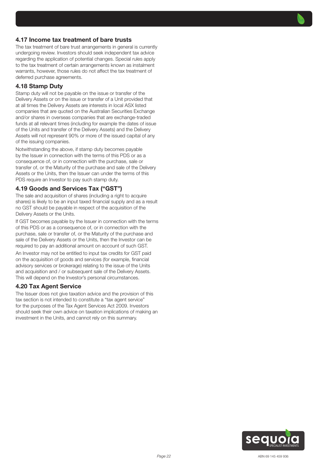## 4.17 Income tax treatment of bare trusts

The tax treatment of bare trust arrangements in general is currently undergoing review. Investors should seek independent tax advice regarding the application of potential changes. Special rules apply to the tax treatment of certain arrangements known as instalment warrants, however, those rules do not affect the tax treatment of deferred purchase agreements.

### 4.18 Stamp Duty

Stamp duty will not be payable on the issue or transfer of the Delivery Assets or on the issue or transfer of a Unit provided that at all times the Delivery Assets are interests in local ASX listed companies that are quoted on the Australian Securities Exchange and/or shares in overseas companies that are exchange-traded funds at all relevant times (including for example the dates of issue of the Units and transfer of the Delivery Assets) and the Delivery Assets will not represent 90% or more of the issued capital of any of the issuing companies.

Notwithstanding the above, if stamp duty becomes payable by the Issuer in connection with the terms of this PDS or as a consequence of, or in connection with the purchase, sale or transfer of, or the Maturity of the purchase and sale of the Delivery Assets or the Units, then the Issuer can under the terms of this PDS require an Investor to pay such stamp duty.

#### 4.19 Goods and Services Tax ("GST")

The sale and acquisition of shares (including a right to acquire shares) is likely to be an input taxed financial supply and as a result no GST should be payable in respect of the acquisition of the Delivery Assets or the Units.

If GST becomes payable by the Issuer in connection with the terms of this PDS or as a consequence of, or in connection with the purchase, sale or transfer of, or the Maturity of the purchase and sale of the Delivery Assets or the Units, then the Investor can be required to pay an additional amount on account of such GST.

An Investor may not be entitled to input tax credits for GST paid on the acquisition of goods and services (for example, financial advisory services or brokerage) relating to the issue of the Units and acquisition and / or subsequent sale of the Delivery Assets. This will depend on the Investor's personal circumstances.

#### 4.20 Tax Agent Service

The Issuer does not give taxation advice and the provision of this tax section is not intended to constitute a "tax agent service" for the purposes of the Tax Agent Services Act 2009. Investors should seek their own advice on taxation implications of making an investment in the Units, and cannot rely on this summary.

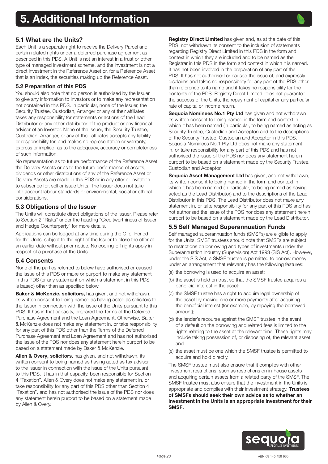<span id="page-22-0"></span>

Each Unit is a separate right to receive the Delivery Parcel and certain related rights under a deferred purchase agreement as described in this PDS. A Unit is not an interest in a trust or other type of managed investment scheme, and the investment is not a direct investment in the Reference Asset or, for a Reference Asset that is an index, the securities making up the Reference Asset.

#### 5.2 Preparation of this PDS

You should also note that no person is authorised by the Issuer to give any information to Investors or to make any representation not contained in this PDS. In particular, none of the Issuer, the Security Trustee, Custodian, Arranger or any of their affiliates takes any responsibility for statements or actions of the Lead Distributor or any other distributor of the product or any financial adviser of an Investor. None of the Issuer, the Security Trustee, Custodian, Arranger, or any of their affiliates accepts any liability or responsibility for, and makes no representation or warranty, express or implied, as to the adequacy, accuracy or completeness of such information.

No representation as to future performance of the Reference Asset, the Delivery Assets or as to the future performance of assets, dividends or other distributions of any of the Reference Asset or Delivery Assets are made in this PDS or in any offer or invitation to subscribe for, sell or issue Units. The Issuer does not take into account labour standards or environmental, social or ethical considerations.

## 5.3 Obligations of the Issuer

The Units will constitute direct obligations of the Issuer. Please refer to Section 2 "Risks" under the heading "Creditworthiness of Issuer and Hedge Counterparty" for more details.

Applications can be lodged at any time during the Offer Period for the Units, subject to the right of the Issuer to close the offer at an earlier date without prior notice. No cooling-off rights apply in respect of a purchase of the Units.

## 5.4 Consents

None of the parties referred to below have authorised or caused the issue of this PDS or make or purport to make any statement in this PDS (or any statement on which a statement in this PDS is based) other than as specified below.

Baker & McKenzie, solicitors, has given, and not withdrawn, its written consent to being named as having acted as solicitors to the Issuer in connection with the issue of the Units pursuant to this PDS. It has in that capacity, prepared the Terms of the Deferred Purchase Agreement and the Loan Agreement. Otherwise, Baker & McKenzie does not make any statement in, or take responsibility for any part of this PDS other than the Terms of the Deferred Purchase Agreement and Loan Agreement and has not authorised the issue of the PDS nor does any statement herein purport to be based on a statement made by Baker & McKenzie.

Allen & Overy, solicitors, has given, and not withdrawn, its written consent to being named as having acted as tax adviser to the Issuer in connection with the issue of the Units pursuant to this PDS. It has in that capacity, been responsible for Section 4 "Taxation". Allen & Overy does not make any statement in, or take responsibility for any part of this PDS other than Section 4 "Taxation", and has not authorised the issue of the PDS nor does any statement herein purport to be based on a statement made by Allen & Overy.

Registry Direct Limited has given and, as at the date of this PDS, not withdrawn its consent to the inclusion of statements regarding Registry Direct Limited in this PDS in the form and context in which they are included and to be named as the Registrar in this PDS in the form and context in which it is named. It has not been involved in the preparation of any part of the PDS. It has not authorised or caused the issue of, and expressly disclaims and takes no responsibility for any part of the PDS other than reference to its name and it takes no responsibility for the contents of the PDS. Registry Direct Limited does not guarantee the success of the Units, the repayment of capital or any particular rate of capital or income return.

Sequoia Nominees No.1 Pty Ltd has given and not withdrawn its written consent to being named in the form and context in which it has been named (in particular, to being named as acting as Security Trustee, Custodian and Acceptor) and to the descriptions of the Security Trustee, Custodian and Acceptor in this PDS. Sequoia Nominees No.1 Pty Ltd does not make any statement in, or take responsibility for any part of this PDS and has not authorised the issue of the PDS nor does any statement herein purport to be based on a statement made by the Security Trustee, Custodian and Acceptor.

Sequoia Asset Management Ltd has given, and not withdrawn, its written consent to being named in the form and context in which it has been named (in particular, to being named as having acted as the Lead Distributor) and to the descriptions of the Lead Distributor in this PDS. The Lead Distributor does not make any statement in, or take responsibility for any part of this PDS and has not authorised the issue of the PDS nor does any statement herein purport to be based on a statement made by the Lead Distributor.

## 5.5 Self Managed Superannuation Funds

Self managed superannuation funds (SMSFs) are eligible to apply for the Units. SMSF trustees should note that SMSFs are subject to restrictions on borrowing and types of investments under the Superannuation Industry (Supervision) Act 1993 (SIS Act). However, under the SIS Act, a SMSF trustee is permitted to borrow money under an arrangement that relevantly has the following features:

- (a) the borrowing is used to acquire an asset;
- (b) the asset is held on trust so that the SMSF trustee acquires a beneficial interest in the asset;
- (c) the SMSF trustee has a right to acquire legal ownership of the asset by making one or more payments after acquiring the beneficial interest (for example, by repaying the borrowed amount);
- (d) the lender's recourse against the SMSF trustee in the event of a default on the borrowing and related fees is limited to the rights relating to the asset at the relevant time. These rights may include taking possession of, or disposing of, the relevant asset; and
- (e) the asset must be one which the SMSF trustee is permitted to acquire and hold directly.

The SMSF trustee must also ensure that it complies with other investment restrictions, such as restrictions on in-house assets and acquiring certain assets from a related party of the SMSF. The SMSF trustee must also ensure that the investment in the Units is appropriate and complies with their investment strategy. Trustees of SMSFs should seek their own advice as to whether an investment in the Units is an appropriate investment for their SMSF.

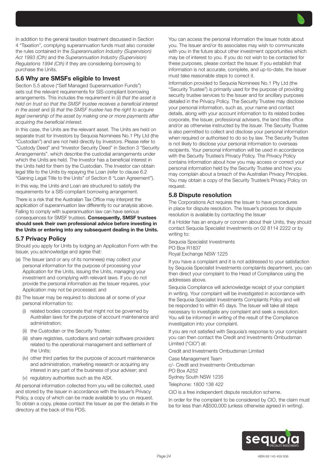In addition to the general taxation treatment discussed in Section 4 "Taxation", complying superannuation funds must also consider the rules contained in the *Superannuation Industry (Supervision) Act 1993 (Cth)* and the *Superannuation Industry (Supervision) Regulations 1994 (Cth)* if they are considering borrowing to purchase the Units.

## 5.6 Why are SMSFs eligible to Invest

Section 5.5 above ("Self Managed Superannuation Funds") sets out the relevant requirements for SIS-compliant borrowing arrangements. This includes the requirement in (ii) *that the asset is held on trust so that the SMSF trustee receives a beneficial interest in the asset* and (ii) *that the SMSF trustee has the right to acquire*  legal ownership of the asset by making one or more payments after *acquiring the beneficial interest.*

In this case, the Units are the relevant asset. The Units are held on separate trust for Investors by Sequoia Nominees No.1 Pty Ltd (the "Custodian") and are not held directly by Investors. Please refer to "Custody Deed" and "Investor Security Deed" in Section 3 "Security Arrangements". which describe the custodial arrangements under which the Units are held. The Investor has a beneficial interest in the Units held for them by the Custodian. The Investor can obtain legal title to the Units by repaying the Loan (refer to clause 6.2 "Gaining Legal Title to the Units" of Section 8 "Loan Agreement").

In this way, the Units and Loan are structured to satisfy the requirements for a SIS-compliant borrowing arrangement.

There is a risk that the Australian Tax Office may interpret the application of superannuation law differently to our analysis above. Failing to comply with superannuation law can have serious consequences for SMSF trustees. Consequently, SMSF trustees should seek their own professional advice before investing in the Units or entering into any subsequent dealing in the Units.

## 5.7 Privacy Policy

Should you apply for Units by lodging an Application Form with the Issuer, you acknowledge and agree that:

- (a) The Issuer (and or any of its nominees) may collect your personal information for the purpose of processing your Application for the Units, issuing the Units, managing your investment and complying with relevant laws. If you do not provide the personal information as the Issuer requires, your Application may not be processed; and
- (b) The Issuer may be required to disclose all or some of your personal information to:
	- related bodies corporate that might not be governed by Australian laws for the purpose of account maintenance and administration;
	- (ii) the Custodian or the Security Trustee;
	- (iii) share registries, custodians and certain software providers related to the operational management and settlement of the Units;
	- (iv) other third parties for the purpose of account maintenance and administration, marketing research or acquiring any interest in any part of the business of your adviser; and
	- (v) regulatory authorities such as the ASX.

All personal information collected from you will be collected, used and stored by the Issuer in accordance with the Issuer's Privacy Policy, a copy of which can be made available to you on request. To obtain a copy, please contact the Issuer as per the details in the directory at the back of this PDS.

You can access the personal information the Issuer holds about you. The Issuer and/or its associates may wish to communicate with you in the future about other investment opportunities which may be of interest to you. If you do not wish to be contacted for these purposes, please contact the Issuer. If you establish that information is not accurate, complete, and up-to-date, the Issuer must take reasonable steps to correct it.

Information provided to Sequoia Nominees No.1 Pty Ltd (the "Security Trustee") is primarily used for the purpose of providing security trustee services to the Issuer and for ancillary purposes detailed in the Privacy Policy. The Security Trustee may disclose your personal information, such as, your name and contact details, along with your account information to its related bodies corporate, the Issuer, professional advisers, the land titles office and/or as otherwise instructed by the Issuer. The Security Trustee is also permitted to collect and disclose your personal information when required or authorised to do so by law. The Security Trustee is not likely to disclose your personal information to overseas recipients. Your personal information will be used in accordance with the Security Trustee's Privacy Policy. The Privacy Policy contains information about how you may access or correct your personal information held by the Security Trustee and how you may complain about a breach of the Australian Privacy Principles. You may obtain a copy of the Security Trustee's Privacy Policy on request.

#### 5.8 Dispute resolution

The Corporations Act requires the Issuer to have procedures in place for dispute resolution. The Issuer's process for dispute resolution is available by contacting the Issuer

If a Holder has an enquiry or concern about their Units, they should contact Sequoia Specialist Investments on 02 8114 2222 or by writing to:

Sequoia Specialist Investments PO Box R1837 Royal Exchange NSW 1225

If you have a complaint and it is not addressed to your satisfaction by Sequoia Specialist Investments complaints department, you can then direct your complaint to the Head of Compliance using the addresses above.

Sequoia Compliance will acknowledge receipt of your complaint in writing. Your complaint will be investigated in accordance with the Sequoia Specialist Investments Complaints Policy and will be responded to within 45 days. The Issuer will take all steps necessary to investigate any complaint and seek a resolution. You will be informed in writing of the result of the Compliance investigation into your complaint.

If you are not satisfied with Sequoia's response to your complaint you can then contact the Credit and Investments Ombudsman Limited ("CIO") at:

Credit and Investments Ombudsman Limited

Case Management Team c/- Credit and Investments Ombudsman PO Box A252 Sydney South NSW 1235 Telephone: 1800 138 422

CIO is a free independent dispute resolution scheme.

In order for the complaint to be considered by CIO, the claim must be for less than A\$500,000 (unless otherwise agreed in writing).

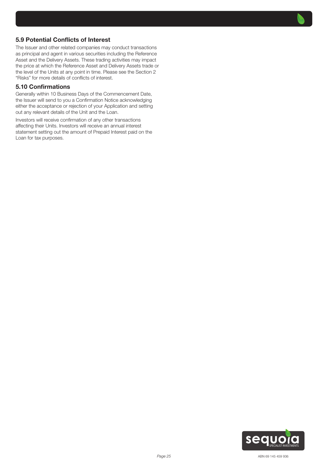## 5.9 Potential Conflicts of Interest

The Issuer and other related companies may conduct transactions as principal and agent in various securities including the Reference Asset and the Delivery Assets. These trading activities may impact the price at which the Reference Asset and Delivery Assets trade or the level of the Units at any point in time. Please see the Section 2 "Risks" for more details of conflicts of interest.

#### 5.10 Confirmations

Generally within 10 Business Days of the Commencement Date, the Issuer will send to you a Confirmation Notice acknowledging either the acceptance or rejection of your Application and setting out any relevant details of the Unit and the Loan.

Investors will receive confirmation of any other transactions affecting their Units. Investors will receive an annual interest statement setting out the amount of Prepaid Interest paid on the Loan for tax purposes.

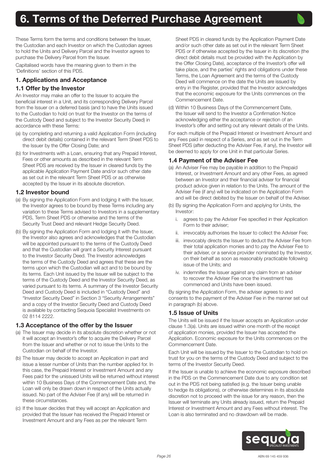<span id="page-25-0"></span>These Terms form the terms and conditions between the Issuer, the Custodian and each Investor on which the Custodian agrees to hold the Units and Delivery Parcel and the Investor agrees to purchase the Delivery Parcel from the Issuer.

Capitalised words have the meaning given to them in the 'Definitions' section of this PDS.

# 1. Applications and Acceptance

# 1.1 Offer by the Investor

An Investor may make an offer to the Issuer to acquire the beneficial interest in a Unit, and its corresponding Delivery Parcel from the Issuer on a deferred basis (and to have the Units issued to the Custodian to hold on trust for the Investor on the terms of the Custody Deed and subject to the Investor Security Deed) in accordance with these Terms:

- (a) by completing and returning a valid Application Form (including direct debit details) contained in the relevant Term Sheet PDS to the Issuer by the Offer Closing Date; and
- (b) for Investments with a Loan, ensuring that any Prepaid Interest, Fees or other amounts as described in the relevant Term Sheet PDS are received by the Issuer in cleared funds by the applicable Application Payment Date and/or such other date as set out in the relevant Term Sheet PDS or as otherwise accepted by the Issuer in its absolute discretion.

## 1.2 Investor bound

- (a) By signing the Application Form and lodging it with the Issuer, the Investor agrees to be bound by these Terms including any variation to these Terms advised to Investors in a supplementary PDS, Term Sheet PDS or otherwise and the terms of the Security Trust Deed and relevant Hedge Security Deed.
- (b) By signing the Application Form and lodging it with the Issuer, the Investor also agrees and acknowledges that the Custodian will be appointed pursuant to the terms of the Custody Deed and that the Custodian will grant a Security Interest pursuant to the Investor Security Deed. The Investor acknowledges the terms of the Custody Deed and agrees that these are the terms upon which the Custodian will act and to be bound by its terms. Each Unit issued by the Issuer will be subject to the terms of the Custody Deed and the Investor Security Deed, as varied pursuant to its terms. A summary of the Investor Security Deed and Custody Deed is included in "Custody Deed" and "Investor Security Deed" in Section 3 "Security Arrangements" and a copy of the Investor Security Deed and Custody Deed is available by contacting Sequoia Specialist Investments on 02 8114 2222.

## 1.3 Acceptance of the offer by the Issuer

- (a) The Issuer may decide in its absolute discretion whether or not it will accept an Investor's offer to acquire the Delivery Parcel from the Issuer and whether or not to issue the Units to the Custodian on behalf of the Investor.
- (b) The Issuer may decide to accept an Application in part and issue a lesser number of Units than the number applied for. In this case, the Prepaid Interest or Investment Amount and any Fees paid for the unissued Units will be returned without interest within 10 Business Days of the Commencement Date and, the Loan will only be drawn down in respect of the Units actually issued. No part of the Adviser Fee (if any) will be returned in these circumstances.
- (c) If the Issuer decides that they will accept an Application and provided that the Issuer has received the Prepaid Interest or Investment Amount and any Fees as per the relevant Term

Sheet PDS in cleared funds by the Application Payment Date and/or such other date as set out in the relevant Term Sheet PDS or if otherwise accepted by the Issuer in its discretion (the direct debit details must be provided with the Application by the Offer Closing Date), acceptance of the Investor's offer will take place, and the parties' rights and obligations under these Terms, the Loan Agreement and the terms of the Custody Deed will commence on the date the Units are issued by entry in the Register, provided that the Investor acknowledges that the economic exposure for the Units commences on the Commencement Date.

(d) Within 10 Business Days of the Commencement Date, the Issuer will send to the Investor a Confirmation Notice acknowledging either the acceptance or rejection of an Investor's offer and setting out any relevant details of the Units.

For each multiple of the Prepaid Interest or Investment Amount and any Fees paid in respect of a Series, and as set out in the Term Sheet PDS (after deducting the Adviser Fee, if any), the Investor will be deemed to apply for one Unit in that particular Series.

## 1.4 Payment of the Adviser Fee

- (a) An Adviser Fee may be payable in addition to the Prepaid Interest, or Investment Amount and any other Fees, as agreed between an Investor and their financial adviser for financial product advice given in relation to the Units. The amount of the Adviser Fee (if any) will be indicated on the Application Form and will be direct debited by the Issuer on behalf of the Adviser.
- (b) By signing the Application Form and applying for Units, the Investor:
	- i. agrees to pay the Adviser Fee specified in their Application Form to their adviser;
	- ii. irrevocably authorises the Issuer to collect the Adviser Fee;
	- iii. irrevocably directs the Issuer to deduct the Adviser Fee from their total application monies and to pay the Adviser Fee to their adviser, or a service provider nominated by the Investor, on their behalf as soon as reasonably practicable following issue of the Units; and
	- iv. indemnifies the Issuer against any claim from an adviser to recover the Adviser Fee once the investment has commenced and Units have been issued.

By signing the Application Form, the adviser agrees to and consents to the payment of the Adviser Fee in the manner set out in paragraph (b) above.

## 1.5 Issue of Units

The Units will be issued if the Issuer accepts an Application under clause 1.3(a). Units are issued within one month of the receipt of application monies, provided the Issuer has accepted the Application. Economic exposure for the Units commences on the Commencement Date.

Each Unit will be issued by the Issuer to the Custodian to hold on trust for you on the terms of the Custody Deed and subject to the terms of the Investor Security Deed.

If the Issuer is unable to achieve the economic exposure described in the PDS on the Commencement Date due to any condition set out in the PDS not being satisfied (e.g. the Issuer being unable to hedge its obligations), or otherwise determines in its absolute discretion not to proceed with the issue for any reason, then the Issuer will terminate any Units already issued, return the Prepaid Interest or Investment Amount and any Fees without interest. The Loan is also terminated and no drawdown will be made.

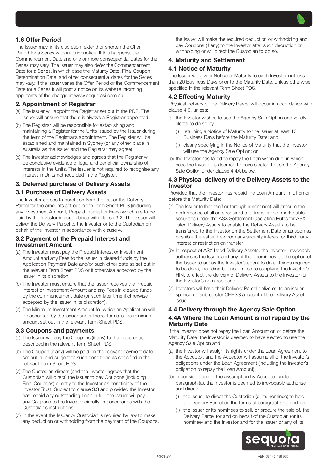# 1.6 Offer Period

The Issuer may, in its discretion, extend or shorten the Offer Period for a Series without prior notice. If this happens, the Commencement Date and one or more consequential dates for the Series may vary. The Issuer may also defer the Commencement Date for a Series, in which case the Maturity Date, Final Coupon Determination Date, and other consequential dates for the Series may vary. If the Issuer varies the Offer Period or the Commencement Date for a Series it will post a notice on its website informing applicants of the change at www.sequoiasi.com.au.

## 2. Appointment of Registrar

- (a) The Issuer will appoint the Registrar set out in the PDS. The Issuer will ensure that there is always a Registrar appointed.
- (b) The Registrar will be responsible for establishing and maintaining a Register for the Units issued by the Issuer during the term of the Registrar's appointment. The Register will be established and maintained in Sydney (or any other place in Australia as the Issuer and the Registrar may agree).
- (c) The Investor acknowledges and agrees that the Register will be conclusive evidence of legal and beneficial ownership of interests in the Units. The Issuer is not required to recognise any interest in Units not recorded in the Register.

## 3. Deferred purchase of Delivery Assets

#### 3.1 Purchase of Delivery Assets

The Investor agrees to purchase from the Issuer the Delivery Parcel for the amounts set out in the Term Sheet PDS (including any Investment Amount, Prepaid Interest or Fees) which are to be paid by the Investor in accordance with clause 3.2. The Issuer will deliver the Delivery Parcel to the Investor or to the Custodian on behalf of the Investor in accordance with clause 4.

#### 3.2 Payment of the Prepaid Interest and Investment Amount

- (a) The Investor must pay the Prepaid Interest or Investment Amount and any Fees to the Issuer in cleared funds by the Application Payment Date and/or such other date as set out in the relevant Term Sheet PDS or if otherwise accepted by the Issuer in its discretion.
- (b) The Investor must ensure that the Issuer receives the Prepaid Interest or Investment Amount and any Fees in cleared funds by the commencement date (or such later time if otherwise accepted by the Issuer in its discretion).
- (c) The Minimum Investment Amount for which an Application will be accepted by the Issuer under these Terms is the minimum amount set out in the relevant Term Sheet PDS.

#### 3.3 Coupons and payments

- (a) The Issuer will pay the Coupons (if any) to the Investor as described in the relevant Term Sheet PDS.
- (b) The Coupon (if any) will be paid on the relevant payment date set out in, and subject to such conditions as specified in the relevant Term Sheet PDS.
- (c) The Custodian directs (and the Investor agrees that the Custodian will direct) the Issuer to pay Coupons (including Final Coupons) directly to the Investor as beneficiary of the Investor Trust. Subject to clause 3.3 and provided the Investor has repaid any outstanding Loan in full, the Issuer will pay any Coupons to the Investor directly, in accordance with the Custodian's instructions.
- (d) In the event the Issuer or Custodian is required by law to make any deduction or withholding from the payment of the Coupons,

the Issuer will make the required deduction or withholding and pay Coupons (if any) to the Investor after such deduction or withholding or will direct the Custodian to do so.

#### 4. Maturity and Settlement

## 4.1 Notice of Maturity

The Issuer will give a Notice of Maturity to each Investor not less than 20 Business Days prior to the Maturity Date, unless otherwise specified in the relevant Term Sheet PDS.

### 4.2 Effecting Maturity

Physical delivery of the Delivery Parcel will occur in accordance with clause 4.3, unless:

- (a) the Investor wishes to use the Agency Sale Option and validly elects to do so by:
	- (i) returning a Notice of Maturity to the Issuer at least 10 Business Days before the Maturity Date; and
	- (ii) clearly specifying in the Notice of Maturity that the Investor will use the Agency Sale Option; or
- (b) the Investor has failed to repay the Loan when due, in which case the Investor is deemed to have elected to use the Agency Sale Option under clause 4.4A below.

#### 4.3 Physical delivery of the Delivery Assets to the Investor

Provided that the Investor has repaid the Loan Amount in full on or before the Maturity Date:

- (a) The Issuer (either itself or through a nominee) will procure the performance of all acts required of a transferor of marketable securities under the ASX Settlement Operating Rules for ASX listed Delivery Assets to enable the Delivery Assets to be transferred to the Investor on the Settlement Date or as soon as possible thereafter, free from any security interest or third party interest or restriction on transfer;
- (b) In respect of ASX listed Delivery Assets, the Investor irrevocably authorises the Issuer and any of their nominees, at the option of the Issuer to act as the Investor's agent to do all things required to be done, including but not limited to supplying the Investor's HIN, to effect the delivery of Delivery Assets to the Investor (or the Investor's nominee); and
- (c) Investors will have their Delivery Parcel delivered to an issuer sponsored subregister CHESS account of the Delivery Asset issuer.

#### 4.4 Delivery through the Agency Sale Option

#### 4.4A Where the Loan Amount is not repaid by the Maturity Date

If the Investor does not repay the Loan Amount on or before the Maturity Date, the Investor is deemed to have elected to use the Agency Sale Option and:

- (a) the Investor will assign its rights under the Loan Agreement to the Acceptor, and the Acceptor will assume all of the Investor's obligations under the Loan Agreement (including the Investor's obligation to repay the Loan Amount);
- (b) in consideration of the assumption by Acceptor under paragraph (a), the Investor is deemed to irrevocably authorise and direct:
	- (i) the Issuer to direct the Custodian (or its nominee) to hold the Delivery Parcel on the terms of paragraphs (c) and (d);
	- (ii) the Issuer or its nominees to sell, or procure the sale of, the Delivery Parcel for and on behalf of the Custodian (or its nominee) and the Investor and for the Issuer or any of its

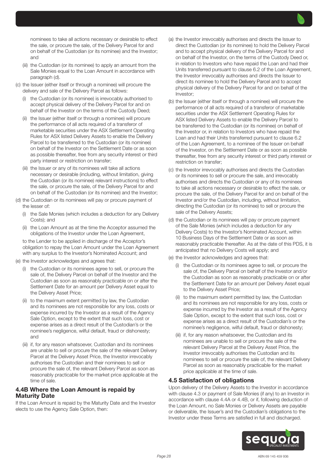nominees to take all actions necessary or desirable to effect the sale, or procure the sale, of the Delivery Parcel for and on behalf of the Custodian (or its nominee) and the Investor; and

- (iii) the Custodian (or its nominee) to apply an amount from the Sale Monies equal to the Loan Amount in accordance with paragraph (d).
- (c) the Issuer (either itself or through a nominee) will procure the delivery and sale of the Delivery Parcel as follows:
	- (i) the Custodian (or its nominee) is irrevocably authorised to accept physical delivery of the Delivery Parcel for and on behalf of the Investor on the terms of the Custody Deed;
	- (ii) the Issuer (either itself or through a nominee) will procure the performance of all acts required of a transferor of marketable securities under the ASX Settlement Operating Rules for ASX listed Delivery Assets to enable the Delivery Parcel to be transferred to the Custodian (or its nominee) on behalf of the Investor on the Settlement Date or as soon as possible thereafter, free from any security interest or third party interest or restriction on transfer;
	- (iii) the Issuer or any of its nominees will take all actions necessary or desirable (including, without limitation, giving the Custodian (or its nominee) relevant instructions) to effect the sale, or procure the sale, of the Delivery Parcel for and on behalf of the Custodian (or its nominee) and the Investor;
- (d) the Custodian or its nominees will pay or procure payment of the lesser of:
	- (i) the Sale Monies (which includes a deduction for any Delivery Costs); and
	- (ii) the Loan Amount as at the time the Acceptor assumed the obligations of the Investor under the Loan Agreement,

to the Lender to be applied in discharge of the Acceptor's obligation to repay the Loan Amount under the Loan Agreement with any surplus to the Investor's Nominated Account; and

- (e) the Investor acknowledges and agrees that:
	- (i) the Custodian or its nominees agree to sell, or procure the sale of, the Delivery Parcel on behalf of the Investor and the Custodian as soon as reasonably practicable on or after the Settlement Date for an amount per Delivery Asset equal to the Delivery Asset Price;
	- (ii) to the maximum extent permitted by law, the Custodian and its nominees are not responsible for any loss, costs or expense incurred by the Investor as a result of the Agency Sale Option, except to the extent that such loss, cost or expense arises as a direct result of the Custodian's or the nominee's negligence, wilful default, fraud or dishonesty; and
	- (iii) if, for any reason whatsoever, Custodian and its nominees are unable to sell or procure the sale of the relevant Delivery Parcel at the Delivery Asset Price, the Investor irrevocably authorises the Custodian and their nominees to sell or procure the sale of, the relevant Delivery Parcel as soon as reasonably practicable for the market price applicable at the time of sale.

#### 4.4B Where the Loan Amount is repaid by Maturity Date

If the Loan Amount is repaid by the Maturity Date and the Investor elects to use the Agency Sale Option, then:

- (a) the Investor irrevocably authorises and directs the Issuer to direct the Custodian (or its nominee) to hold the Delivery Parcel and to accept physical delivery of the Delivery Parcel for and on behalf of the Investor, on the terms of the Custody Deed or, in relation to Investors who have repaid the Loan and had their Units transferred pursuant to clause 6.2 of the Loan Agreement, the Investor irrevocably authorises and directs the Issuer to direct its nominee to hold the Delivery Parcel and to accept physical delivery of the Delivery Parcel for and on behalf of the Investor;
- (b) the Issuer (either itself or through a nominee) will procure the performance of all acts required of a transferor of marketable securities under the ASX Settlement Operating Rules for ASX listed Delivery Assets to enable the Delivery Parcel to be transferred to the Custodian (or its nominee) on behalf of the Investor or, in relation to Investors who have repaid the Loan and had their Units transferred pursuant to clause 6.2 of the Loan Agreement, to a nominee of the Issuer on behalf of the Investor, on the Settlement Date or as soon as possible thereafter, free from any security interest or third party interest or restriction on transfer;
- (c) the Investor irrevocably authorises and directs the Custodian or its nominees to sell or procure the sale, and irrevocably authorises and directs the Custodian or any of its nominees to take all actions necessary or desirable to effect the sale, or procure the sale, of the Delivery Parcel for and on behalf of the Investor and/or the Custodian, including, without limitation, directing the Custodian (or its nominee) to sell or procure the sale of the Delivery Assets;
- (d) the Custodian or its nominees will pay or procure payment of the Sale Monies (which includes a deduction for any Delivery Costs) to the Investor's Nominated Account, within 10 Business Days of the Settlement Date or as soon as reasonably practicable thereafter. As at the date of this PDS, it is anticipated that no Delivery Costs will apply; and
- (e) the Investor acknowledges and agrees that:
	- (i) the Custodian or its nominees agree to sell, or procure the sale of, the Delivery Parcel on behalf of the Investor and/or the Custodian as soon as reasonably practicable on or after the Settlement Date for an amount per Delivery Asset equal to the Delivery Asset Price;
	- (ii) to the maximum extent permitted by law, the Custodian and its nominees are not responsible for any loss, costs or expense incurred by the Investor as a result of the Agency Sale Option, except to the extent that such loss, cost or expense arises as a direct result of the Custodian's or the nominee's negligence, wilful default, fraud or dishonesty;
	- (iii) if, for any reason whatsoever, the Custodian and its nominees are unable to sell or procure the sale of the relevant Delivery Parcel at the Delivery Asset Price, the Investor irrevocably authorises the Custodian and its nominees to sell or procure the sale of, the relevant Delivery Parcel as soon as reasonably practicable for the market price applicable at the time of sale.

## 4.5 Satisfaction of obligations

Upon delivery of the Delivery Assets to the Investor in accordance with clause 4.3 or payment of Sale Monies (if any) to an Investor in accordance with clause 4.4A or 4.4B, or if, following deduction of the Loan Amount, no Sale Monies or Delivery Assets are payable or deliverable, the Issuer's and the Custodian's obligations to the Investor under these Terms are satisfied in full and discharged.

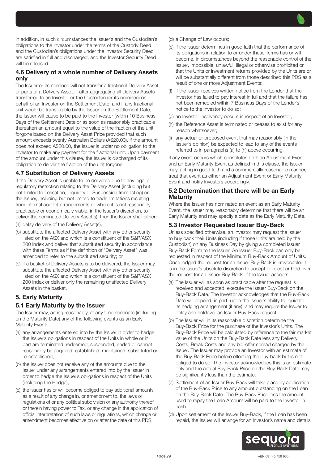In addition, in such circumstances the Issuer's and the Custodian's obligations to the Investor under the terms of the Custody Deed and the Custodian's obligations under the Investor Security Deed are satisfied in full and discharged, and the Investor Security Deed will be released.

## 4.6 Delivery of a whole number of Delivery Assets only

The Issuer or its nominee will not transfer a fractional Delivery Asset or parts of a Delivery Asset. If after aggregating all Delivery Assets transferred to an Investor or the Custodian (or its nominee) on behalf of an Investor on the Settlement Date, and if any fractional unit would be transferable by the Issuer on the Settlement Date, the Issuer will cause to be paid to the Investor (within 10 Business Days of the Settlement Date or as soon as reasonably practicable thereafter) an amount equal to the value of the fraction of the unit forgone based on the Delivery Asset Price provided that such amount exceeds twenty Australian Dollars (A\$20.00). If the amount does not exceed A\$20.00, the Issuer is under no obligation to the Investor to make any payment for the fractional unit. Upon payment of the amount under this clause, the Issuer is discharged of its obligation to deliver the fraction of the unit forgone.

## 4.7 Substitution of Delivery Assets

If the Delivery Asset is unable to be delivered due to any legal or regulatory restriction relating to the Delivery Asset (including but not limited to cessation, illiquidity or Suspension from listing) or the Issuer, including but not limited to trade limitations resulting from internal conflict arrangements or where it is not reasonably practicable or economically viable, in the Issuer's discretion, to deliver the nominated Delivery Asset(s), then the Issuer shall either:

- (a) delay delivery of the Delivery Asset(s);
- (b) substitute the affected Delivery Asset with any other security listed on the ASX and which is a constituent of the S&P/ASX 200 Index and deliver that substituted security in accordance with these Terms as if the definition of "Delivery Asset" was amended to refer to the substituted security; or
- (c) if a basket of Delivery Assets is to be delivered, the Issuer may substitute the affected Delivery Asset with any other security listed on the ASX and which is a constituent of the S&P/ASX 200 Index or deliver only the remaining unaffected Delivery Assets in the basket.

#### 5. Early Maturity

## 5.1 Early Maturity by the Issuer

The Issuer may, acting reasonably, at any time nominate (including on the Maturity Date) any of the following events as an Early Maturity Event:

- (a) any arrangements entered into by the Issuer in order to hedge the Issuer's obligations in respect of the Units in whole or in part are terminated, redeemed, suspended, ended or cannot reasonably be acquired, established, maintained, substituted or re-established;
- (b) the Issuer does not receive any of the amounts due to the Issuer under any arrangements entered into by the Issuer in order to hedge the Issuer's obligations in respect of the Units (including the Hedge);
- (c) the Issuer has or will become obliged to pay additional amounts as a result of any change in, or amendment to, the laws or regulations of or any political subdivision or any authority thereof or therein having power to Tax, or any change in the application of official interpretation of such laws or regulations, which change or amendment becomes effective on or after the date of this PDS;
- (d) a Change of Law occurs;
- (e) if the Issuer determines in good faith that the performance of its obligations in relation to or under these Terms has or will become, in circumstances beyond the reasonable control of the Issuer, impossible, unlawful, illegal or otherwise prohibited or that the Units or investment returns provided by the Units are or will be substantially different from those described this PDS as a result of one or more Adjustment Events;
- (f) if the Issuer receives written notice from the Lender that the Investor has failed to pay interest in full and that the failure has not been remedied within 7 Business Days of the Lender's notice to the Investor to do so;
- (g) an Investor Insolvency occurs in respect of an Investor;
- (h) the Reference Asset is terminated or ceases to exist for any reason whatsoever;
- (i) any actual or proposed event that may reasonably (in the Issuer's opinion) be expected to lead to any of the events referred to in paragraphs (a) to (h) above occurring.

If any event occurs which constitutes both an Adjustment Event and an Early Maturity Event as defined in this clause, the Issuer may, acting in good faith and a commercially reasonable manner, treat that event as either an Adjustment Event or Early Maturity Event and notify Investors accordingly.

#### 5.2 Determination that there will be an Early Maturity

Where the Issuer has nominated an event as an Early Maturity Event, the Issuer may reasonably determine that there will be an Early Maturity and may specify a date as the Early Maturity Date.

#### 5.3 Investor Requested Issuer Buy-Back

Unless specified otherwise, an Investor may request the Issuer to buy back their Units (including if those Units are held by the Custodian) on any Business Day by giving a completed Issuer Buy-Back Form to the Issuer. An Issuer Buy-Back can only be requested in respect of the Minimum Buy-Back Amount of Units. Once lodged the request for an Issuer Buy-Back is irrevocable. It is in the Issuer's absolute discretion to accept or reject or hold over the request for an Issuer Buy-Back. If the Issuer accepts:

- (a) The Issuer will as soon as practicable after the request is received and accepted, execute the Issuer Buy-Back on the Buy-Back Date. The Investor acknowledges that the Buy-Back Date will depend, in part, upon the Issuer's ability to liquidate its hedging arrangement (if any), and may require the Issuer to delay and holdover an Issuer Buy-Back request.
- (b) The Issuer will in its reasonable discretion determine the Buy-Back Price for the purchase of the Investor's Units. The Buy-Back Price will be calculated by reference to the fair market value of the Units on the Buy-Back Date less any Delivery Costs, Break Costs and any bid-offer spread charged by the Issuer. The Issuer may provide an Investor with an estimate of the Buy-Back Price before effecting the buy-back but is not obliged to do so. The Investor acknowledges this is an estimate only and the actual Buy-Back Price on the Buy-Back Date may be significantly less than the estimate.
- (c) Settlement of an Issuer Buy-Back will take place by application of the Buy-Back Price to any amount outstanding on the Loan on the Buy-Back Date. The Buy-Back Price less the amount used to repay the Loan Amount will be paid to the Investor in cash.
- (d) Upon settlement of the Issuer Buy-Back, if the Loan has been repaid, the Issuer will arrange for an Investor's name and details

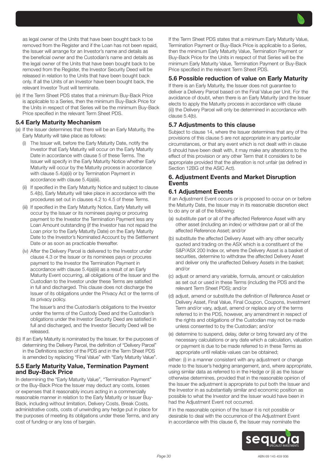as legal owner of the Units that have been bought back to be removed from the Register and if the Loan has not been repaid, the Issuer will arrange for an Investor's name and details as the beneficial owner and the Custodian's name and details as the legal owner of the Units that have been bought back to be removed from the Register, the Investor Security Deed will be released in relation to the Units that have been bought back only. If all the Units of an Investor have been bought back, the relevant Investor Trust will terminate.

(e) If the Term Sheet PDS states that a minimum Buy-Back Price is applicable to a Series, then the minimum Buy-Back Price for the Units in respect of that Series will be the minimum Buy-Back Price specified in the relevant Term Sheet PDS.

## 5.4 Early Maturity Mechanism

- (a) If the Issuer determines that there will be an Early Maturity, the Early Maturity will take place as follows:
	- (i) The Issuer will, before the Early Maturity Date, notify the Investor that Early Maturity will occur on the Early Maturity Date in accordance with clause 5 of these Terms. The Issuer will specify in the Early Maturity Notice whether Early Maturity will occur by the Maturity process in accordance with clause 5.4(a)(ii) or by Termination Payment in accordance with clause 5.4(a)(iii).
	- (ii) If specified in the Early Maturity Notice and subject to clause 5.4(b), Early Maturity will take place in accordance with the procedures set out in clauses 4.2 to 4.5 of these Terms.
	- (iii) If specified in the Early Maturity Notice, Early Maturity will occur by the Issuer or its nominees paying or procuring payment to the Investor the Termination Payment less any Loan Amount outstanding (if the Investor has not repaid the Loan prior to the Early Maturity Date) on the Early Maturity Date to the Investor's Nominated Account by the Settlement Date or as soon as practicable thereafter.
	- (iv) After the Delivery Parcel is delivered to the Investor under clause 4.3 or the Issuer or its nominees pays or procures payment to the Investor the Termination Payment in accordance with clause 5.4(a)(iii) as a result of an Early Maturity Event occurring, all obligations of the Issuer and the Custodian to the Investor under these Terms are satisfied in full and discharged. This clause does not discharge the Issuer of its obligations under the Privacy Act or the terms of its privacy policy.

The Issuer's and the Custodian's obligations to the Investor under the terms of the Custody Deed and the Custodian's obligations under the Investor Security Deed are satisfied in full and discharged, and the Investor Security Deed will be released.

(b) If an Early Maturity is nominated by the Issuer, for the purposes of determining the Delivery Parcel, the definition of "Delivery Parcel" in the Definitions section of the PDS and in the Term Sheet PDS is amended by replacing "Final Value" with "Early Maturity Value".

#### 5.5 Early Maturity Value, Termination Payment and Buy-Back Price

In determining the "Early Maturity Value", "Termination Payment" or the Buy-Back Price the Issuer may deduct any costs, losses or expenses that it reasonably incurs acting in a commercially reasonable manner in relation to the Early Maturity or Issuer Buy-Back, including without limitation, Delivery Costs, Break Costs, administrative costs, costs of unwinding any hedge put in place for the purposes of meeting its obligations under these Terms, and any cost of funding or any loss of bargain.

If the Term Sheet PDS states that a minimum Early Maturity Value, Termination Payment or Buy-Back Price is applicable to a Series, then the minimum Early Maturity Value, Termination Payment or Buy-Back Price for the Units in respect of that Series will be the minimum Early Maturity Value, Termination Payment or Buy-Back Price specified in the relevant Term Sheet PDS.

# 5.6 Possible reduction of value on Early Maturity

If there is an Early Maturity, the Issuer does not guarantee to deliver a Delivery Parcel based on the Final Value per Unit. For the avoidance of doubt, when there is an Early Maturity (and the Issuer elects to apply the Maturity process in accordance with clause (ii)) the Delivery Parcel will only be determined in accordance with clause 5.4(b).

## 5.7 Adjustments to this clause

Subject to clause 14, where the Issuer determines that any of the provisions of this clause 5 are not appropriate in any particular circumstances, or that any event which is not dealt with in clause 5 should have been dealt with, it may make any alterations to the effect of this provision or any other Term that it considers to be appropriate provided that the alteration is not unfair (as defined in Section 12BG of the ASIC Act).

### 6. Adjustment Events and Market Disruption **Events**

### 6.1 Adjustment Events

If an Adjustment Event occurs or is proposed to occur on or before the Maturity Date, the Issuer may in its reasonable discretion elect to do any or all of the following:

- (a) substitute part or all of the affected Reference Asset with any other asset (including an index) or withdraw part or all of the affected Reference Asset; and/or
- (b) substitute the affected Delivery Asset with any other security quoted and trading on the ASX which is a constituent of the S&P/ASX 200 Index or, where the Delivery Asset is a basket of securities, determine to withdraw the affected Delivery Asset and deliver only the unaffected Delivery Assets in the basket; and/or
- (c) adjust or amend any variable, formula, amount or calculation as set out or used in these Terms (including the PDS and the relevant Term Sheet PDS); and/or
- (d) adjust, amend or substitute the definition of Reference Asset or Delivery Asset, Final Value, Final Coupon, Coupons, Investment Term and/or vary, adjust, amend or replace any of the terms referred to in the PDS, however, any amendment in respect of the rights and obligations of the Custodian may not be made unless consented to by the Custodian; and/or
- (e) determine to suspend, delay, defer or bring forward any of the necessary calculations or any date which a calculation, valuation or payment is due to be made referred to in these Terms as appropriate until reliable values can be obtained;

either: (i) in a manner consistent with any adjustment or change made to the Issuer's hedging arrangement, and, where appropriate, using similar data as referred to in the Hedge or (ii) as the Issuer otherwise determines, provided that in the reasonable opinion of the Issuer the adjustment is appropriate to put both the Issuer and the Investor in as substantially similar and economic position as possible to what the Investor and the Issuer would have been in had the Adjustment Event not occurred.

If in the reasonable opinion of the Issuer it is not possible or desirable to deal with the occurrence of the Adjustment Event in accordance with this clause 6, the Issuer may nominate the

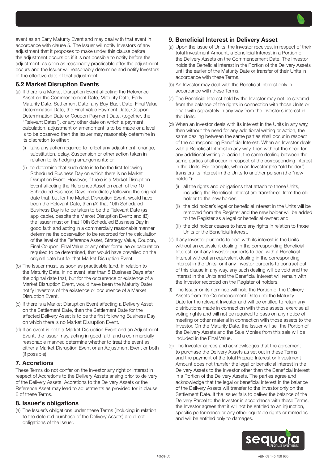event as an Early Maturity Event and may deal with that event in accordance with clause 5. The Issuer will notify Investors of any adjustment that it proposes to make under this clause before the adjustment occurs or, if it is not possible to notify before the adjustment, as soon as reasonably practicable after the adjustment occurs and the Issuer will reasonably determine and notify Investors of the effective date of that adjustment.

## 6.2 Market Disruption Events

- (a) If there is a Market Disruption Event affecting the Reference Asset on the Commencement Date, Maturity Date, Early Maturity Date, Settlement Date, any Buy-Back Date, Final Value Determination Date, the Final Value Payment Date, Coupon Determination Date or Coupon Payment Date, (together, the "Relevant Dates"), or any other date on which a payment, calculation, adjustment or amendment is to be made or a level is to be observed then the Issuer may reasonably determine in its discretion to either:
	- (i) take any action required to reflect any adjustment, change, substitution, delay, Suspension or other action taken in relation to its hedging arrangements: or
	- (ii) to determine that such date is to be the first following Scheduled Business Day on which there is no Market Disruption Event. However, if there is a Market Disruption Event affecting the Reference Asset on each of the 10 Scheduled Business Days immediately following the original date that, but for the Market Disruption Event, would have been the Relevant Date, then (A) that 10th Scheduled Business Day is to be taken to be the Relevant Date (as applicable), despite the Market Disruption Event; and (B) the Issuer must on that 10th Scheduled Business Day in good faith and acting in a commercially reasonable manner determine the observation to be recorded for the calculation of the level of the Reference Asset, Strategy Value, Coupon, Final Coupon, Final Value or any other formulae or calculation required to be determined, that would have prevailed on the original date but for that Market Disruption Event.
- (b) The Issuer must, as soon as practicable (and, in relation to the Maturity Date, in no event later than 5 Business Days after the original date that, but for the occurrence or existence of a Market Disruption Event, would have been the Maturity Date) notify Investors of the existence or occurrence of a Market Disruption Event.
- (c) If there is a Market Disruption Event affecting a Delivery Asset on the Settlement Date, then the Settlement Date for the affected Delivery Asset is to be the first following Business Day on which there is no Market Disruption Event.
- (d) If an event is both a Market Disruption Event and an Adjustment Event, the Issuer may, acting in good faith and a commercially reasonable manner, determine whether to treat the event as either a Market Disruption Event or an Adjustment Event or both (if possible).

## 7. Accretions

These Terms do not confer on the Investor any right or interest in respect of Accretions to the Delivery Assets arising prior to delivery of the Delivery Assets. Accretions to the Delivery Assets or the Reference Asset may lead to adjustments as provided for in clause 6 of these Terms.

## 8. Issuer's obligations

(a) The Issuer's obligations under these Terms (including in relation to the deferred purchase of the Delivery Assets) are direct obligations of the Issuer.

## 9. Beneficial Interest in Delivery Asset

- (a) Upon the issue of Units, the Investor receives, in respect of their total Investment Amount, a Beneficial Interest in a Portion of the Delivery Assets on the Commencement Date. The Investor holds the Beneficial Interest in the Portion of the Delivery Assets until the earlier of the Maturity Date or transfer of their Units in accordance with these Terms.
- (b) An Investor may deal with the Beneficial Interest only in accordance with these Terms.
- (c) The Beneficial Interest held by the Investor may not be severed from the balance of the rights in connection with those Units or dealt with separately in any way from the Investor's interest in the Units.
- (d) When an Investor deals with its interest in the Units in any way, then without the need for any additional writing or action, the same dealing between the same parties shall occur in respect of the corresponding Beneficial Interest. When an Investor deals with a Beneficial Interest in any way, then without the need for any additional writing or action, the same dealing between the same parties shall occur in respect of the corresponding interest in the Units. For example, when an Investor (the "old holder") transfers its interest in the Units to another person (the "new holder"):
	- (i) all the rights and obligations that attach to those Units, including the Beneficial Interest are transferred from the old holder to the new holder;
	- (ii) the old holder's legal or beneficial interest in the Units will be removed from the Register and the new holder will be added to the Register as a legal or beneficial owner; and
	- (iii) the old holder ceases to have any rights in relation to those Units or the Beneficial Interest.
- (e) If any Investor purports to deal with its interest in the Units without an equivalent dealing in the corresponding Beneficial Interest, or if any Investor purports to deal with a Beneficial Interest without an equivalent dealing in the corresponding interest in the Units, or if any Investor purports to contract out of this clause in any way, any such dealing will be void and the interest in the Units and the Beneficial Interest will remain with the Investor recorded on the Register of holders.
- (f) The Issuer or its nominee will hold the Portion of the Delivery Assets from the Commencement Date until the Maturity Date for the relevant Investor and will be entitled to retain any distributions made in connection with those assets, exercise all voting rights and will not be required to pass on any notice of meeting or other material in connection with those assets to the Investor. On the Maturity Date, the Issuer will sell the Portion of the Delivery Assets and the Sale Monies from this sale will be included in the Final Value.
- (g) The Investor agrees and acknowledges that the agreement to purchase the Delivery Assets as set out in these Terms and the payment of the total Prepaid Interest or Investment Amount does not transfer the legal or beneficial interest in the Delivery Assets to the Investor other than the Beneficial Interest in a Portion of the Delivery Assets. The parties agree and acknowledge that the legal or beneficial interest in the balance of the Delivery Assets will transfer to the Investor only on the Settlement Date. If the Issuer fails to deliver the balance of the Delivery Parcel to the Investor in accordance with these Terms, the Investor agrees that it will not be entitled to an injunction, specific performance or any other equitable rights or remedies and will be entitled only to damages.

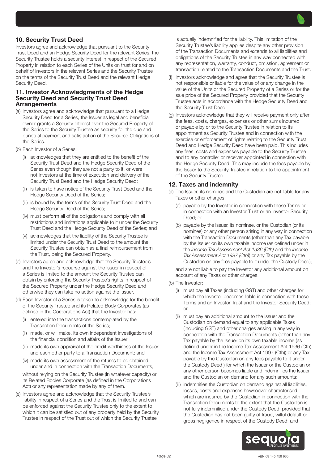## 10. Security Trust Deed

Investors agree and acknowledge that pursuant to the Security Trust Deed and an Hedge Security Deed for the relevant Series, the Security Trustee holds a security interest in respect of the Secured Property in relation to each Series of the Units on trust for and on behalf of Investors in the relevant Series and the Security Trustee on the terms of the Security Trust Deed and the relevant Hedge Security Deed.

#### 11. Investor Acknowledgments of the Hedge Security Deed and Security Trust Deed **Arrangements**

- (a) Investors agree and acknowledge that pursuant to a Hedge Security Deed for a Series, the Issuer as legal and beneficial owner grants a Security Interest over the Secured Property of the Series to the Security Trustee as security for the due and punctual payment and satisfaction of the Secured Obligations of the Series.
- (b) Each Investor of a Series:
	- (i) acknowledges that they are entitled to the benefit of the Security Trust Deed and the Hedge Security Deed of the Series even though they are not a party to it, or were not Investors at the time of execution and delivery of the Security Trust Deed and the Hedge Security Deed;
	- (ii) is taken to have notice of the Security Trust Deed and the Hedge Security Deed of the Series;
	- (iii) is bound by the terms of the Security Trust Deed and the Hedge Security Deed of the Series;
	- (iv) must perform all of the obligations and comply with all restrictions and limitations applicable to it under the Security Trust Deed and the Hedge Security Deed of the Series; and
	- (v) acknowledges that the liability of the Security Trustee is limited under the Security Trust Deed to the amount the Security Trustee can obtain as a final reimbursement from the Trust, being the Secured Property.
- (c) Investors agree and acknowledge that the Security Trustee's and the Investor's recourse against the Issuer in respect of a Series is limited to the amount the Security Trustee can obtain by enforcing the Security Trustee's rights in respect of the Secured Property under the Hedge Security Deed and otherwise they can take no action against the Issuer.
- (d) Each Investor of a Series is taken to acknowledge for the benefit of the Security Trustee and its Related Body Corporates (as defined in the Corporations Act) that the Investor has:
	- (i) entered into the transactions contemplated by the Transaction Documents of the Series;
	- (ii) made, or will make, its own independent investigations of the financial condition and affairs of the Issuer;
	- (iii) made its own appraisal of the credit worthiness of the Issuer and each other party to a Transaction Document; and
	- (iv) made its own assessment of the returns to be obtained under and in connection with the Transaction Documents,

without relying on the Security Trustee (in whatever capacity) or its Related Bodies Corporate (as defined in the Corporations Act) or any representation made by any of them.

(e) Investors agree and acknowledge that the Security Trustee's liability in respect of a Series and the Trust is limited to and can be enforced against the Security Trustee only to the extent to which it can be satisfied out of any property held by the Security Trustee in respect of the Trust out of which the Security Trustee

is actually indemnified for the liability. This limitation of the Security Trustee's liability applies despite any other provision of the Transaction Documents and extends to all liabilities and obligations of the Security Trustee in any way connected with any representation, warranty, conduct, omission, agreement or transaction related to the Transaction Documents and the Trust.

- Investors acknowledge and agree that the Security Trustee is not responsible or liable for the value of or any change in the value of the Units or the Secured Property of a Series or for the sale price of the Secured Property provided that the Security Trustee acts in accordance with the Hedge Security Deed and the Security Trust Deed.
- (g) Investors acknowledge that they will receive payment only after the fees, costs, charges, expenses or other sums incurred or payable by or to the Security Trustee in relation to its appointment as Security Trustee and in connection with the exercise or enforcement of rights relating to the Security Trust Deed and Hedge Security Deed have been paid. This includes any fees, costs and expenses payable to the Security Trustee and to any controller or receiver appointed in connection with the Hedge Security Deed. This may include the fees payable by the Issuer to the Security Trustee in relation to the appointment of the Security Trustee.

#### 12. Taxes and indemnity

- (a) The Issuer, its nominee and the Custodian are not liable for any Taxes or other charges:
	- (a) payable by the Investor in connection with these Terms or in connection with an Investor Trust or an Investor Security Deed; or
	- (b) payable by the Issuer, its nominee, or the Custodian (or its nominee) or any other person arising in any way in connection with the Transaction Documents (other than any Tax payable by the Issuer on its own taxable income (as defined under in the *Income Tax Assessment Act 1936 (Cth)* and the *Income Tax Assessment Act 1997 (Cth)*) or any Tax payable by the Custodian on any fees payable to it under the Custody Deed);

and are not liable to pay the Investor any additional amount on account of any Taxes or other charges.

- (b) The Investor:
	- (i) must pay all Taxes (including GST) and other charges for which the Investor becomes liable in connection with these Terms and an Investor Trust and the Investor Security Deed; or
	- (ii) must pay an additional amount to the Issuer and the Custodian on demand equal to any applicable Taxes (including GST) and other charges arising in any way in connection with the Transaction Documents (other than any Tax payable by the Issuer on its own taxable income (as defined under in the Income Tax Assessment Act 1936 (Cth) and the Income Tax Assessment Act 1997 (Cth)) or any Tax payable by the Custodian on any fees payable to it under the Custody Deed ) for which the Issuer or the Custodian or any other person becomes liable and indemnifies the Issuer and the Custodian on demand for any such amounts;
	- (iii) indemnifies the Custodian on demand against all liabilities, losses, costs and expenses howsoever characterised which are incurred by the Custodian in connection with the Transaction Documents to the extent that the Custodian is not fully indemnified under the Custody Deed, provided that the Custodian has not been guilty of fraud, wilful default or gross negligence in respect of the Custody Deed; and

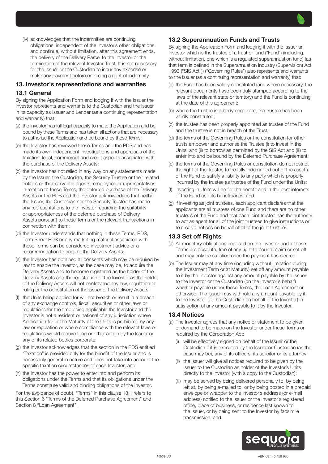(iv) acknowledges that the indemnities are continuing obligations, independent of the Investor's other obligations and continue, without limitation, after this agreement ends, the delivery of the Delivery Parcel to the Investor or the termination of the relevant Investor Trust. It is not necessary for the Issuer or the Custodian to incur any expense or make any payment before enforcing a right of indemnity.

# 13. Investor's representations and warranties 13.1 General

By signing the Application Form and lodging it with the Issuer the Investor represents and warrants to the Custodian and the Issuer in its capacity as Issuer and Lender (as a continuing representation and warranty) that:

- (a) the Investor has full legal capacity to make the Application and be bound by these Terms and has taken all actions that are necessary to authorise the Application and be bound by these Terms;
- (b) the Investor has reviewed these Terms and the PDS and has made its own independent investigations and appraisals of the taxation, legal, commercial and credit aspects associated with the purchase of the Delivery Assets;
- (c) the Investor has not relied in any way on any statements made by the Issuer, the Custodian, the Security Trustee or their related entities or their servants, agents, employees or representatives in relation to these Terms, the deferred purchase of the Delivery Assets or the PDS and the Investor acknowledges that neither the Issuer, the Custodian nor the Security Trustee has made any representations to the Investor regarding the suitability or appropriateness of the deferred purchase of Delivery Assets pursuant to these Terms or the relevant transactions in connection with them;
- (d) the Investor understands that nothing in these Terms, PDS, Term Sheet PDS or any marketing material associated with these Terms can be considered investment advice or a recommendation to acquire the Delivery Assets;
- (e) the Investor has obtained all consents which may be required by law to enable the Investor, as the case may be, to acquire the Delivery Assets and to become registered as the holder of the Delivery Assets and the registration of the Investor as the holder of the Delivery Assets will not contravene any law, regulation or ruling or the constitution of the issuer of the Delivery Assets;
- (f) the Units being applied for will not breach or result in a breach of any exchange controls, fiscal, securities or other laws or regulations for the time being applicable the Investor and the Investor is not a resident or national of any jurisdiction where Application for or the Maturity of the Units is prohibited by any law or regulation or where compliance with the relevant laws or regulations would require filing or other action by the Issuer or any of its related bodies corporate;
- (g) the Investor acknowledges that the section in the PDS entitled "Taxation" is provided only for the benefit of the Issuer and is necessarily general in nature and does not take into account the specific taxation circumstances of each Investor; and
- (h) the Investor has the power to enter into and perform its obligations under the Terms and that its obligations under the Terms constitute valid and binding obligations of the Investor.

For the avoidance of doubt, "Terms" in this clause 13.1 refers to this Section 6 "Terms of the Deferred Purchase Agreement" and Section 8 "Loan Agreement".

# 13.2 Superannuation Funds and Trusts

By signing the Application Form and lodging it with the Issuer an Investor which is the trustee of a trust or fund ("Fund") (including, without limitation, one which is a regulated superannuation fund) (as that term is defined in the Superannuation Industry (Supervision) Act 1993 ("SIS Act")) ("Governing Rules") also represents and warrants to the Issuer (as a continuing representation and warranty) that:

- (a) the Fund has been validly constituted (and where necessary, the relevant documents have been duly stamped according to the laws of the relevant state or territory) and the Fund is continuing at the date of this agreement;
- (b) where the trustee is a body corporate, the trustee has been validly constituted;
- (c) the trustee has been properly appointed as trustee of the Fund and the trustee is not in breach of the Trust;
- (d) the terms of the Governing Rules or the constitution for other trusts empower and authorise the Trustee (i) to invest in the Units; and (ii) to borrow as permitted by the SIS Act and (iii) to enter into and be bound by the Deferred Purchase Agreement;
- (e) the terms of the Governing Rules or constitution do not restrict the right of the Trustee to be fully indemnified out of the assets of the Fund to satisfy a liability to any party which is properly incurred by the trustee as trustee of the Fund under the Units;
- (f) investing in Units will be for the benefit and in the best interests of the Fund and its beneficiaries; and
- (g) if investing as joint trustees, each applicant declares that the applicants are all trustees of one Fund and there are no other trustees of the Fund and that each joint trustee has the authority to act as agent for all of the joint trustees to give instructions or to receive notices on behalf of all of the joint trustees.

## 13.3 Set off Rights

- (a) All monetary obligations imposed on the Investor under these Terms are absolute, free of any right to counterclaim or set off and may only be satisfied once the payment has cleared.
- (b) The Issuer may at any time (including without limitation during the Investment Term or at Maturity) set off any amount payable to it by the Investor against any amount payable by the Issuer to the Investor or the Custodian (on the Investor's behalf) whether payable under these Terms, the Loan Agreement or otherwise. The Issuer may withhold any amount payable by it to the Investor (or the Custodian on behalf of the Investor) in satisfaction of any amount payable to it by the Investor.

## 13.4 Notices

- (a) The Investor agrees that any notice or statement to be given or demand to be made on the Investor under these Terms or required by the Corporation Act:
	- (i) will be effectively signed on behalf of the Issuer or the Custodian if it is executed by the Issuer or Custodian (as the case may be), any of its officers, its solicitor or its attorney;
	- (ii) the Issuer will give all notices required to be given by the Issuer to the Custodian as holder of the Investor's Units directly to the Investor (with a copy to the Custodian);
	- (iii) may be served by being delivered personally to, by being left at, by being e-mailed to, or by being posted in a prepaid envelope or wrapper to the Investor's address (or e-mail address) notified to the Issuer or the Investor's registered office, place of business, or residence last known to the Issuer, or by being sent to the Investor by facsimile transmission; and

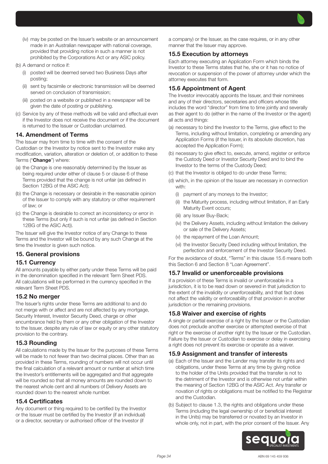

- (iv) may be posted on the Issuer's website or an announcement made in an Australian newspaper with national coverage, provided that providing notice in such a manner is not prohibited by the Corporations Act or any ASIC policy.
- (b) A demand or notice if:
	- (i) posted will be deemed served two Business Days after posting;
	- (ii) sent by facsimile or electronic transmission will be deemed served on conclusion of transmission;
	- (iii) posted on a website or published in a newspaper will be given the date of posting or publishing.
- (c) Service by any of these methods will be valid and effectual even if the Investor does not receive the document or if the document is returned to the Issuer or Custodian unclaimed.

#### 14. Amendment of Terms

The Issuer may from time to time with the consent of the Custodian or the Investor by notice sent to the Investor make any modification, variation, alteration or deletion of, or addition to these Terms ("Change") where:

- (a) the Change is one reasonably determined by the Issuer as being required under either of clause 5 or clause 6 of these Terms provided that the change is not unfair (as defined in Section 12BG of the ASIC Act);
- (b) the Change is necessary or desirable in the reasonable opinion of the Issuer to comply with any statutory or other requirement of law; or
- (c) the Change is desirable to correct an inconsistency or error in these Terms (but only if such is not unfair (as defined in Section 12BG of the ASIC Act)).

The Issuer will give the Investor notice of any Change to these Terms and the Investor will be bound by any such Change at the time the Investor is given such notice.

#### 15. General provisions

#### 15.1 Currency

All amounts payable by either party under these Terms will be paid in the denomination specified in the relevant Term Sheet PDS. All calculations will be performed in the currency specified in the relevant Term Sheet PDS.

#### 15.2 No merger

The Issuer's rights under these Terms are additional to and do not merge with or affect and are not affected by any mortgage, Security Interest, Investor Security Deed, charge or other encumbrance held by them or any other obligation of the Investor to the Issuer, despite any rule of law or equity or any other statutory provision to the contrary.

#### 15.3 Rounding

All calculations made by the Issuer for the purposes of these Terms will be made to not fewer than two decimal places. Other than as provided in these Terms, rounding of numbers will not occur until the final calculation of a relevant amount or number at which time the Investor's entitlements will be aggregated and that aggregate will be rounded so that all money amounts are rounded down to the nearest whole cent and all numbers of Delivery Assets are rounded down to the nearest whole number.

#### 15.4 Certificates

Any document or thing required to be certified by the Investor or the Issuer must be certified by the Investor (if an individual) or a director, secretary or authorised officer of the Investor (if

a company) or the Issuer, as the case requires, or in any other manner that the Issuer may approve.

#### 15.5 Execution by attorneys

Each attorney executing an Application Form which binds the Investor to these Terms states that he, she or it has no notice of revocation or suspension of the power of attorney under which the attorney executes that form.

## 15.6 Appointment of Agent

The Investor irrevocably appoints the Issuer, and their nominees and any of their directors, secretaries and officers whose title includes the word "director" from time to time jointly and severally as their agent to do (either in the name of the Investor or the agent) all acts and things:

- (a) necessary to bind the Investor to the Terms, give effect to the Terms, including without limitation, completing or amending any Application Forms (if the Issuer, in its absolute discretion, has accepted the Application Form);
- (b) necessary to give effect to, execute, amend, register or enforce the Custody Deed or Investor Security Deed and to bind the Investor to the terms of the Custody Deed;
- (c) that the Investor is obliged to do under these Terms;
- (d) which, in the opinion of the Issuer are necessary in connection with:
	- (i) payment of any moneys to the Investor;
	- (ii) the Maturity process, including without limitation, if an Early Maturity Event occurs;
	- (iii) any Issuer Buy-Back;
	- (iv) the Delivery Assets, including without limitation the delivery or sale of the Delivery Assets;
	- (v) the repayment of the Loan Amount;
	- (vi) the Investor Security Deed including without limitation, the perfection and enforcement of the Investor Security Deed.

For the avoidance of doubt, "Terms" in this clause 15.6 means both this Section 6 and Section 8 "Loan Agreement".

#### 15.7 Invalid or unenforceable provisions

If a provision of these Terms is invalid or unenforceable in a jurisdiction, it is to be read down or severed in that jurisdiction to the extent of the invalidity or unenforceability, and that fact does not affect the validity or enforceability of that provision in another jurisdiction or the remaining provisions.

#### 15.8 Waiver and exercise of rights

A single or partial exercise of a right by the Issuer or the Custodian does not preclude another exercise or attempted exercise of that right or the exercise of another right by the Issuer or the Custodian. Failure by the Issuer or Custodian to exercise or delay in exercising a right does not prevent its exercise or operate as a waiver.

#### 15.9 Assignment and transfer of interests

- (a) Each of the Issuer and the Lender may transfer its rights and obligations, under these Terms at any time by giving notice to the holder of the Units provided that the transfer is not to the detriment of the Investor and is otherwise not unfair within the meaning of Section 12BG of the ASIC Act. Any transfer or novation of rights or obligations must be notified to the Registrar and the Custodian.
- (b) Subject to clause 1.3, the rights and obligations under these Terms (including the legal ownership of or beneficial interest in the Units) may be transferred or novated by an Investor in whole only, not in part, with the prior consent of the Issuer. Any

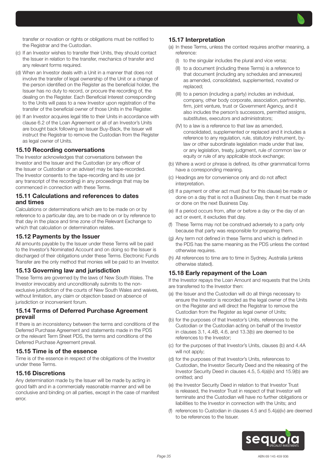

- (c) If an Investor wishes to transfer their Units, they should contact the Issuer in relation to the transfer, mechanics of transfer and any relevant forms required.
- (d) When an Investor deals with a Unit in a manner that does not involve the transfer of legal ownership of the Unit or a change of the person identified on the Register as the beneficial holder, the Issuer has no duty to record, or procure the recording of, the dealing on the Register. Each Beneficial Interest corresponding to the Units will pass to a new Investor upon registration of the transfer of the beneficial owner of those Units in the Register.
- (e) If an Investor acquires legal title to their Units in accordance with clause 6.2 of the Loan Agreement or all of an Investor's Units are bought back following an Issuer Buy-Back, the Issuer will instruct the Registrar to remove the Custodian from the Register as legal owner of Units.

#### 15.10 Recording conversations

The Investor acknowledges that conversations between the Investor and the Issuer and the Custodian (or any officer of the Issuer or Custodian or an adviser) may be tape-recorded. The Investor consents to the tape-recording and its use (or any transcript of the recording) in any proceedings that may be commenced in connection with these Terms.

#### 15.11 Calculations and references to dates and times

Calculations or determinations which are to be made on or by reference to a particular day, are to be made on or by reference to that day in the place and time zone of the Relevant Exchange to which that calculation or determination relates.

#### 15.12 Payments by the Issuer

All amounts payable by the Issuer under these Terms will be paid to the Investor's Nominated Account and on doing so the Issuer is discharged of their obligations under these Terms. Electronic Funds Transfer are the only method that monies will be paid to an Investor.

#### 15.13 Governing law and jurisdiction

These Terms are governed by the laws of New South Wales. The Investor irrevocably and unconditionally submits to the nonexclusive jurisdiction of the courts of New South Wales and waives, without limitation, any claim or objection based on absence of jurisdiction or inconvenient forum.

#### 15.14 Terms of Deferred Purchase Agreement prevail

If there is an inconsistency between the terms and conditions of the Deferred Purchase Agreement and statements made in the PDS or the relevant Term Sheet PDS, the terms and conditions of the Deferred Purchase Agreement prevail.

#### 15.15 Time is of the essence

Time is of the essence in respect of the obligations of the Investor under these Terms.

#### 15.16 Discretions

Any determination made by the Issuer will be made by acting in good faith and in a commercially reasonable manner and will be conclusive and binding on all parties, except in the case of manifest error.

#### 15.17 Interpretation

- (a) In these Terms, unless the context requires another meaning, a reference:
	- (I) to the singular includes the plural and vice versa;
	- (II) to a document (including these Terms) is a reference to that document (including any schedules and annexures) as amended, consolidated, supplemented, novated or replaced;
	- (III) to a person (including a party) includes an individual, company, other body corporate, association, partnership, firm, joint venture, trust or Government Agency, and it also includes the person's successors, permitted assigns, substitutes, executors and administrators;
	- (IV) to a law is a reference to that law as amended, consolidated, supplemented or replaced and it includes a reference to any regulation, rule, statutory instrument, bylaw or other subordinate legislation made under that law, or any legislation, treaty, judgment, rule of common law or equity or rule of any applicable stock exchange:
- (b) Where a word or phrase is defined, its other grammatical forms have a corresponding meaning.
- (c) Headings are for convenience only and do not affect interpretation.
- (d) If a payment or other act must (but for this clause) be made or done on a day that is not a Business Day, then it must be made or done on the next Business Day.
- (e) If a period occurs from, after or before a day or the day of an act or event, it excludes that day.
- (f) These Terms may not be construed adversely to a party only because that party was responsible for preparing them.
- (g) Any term not defined in these Terms and which is defined in the PDS has the same meaning as the PDS unless the context otherwise requires.
- (h) All references to time are to time in Sydney, Australia (unless otherwise stated).

#### 15.18 Early repayment of the Loan

If the Investor repays the Loan Amount and requests that the Units are transferred to the Investor then:

- (a) the Issuer and the Custodian will do all things necessary to ensure the Investor is recorded as the legal owner of the Units on the Register and will direct the Registrar to remove the Custodian from the Register as legal owner of Units;
- (b) for the purposes of that Investor's Units, references to the Custodian or the Custodian acting on behalf of the Investor in clauses 3.1, 4.4B, 4.6, and 13.3(b) are deemed to be references to the Investor;
- (c) for the purposes of that Investor's Units, clauses (b) and 4.4A will not apply;
- (d) for the purposes of that Investor's Units, references to Custodian, the Investor Security Deed and the releasing of the Investor Security Deed in clauses 4.5, 5.4(a)(iv) and 15.9(b) are omitted; and
- (e) the Investor Security Deed in relation to that Investor Trust is released, the Investor Trust in respect of that Investor will terminate and the Custodian will have no further obligations or liabilities to the Investor in connection with the Units; and
- (f) references to Custodian in clauses 4.5 and 5.4(a)(iv) are deemed to be references to the Issuer.

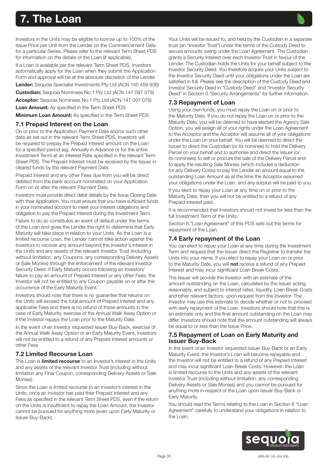# <span id="page-35-0"></span>7. The Loan

Investors in the Units may be eligible to borrow up to 100% of the Issue Price per Unit from the Lender on the Commencement Date for a particular Series. Please refer to the relevant Term Sheet PDS for information on the details of the Loan (if applicable).

If a Loan is available per the relevant Term Sheet PDS, Investors automatically apply for the Loan when they submit the Application Form and approval will be at the absolute discretion of the Lender.

Lender: Sequoia Specialist Investments Pty Ltd (ACN 145 459 936)

Custodian: Sequoia Nominees No.1 Pty Ltd (ACN 147 097 078)

Acceptor: Sequoia Nominees No.1 Pty Ltd (ACN 147 097 078)

Loan Amount: As specified in the Term Sheet PDS

Minimum Loan Amount: As specified in the Term Sheet PDS

#### 7.1 Prepaid Interest on the Loan

On or prior to the Application Payment Date and/or such other date as set out in the relevant Term Sheet PDS, Investors will be required to prepay the Prepaid Interest amount on the Loan for a specified period (eg. Annually in Advance or for the entire Investment Term) at an Interest Rate specified in the relevant Term Sheet PDS. The Prepaid Interest must be received by the Issuer in cleared funds by the relevant Payment Date.

Prepaid Interest and any other Fees due from you will be direct debited from the bank account nominated on your Application Form on or after the relevant Payment Date.

Investors must provide direct debit details by the Issue Closing Date with their Application. You must ensure that you have sufficient funds in your nominated account to meet your interest obligations and obligation to pay the Prepaid Interest during the Investment Term.

Failure to do so constitutes an event of default under the terms of the Loan and gives the Lender the right to determine that Early Maturity will take place in relation to your Units. As the Loan is a limited recourse Loan, the Lender cannot take action against the Investors to recover any amount beyond the Investor's interest in the Units and any assets of the relevant Investor Trust (including without limitation, any Coupons, any corresponding Delivery Assets or Sale Monies) through the enforcement of the relevant Investor Security Deed. If Early Maturity occurs following an Investors' failure to pay an amount of Prepaid Interest or any other Fees, the Investor will not be entitled to any Coupon payable on or after the occurrence of the Early Maturity Event.

Investors should note that there is no guarantee that returns on the Units will exceed the total amount of Prepaid Interest and any applicable Fees and there is no refund of these amounts in the case of Early Maturity, exercise of the Annual Walk Away Option or if the Investor repays the Loan prior to the Maturity Date.

In the event of an Investor requested Issuer Buy-Back, exercise of the Annual Walk Away Option or an Early Maturity Event, Investors will not be entitled to a refund of any Prepaid Interest amounts or other Fees

# 7.2 Limited Recourse Loan

The Loan is *limited recourse* to an Investor's interest in the Units and any assets of the relevant Investor Trust (including without limitation any Final Coupon, corresponding Delivery Assets or Sale Monies).

Since the Loan is limited recourse to an Investor's interest in the Units, once an Investor has paid their Prepaid Interest and any Fees as specified in the relevant Term Sheet PDS, even if the return on the Units is insufficient to repay the Loan Amount, the Investor cannot be pursued for anything more (even upon Early Maturity or Issuer Buy-Back).

Your Units will be issued to, and held by the Custodian in a separate trust (an "Investor Trust") under the terms of the Custody Deed to secure amounts owing under the Loan Agreement. The Custodian grants a Security Interest over each Investor Trust in favour of the Lender. The Custodian holds the Units for your behalf subject to the Investor Security Deed. You therefore acquire your Units subject to the Investor Security Deed until your obligations under the Loan are satisfied in full. Please see the description of the Custody Deed and Investor Security Deed in "Custody Deed" and "Investor Security Deed" in Section 3 "Security Arrangements" for further information.

# 7.3 Repayment of Loan

Using your own funds, you must repay the Loan on or prior to the Maturity Date. If you do not repay the Loan on or prior to the Maturity Date, you will be deemed to have elected the Agency Sale Option, you will assign all of your rights under the Loan Agreement to the Acceptor and the Acceptor will assume all of your obligations under the Loan on your behalf. You will be deemed to direct the Issuer to direct the Custodian (or its nominee) to hold the Delivery Parcel on your behalf and to authorise and direct the Issuer (or its nominees) to sell or procure the sale of the Delivery Parcel and to apply the resulting Sale Monies (which includes a deduction for any Delivery Costs) to pay the Lender an amount equal to the outstanding Loan Amount as at the time the Acceptor assumed your obligations under the Loan, and any surplus will be paid to you.

If you elect to repay your Loan at any time on or prior to the Maturity Date, then you will not be entitled to a refund of any Prepaid Interest paid.

It is recommended that Investors should not invest for less than the full Investment Term of the Units.

Section 8 "Loan Agreement" of this PDS sets out the terms for repayment of the Loan.

# 7.4 Early repayment of the Loan

You can elect to repay your Loan at any time during the Investment Term and request that the Issuer direct the Registrar to transfer the Units into your name. If you elect to repay your Loan on or prior to the Maturity Date, you will not receive a refund of any Prepaid Interest and may incur significant Loan Break Costs.

The Issuer will provide the Investor with an estimate of the amount outstanding on the Loan, calculated by the Issuer acting reasonably, and subject to interest rates, liquidity, Loan Break Costs and other relevant factors, upon request from the Investor. The Investor may use this estimate to decide whether or not to proceed with early repayment of the Loan. Investors should note that this is an estimate only and the final amount outstanding on the Loan may differ. Investors should note that the amount outstanding will always be equal to or less than the Issue Price.

## 7.5 Repayment of Loan on Early Maturity and Issuer Buy-Back

In the event of an Investor requested Issuer Buy-Back or an Early Maturity Event, the Investor's Loan will become repayable and the Investor will not be entitled to a refund of any Prepaid Interest and may incur significant Loan Break Costs. However, the Loan is limited recourse to the Units and any assets of the relevant Investor Trust (including without limitation, any corresponding Delivery Assets or Sale Monies) and you cannot be pursued for anything more in respect of the Loan upon Issuer Buy-Back or Early Maturity.

You should read the Terms relating to the Loan in Section 8 "Loan Agreement" carefully to understand your obligations in relation to the Loan.

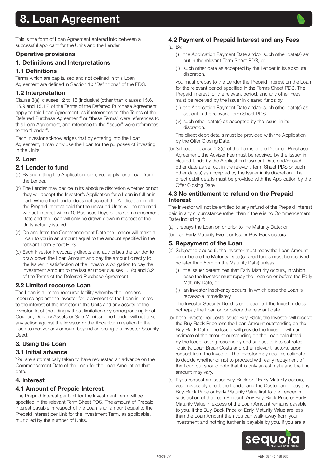<span id="page-36-0"></span>This is the form of Loan Agreement entered into between a successful applicant for the Units and the Lender.

## Operative provisions

1. Definitions and Interpretations

## 1.1 Definitions

Terms which are capitalised and not defined in this Loan Agreement are defined in Section 10 "Definitions" of the PDS.

## 1.2 Interpretation

Clause 8(a), clauses 12 to 15 (inclusive) (other than clauses 15.6, 15.9 and 15.12) of the Terms of the Deferred Purchase Agreement apply to this Loan Agreement, as if references to "the Terms of the Deferred Purchase Agreement" or "these Terms" were references to this Loan Agreement, and reference to the "Issuer" were references to the "Lender".

Each Investor acknowledges that by entering into the Loan Agreement, it may only use the Loan for the purposes of investing in the Units.

## 2. Loan

## 2.1 Lender to fund

- (a) By submitting the Application form, you apply for a Loan from the Lender
- (b) The Lender may decide in its absolute discretion whether or not they will accept the Investor's Application for a Loan in full or in part. Where the Lender does not accept the Application in full, the Prepaid Interest paid for the unissued Units will be returned without interest within 10 Business Days of the Commencement Date and the Loan will only be drawn down in respect of the Units actually issued.
- (c) On and from the Commencement Date the Lender will make a Loan to you in an amount equal to the amount specified in the relevant Term Sheet PDS.
- (d) Each Investor irrevocably directs and authorises the Lender to draw down the Loan Amount and pay the amount directly to the Issuer in satisfaction of the Investor's obligation to pay the Investment Amount to the Issuer under clauses 1.1(c) and 3.2 of the Terms of the Deferred Purchase Agreement.

## 2.2 Limited recourse Loan

The Loan is a limited recourse facility whereby the Lender's recourse against the Investor for repayment of the Loan is limited to the interest of the Investor in the Units and any assets of the Investor Trust (including without limitation any corresponding Final Coupon, Delivery Assets or Sale Monies). The Lender will not take any action against the Investor or the Acceptor in relation to the Loan to recover any amount beyond enforcing the Investor Security Deed.

# 3. Using the Loan

## 3.1 Initial advance

You are automatically taken to have requested an advance on the Commencement Date of the Loan for the Loan Amount on that date.

## 4. Interest

## 4.1 Amount of Prepaid Interest

The Prepaid Interest per Unit for the Investment Term will be specified in the relevant Term Sheet PDS. The amount of Prepaid Interest payable in respect of the Loan is an amount equal to the Prepaid Interest per Unit for the Investment Term, as applicable, multiplied by the number of Units.

# 4.2 Payment of Prepaid Interest and any Fees

(a) By:

- (i) the Application Payment Date and/or such other date(s) set out in the relevant Term Sheet PDS; or
- (ii) such other date as accepted by the Lender in its absolute discretion,

you must prepay to the Lender the Prepaid Interest on the Loan for the relevant period specified in the Terms Sheet PDS. The Prepaid Interest for the relevant period, and any other Fees must be received by the Issuer in cleared funds by:

- (iii) the Application Payment Date and/or such other date(s) as set out in the relevant Term Sheet PDS
- (iv) such other date(s) as accepted by the Issuer in its discretion.

The direct debit details must be provided with the Application by the Offer Closing Date.

(b) Subject to clause 1.3(c) of the Terms of the Deferred Purchase Agreement, the Adviser Fee must be received by the Issuer in cleared funds by the Application Payment Date and/or such other date as set out in the relevant Term Sheet PDS or such other date(s) as accepted by the Issuer in its discretion. The direct debit details must be provided with the Application by the Offer Closing Date.

#### 4.3 No entitlement to refund on the Prepaid **Interest**

The Investor will not be entitled to any refund of the Prepaid Interest paid in any circumstance (other than if there is no Commencement Date) including if:

- (a) it repays the Loan on or prior to the Maturity Date; or
- (b) if an Early Maturity Event or Issuer Buy-Back occurs.

#### 5. Repayment of the Loan

- (a) Subject to clause 6, the Investor must repay the Loan Amount on or before the Maturity Date (cleared funds must be received no later than 5pm on the Maturity Date) unless:
	- (i) the Issuer determines that Early Maturity occurs, in which case the Investor must repay the Loan on or before the Early Maturity Date; or
	- (ii) an Investor Insolvency occurs, in which case the Loan is repayable immediately.

The Investor Security Deed is enforceable if the Investor does not repay the Loan on or before the relevant date.

- (b) If the Investor requests Issuer Buy-Back, the Investor will receive the Buy-Back Price less the Loan Amount outstanding on the Buy-Back Date. The Issuer will provide the Investor with an estimate of the amount outstanding on the Loan calculated by the Issuer acting reasonably and subject to interest rates, liquidity, Loan Break Costs and other relevant factors, upon request from the Investor. The Investor may use this estimate to decide whether or not to proceed with early repayment of the Loan but should note that it is only an estimate and the final amount may vary.
- (c) If you request an Issuer Buy-Back or if Early Maturity occurs, you irrevocably direct the Lender and the Custodian to pay any Buy-Back Price or Early Maturity Value first to the Lender in satisfaction of the Loan Amount. Any Buy-Back Price or Early Maturity Value in excess of the Loan Amount remains payable to you. If the Buy-Back Price or Early Maturity Value are less than the Loan Amount then you can walk-away from your investment and nothing further is payable by you. If you are a

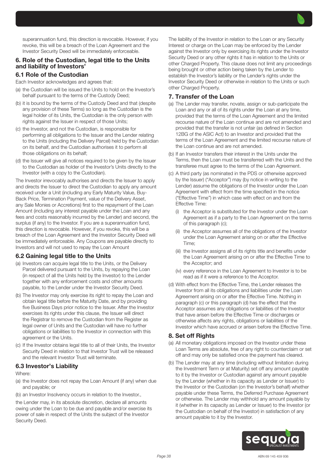superannuation fund, this direction is revocable. However, if you revoke, this will be a breach of the Loan Agreement and the Investor Security Deed will be immediately enforceable.

## 6. Role of the Custodian, legal title to the Units and liability of Investors'

## 6.1 Role of the Custodian

Each Investor acknowledges and agrees that:

- (a) the Custodian will be issued the Units to hold on the Investor's behalf pursuant to the terms of the Custody Deed;
- (b) it is bound by the terms of the Custody Deed and that (despite any provision of these Terms) so long as the Custodian is the legal holder of its Units, the Custodian is the only person with rights against the Issuer in respect of those Units;
- (c) the Investor, and not the Custodian, is responsible for performing all obligations to the Issuer and the Lender relating to the Units (including the Delivery Parcel) held by the Custodian on its behalf, and the Custodian authorises it to perform all those obligations on its behalf;
- (d) the Issuer will give all notices required to be given by the Issuer to the Custodian as holder of the Investor's Units directly to the Investor (with a copy to the Custodian).

The Investor irrevocably authorises and directs the Issuer to apply and directs the Issuer to direct the Custodian to apply any amount received under a Unit (including any Early Maturity Value, Buy-Back Price, Termination Payment, value of the Delivery Asset, any Sale Monies or Accretions) first to the repayment of the Loan Amount (including any interest payable under the Loan and any fees and costs reasonably incurred by the Lender) and second, the surplus (if any) to the Investor. If you are a superannuation fund, this direction is revocable. However, if you revoke, this will be a breach of the Loan Agreement and the Investor Security Deed will be immediately enforceable. Any Coupons are payable directly to Investors and will not used to repay the Loan Amount

## 6.2 Gaining legal title to the Units

- (a) Investors can acquire legal title to the Units, or the Delivery Parcel delivered pursuant to the Units, by repaying the Loan (in respect of all the Units held by the Investor) to the Lender together with any enforcement costs and other amounts payable, to the Lender under the Investor Security Deed.
- (b) The Investor may only exercise its right to repay the Loan and obtain legal title before the Maturity Date, and by providing five Business Days prior notice to the Issuer. After the Investor exercises its rights under this clause, the Issuer will direct the Registrar to remove the Custodian from the Register as legal owner of Units and the Custodian will have no further obligations or liabilities to the Investor in connection with this agreement or the Units.
- (c) If the Investor obtains legal title to all of their Units, the Investor Security Deed in relation to that Investor Trust will be released and the relevant Investor Trust will terminate.

#### 6.3 Investor's Liability

Where:

- (a) the Investor does not repay the Loan Amount (if any) when due and payable; or
- (b) an Investor Insolvency occurs in relation to the Investor.,

the Lender may, in its absolute discretion, declare all amounts owing under the Loan to be due and payable and/or exercise its power of sale in respect of the Units the subject of the Investor Security Deed.

The liability of the Investor in relation to the Loan or any Security Interest or charge on the Loan may be enforced by the Lender against the Investor only by exercising its rights under the Investor Security Deed or any other rights it has in relation to the Units or other Charged Property. This clause does not limit any proceedings being brought or other action being taken by the Lender to establish the Investor's liability or the Lender's rights under the Investor Security Deed or otherwise in relation to the Units or such other Charged Property.

## 7. Transfer of the Loan

- (a) The Lender may transfer, novate, assign or sub-participate the Loan and any or all of its rights under the Loan at any time, provided that the terms of the Loan Agreement and the limited recourse nature of the Loan continue and are not amended and provided that the transfer is not unfair (as defined in Section 12BG of the ASIC Act) to an Investor and provided that the terms of the Loan Agreement and the limited recourse nature of the Loan continue and are not amended.
- (b) If an Investor transfers their interest in the Units under the Terms, then the Loan must be transferred with the Units and the transferee must agree to the terms of the Loan Agreement.
- (c) A third party (as nominated in the PDS or otherwise approved by the Issuer) ("Acceptor") may (by notice in writing to the Lender) assume the obligations of the Investor under the Loan Agreement with effect from the time specified in the notice ("Effective Time") in which case with effect on and from the Effective Time:
	- (i) the Acceptor is substituted for the Investor under the Loan Agreement as if a party to the Loan Agreement on the terms of this paragraph (c);
	- (ii) the Acceptor assumes all of the obligations of the Investor under the Loan Agreement arising on or after the Effective Time;
	- (iii) the Investor assigns all of its rights title and benefits under the Loan Agreement arising on or after the Effective Time to the Acceptor; and
	- (iv) every reference in the Loan Agreement to Investor is to be read as if it were a reference to the Acceptor.
- (d) With effect from the Effective Time, the Lender releases the Investor from all its obligations and liabilities under the Loan Agreement arising on or after the Effective Time. Nothing in paragraph (c) or this paragraph (d) has the effect that the Acceptor assumes any obligations or liabilities of the Investor that have arisen before the Effective Time or discharges or otherwise affects any rights, obligations or liabilities of the Investor which have accrued or arisen before the Effective Time.

#### 8. Set off Rights

- (a) All monetary obligations imposed on the Investor under these Loan Terms are absolute, free of any right to counterclaim or set off and may only be satisfied once the payment has cleared.
- (b) The Lender may at any time (including without limitation during the Investment Term or at Maturity) set off any amount payable to it by the Investor or Custodian against any amount payable by the Lender (whether in its capacity as Lender or Issuer) to the Investor or the Custodian (on the Investor's behalf) whether payable under these Terms, the Deferred Purchase Agreement or otherwise. The Lender may withhold any amount payable by it (whether in its capacity as Lender or Issuer) to the Investor (or the Custodian on behalf of the Investor) in satisfaction of any amount payable to it by the Investor.

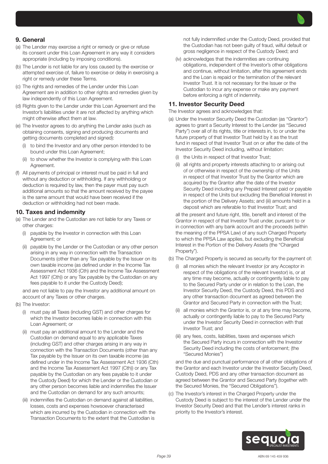## 9. General

- (a) The Lender may exercise a right or remedy or give or refuse its consent under this Loan Agreement in any way it considers appropriate (including by imposing conditions).
- (b) The Lender is not liable for any loss caused by the exercise or attempted exercise of, failure to exercise or delay in exercising a right or remedy under these Terms.
- (c) The rights and remedies of the Lender under this Loan Agreement are in addition to other rights and remedies given by law independently of this Loan Agreement.
- (d) Rights given to the Lender under this Loan Agreement and the Investor's liabilities under it are not affected by anything which might otherwise affect them at law.
- (e) The Investor agrees to do anything the Lender asks (such as obtaining consents, signing and producing documents and getting documents completed and signed):
	- (i) to bind the Investor and any other person intended to be bound under this Loan Agreement;
	- (ii) to show whether the Investor is complying with this Loan Agreement.
- (f) All payments of principal or interest must be paid in full and without any deduction or withholding. If any withholding or deduction is required by law, then the payer must pay such additional amounts so that the amount received by the payee is the same amount that would have been received if the deduction or withholding had not been made.

#### 10. Taxes and indemnity

- (a) The Lender and the Custodian are not liable for any Taxes or other charges:
	- payable by the Investor in connection with this Loan Agreement; or
	- (ii) payable by the Lender or the Custodian or any other person arising in any way in connection with the Transaction Documents (other than any Tax payable by the Issuer on its own taxable income (as defined under in the Income Tax Assessment Act 1936 (Cth) and the Income Tax Assessment Act 1997 (Cth)) or any Tax payable by the Custodian on any fees payable to it under the Custody Deed);

and are not liable to pay the Investor any additional amount on account of any Taxes or other charges.

- (b) The Investor:
	- (i) must pay all Taxes (including GST) and other charges for which the Investor becomes liable in connection with this Loan Agreement; or
	- (ii) must pay an additional amount to the Lender and the Custodian on demand equal to any applicable Taxes (including GST) and other charges arising in any way in connection with the Transaction Documents (other than any Tax payable by the Issuer on its own taxable income (as defined under in the Income Tax Assessment Act 1936 (Cth) and the Income Tax Assessment Act 1997 (Cth)) or any Tax payable by the Custodian on any fees payable to it under the Custody Deed) for which the Lender or the Custodian or any other person becomes liable and indemnifies the Issuer and the Custodian on demand for any such amounts;
	- (iii) indemnifies the Custodian on demand against all liabilities, losses, costs and expenses howsoever characterised which are incurred by the Custodian in connection with the Transaction Documents to the extent that the Custodian is

not fully indemnified under the Custody Deed, provided that the Custodian has not been guilty of fraud, wilful default or gross negligence in respect of the Custody Deed; and

(iv) acknowledges that the indemnities are continuing obligations, independent of the Investor's other obligations and continue, without limitation, after this agreement ends and the Loan is repaid or the termination of the relevant Investor Trust. It is not necessary for the Issuer or the Custodian to incur any expense or make any payment before enforcing a right of indemnity.

#### 11. Investor Security Deed

The Investor agrees and acknowledges that:

- (a) Under the Investor Security Deed the Custodian (as "Grantor") agrees to grant a Security Interest to the Lender (as "Secured Party") over all of its rights, title or interests in, to or under the future property of that Investor Trust held by it as the trust fund in respect of that Investor Trust on or after the date of the Investor Security Deed including, without limitation:
	- (i) the Units in respect of that Investor Trust;
	- (ii) all rights and property interests attaching to or arising out of or otherwise in respect of the ownership of the Units in respect of that Investor Trust by the Grantor which are acquired by the Grantor after the date of the Investor Security Deed including any Prepaid Interest paid or payable in respect of the Units but excluding the Beneficial Interest in the portion of the Delivery Assets; and (iii) amounts held in a deposit which are referable to that Investor Trust; and

all the present and future right, title, benefit and interest of the Grantor in respect of that Investor Trust under, pursuant to or in connection with any bank account and the proceeds (within the meaning of the PPSA Law) of any such Charged Property to which the PPSA Law applies, but excluding the Beneficial Interest in the Portion of the Delivery Assets (the "Charged Property").

- (b) The Charged Property is secured as security for the payment of:
	- (i) all monies which the relevant Investor (or any Acceptor in respect of the obligations of the relevant Investor) is, or at any time may become, actually or contingently liable to pay to the Secured Party under or in relation to the Loan, the Investor Security Deed, the Custody Deed, this PDS and any other transaction document as agreed between the Grantor and Secured Party in connection with the Trust;
	- (ii) all monies which the Grantor is, or at any time may become, actually or contingently liable to pay to the Secured Party under the Investor Security Deed in connection with that Investor Trust; and
	- (iii) any fees, costs, liabilities, taxes and expenses which the Secured Party incurs in connection with the Investor Security Deed including the costs of enforcement; (the "Secured Monies")

and the due and punctual performance of all other obligations of the Grantor and each Investor under the Investor Security Deed, Custody Deed, PDS and any other transaction document as agreed between the Grantor and Secured Party (together with the Secured Monies, the "Secured Obligations").

(c) The Investor's interest in the Charged Property under the Custody Deed is subject to the interest of the Lender under the Investor Security Deed and that the Lender's interest ranks in priority to the Investor's interest.

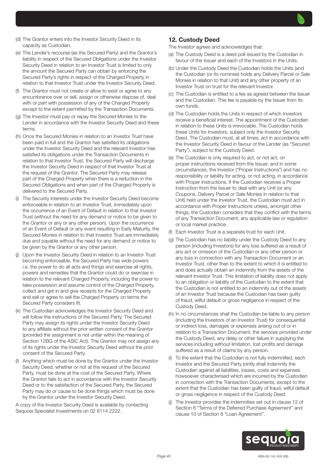

- (e) The Lender's recourse (as the Secured Party) and the Grantor's liability in respect of the Secured Obligations under the Investor Security Deed in relation to an Investor Trust is limited to only the amount the Secured Party can obtain by enforcing the Secured Party's rights in respect of the Charged Property in relation to that Investor Trust under the Investor Security Deed.
- (f) The Grantor must not create or allow to exist or agree to any encumbrance over or sell, assign or otherwise dispose of, deal with or part with possession of any of the Charged Property except to the extent permitted by the Transaction Documents.
- (g) The Investor must pay or repay the Secured Monies to the Lender in accordance with the Investor Security Deed and these terms.
- (h) Once the Secured Monies in relation to an Investor Trust have been paid in full and the Grantor has satisfied its obligations under the Investor Security Deed and the relevant Investor has satisfied its obligations under the Transaction Documents in relation to that Investor Trust, the Secured Party will discharge the Investor Security Deed in respect of that Investor Trust at the request of the Grantor. The Secured Party may release part of the Charged Property when there is a reduction in the Secured Obligations and when part of the Charged Property is delivered to the Secured Party.
- (i) The Security Interests under the Investor Security Deed become enforceable in relation to an Investor Trust, immediately upon the occurrence of an Event of Default in relation to that Investor Trust (without the need for any demand or notice to be given to the Grantor or any or any other person). Upon the occurrence of an Event of Default or any event resulting in Early Maturity, the Secured Monies in relation to that Investor Trust are immediately due and payable without the need for any demand or notice to be given by the Grantor or any other person.
- Upon the Investor Security Deed in relation to an Investor Trust becoming enforceable, the Secured Party has wide powers i.e. the power to do all acts and things and exercise all rights, powers and remedies that the Grantor could do or exercise in relation to the relevant Charged Property, including the power to take possession and assume control of the Charged Property, collect and get in and give receipts for the Charged Property and sell or agree to sell the Charged Property on terms the Secured Party considers fit.
- (k) The Custodian acknowledges the Investor Security Deed and will follow the instructions of the Secured Party. The Secured Party may assign its rights under the Investor Security Deed to any affiliate without the prior written consent of the Grantor (provided the assignment is not unfair within the meaning of Section 12BG of the ASIC Act). The Grantor may not assign any of its rights under the Investor Security Deed without the prior consent of the Secured Party.
- (l) Anything which must be done by the Grantor under the Investor Security Deed, whether or not at the request of the Secured Party, must be done at the cost of the Secured Party. Where the Grantor fails to act in accordance with the Investor Security Deed or to the satisfaction of the Secured Party, the Secured Party may do or cause to be done things which must be done by the Grantor under the Investor Security Deed.

A copy of the Investor Security Deed is available by contacting Sequoia Specialist Investments on 02 8114 2222.

## 12. Custody Deed

The Investor agrees and acknowledges that:

- (a) The Custody Deed is a deed poll issued by the Custodian in favour of the Issuer and each of the Investors in the Units.
- (b) Under the Custody Deed the Custodian holds the Units (and the Custodian (or its nominee) holds any Delivery Parcel or Sale Monies in relation to that Unit) and any other property of an Investor Trust on trust for the relevant Investor.
- (c) The Custodian is entitled to a fee as agreed between the Issuer and the Custodian. This fee is payable by the Issuer from its own funds.
- (d) The Custodian holds the Units in respect of which Investors receive a beneficial interest. The appointment of the Custodian in relation to these Units is irrevocable. The Custodian holds these Units for Investors, subject only the Investor Security Deed. The Custodian must, at all times, act in accordance with the Investor Security Deed in favour of the Lender (as "Secured Party"), subject to the Custody Deed.
- (e) The Custodian is only required to act, or not act, on proper instructions received from the Issuer, and in some circumstances, the Investor ("Proper Instructions") and has no responsibility or liability for acting, or not acting, in accordance with Proper Instructions. If the Custodian receives a Proper Instruction from the Issuer to deal with any Unit (or any Coupons, Delivery Parcel or Sale Monies in relation to that Unit) held under the Investor Trust, the Custodian must act in accordance with Proper Instructions unless, amongst other things, the Custodian considers that they conflict with the terms of any Transaction Document, any applicable law or regulation or local market practice.
- (f) Each Investor Trust is a separate trust for each Unit.
- (g) The Custodian has no liability under the Custody Deed to any person (including Investors) for any loss suffered as a result of any act or omission of the Custodian or any other person or any loss in connection with any Transaction Document or an Investor Trust, other than to the extent to which it is entitled to and does actually obtain an indemnity from the assets of the relevant Investor Trust. This limitation of liability does not apply to an obligation or liability of the Custodian to the extent that the Custodian is not entitled to an indemnity out of the assets of an Investor Trust because the Custodian has been guilty of fraud, wilful default or gross negligence in respect of the Custody Deed.
- (h) In no circumstances shall the Custodian be liable to any person (including the Investors of an Investor Trust) for consequential or indirect loss, damages or expenses arising out of or in relation to a Transaction Document, the services provided under the Custody Deed, any delay or other failure in supplying the services including without limitation, lost profits and damage suffered as a result of claims by any person.
- (i) To the extent that the Custodian is not fully indemnified, each Investor and the Secured Party jointly shall indemnify the Custodian against all liabilities, losses, costs and expenses howsoever characterised which are incurred by the Custodian in connection with the Transaction Documents, except to the extent that the Custodian has been guilty of fraud, wilful default or gross negligence in respect of the Custody Deed.
- (j) The Investor provides the indemnities set out in clause 12 of Section 6 "Terms of the Deferred Purchase Agreement" and clause 10 of Section 8 "Loan Agreement".

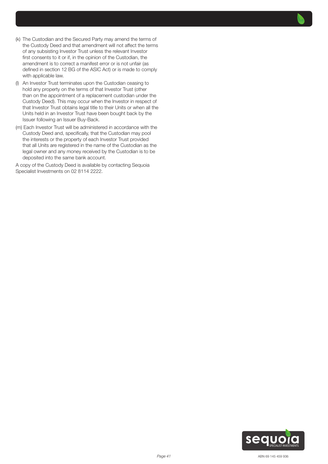- (k) The Custodian and the Secured Party may amend the terms of the Custody Deed and that amendment will not affect the terms of any subsisting Investor Trust unless the relevant Investor first consents to it or if, in the opinion of the Custodian, the amendment is to correct a manifest error or is not unfair (as defined in section 12 BG of the ASIC Act) or is made to comply with applicable law.
- (l) An Investor Trust terminates upon the Custodian ceasing to hold any property on the terms of that Investor Trust (other than on the appointment of a replacement custodian under the Custody Deed). This may occur when the Investor in respect of that Investor Trust obtains legal title to their Units or when all the Units held in an Investor Trust have been bought back by the Issuer following an Issuer Buy-Back.
- (m) Each Investor Trust will be administered in accordance with the Custody Deed and, specifically, that the Custodian may pool the interests or the property of each Investor Trust provided that all Units are registered in the name of the Custodian as the legal owner and any money received by the Custodian is to be deposited into the same bank account.

A copy of the Custody Deed is available by contacting Sequoia Specialist Investments on 02 8114 2222.

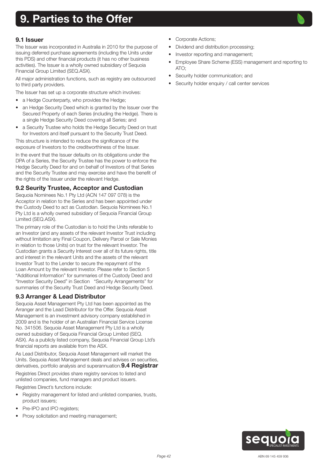# <span id="page-41-0"></span>9. Parties to the Offer



The Issuer was incorporated in Australia in 2010 for the purpose of issuing deferred purchase agreements (including the Units under this PDS) and other financial products (it has no other business activities). The Issuer is a wholly owned subsidiary of Sequoia Financial Group Limited (SEQ.ASX).

All major administration functions, such as registry are outsourced to third party providers.

The Issuer has set up a corporate structure which involves:

- a Hedge Counterparty, who provides the Hedge:
- an Hedge Security Deed which is granted by the Issuer over the Secured Property of each Series (including the Hedge). There is a single Hedge Security Deed covering all Series; and
- a Security Trustee who holds the Hedge Security Deed on trust for Investors and itself pursuant to the Security Trust Deed.

This structure is intended to reduce the significance of the exposure of Investors to the creditworthiness of the Issuer.

In the event that the Issuer defaults on its obligations under the DPA of a Series, the Security Trustee has the power to enforce the Hedge Security Deed for and on behalf of Investors of that Series and the Security Trustee and may exercise and have the benefit of the rights of the Issuer under the relevant Hedge.

## 9.2 Seurity Trustee, Acceptor and Custodian

Sequoia Nominees No.1 Pty Ltd (ACN 147 097 078) is the Acceptor in relation to the Series and has been appointed under the Custody Deed to act as Custodian. Sequoia Nominees No.1 Pty Ltd is a wholly owned subsidiary of Sequoia Financial Group Limited (SEQ.ASX).

The primary role of the Custodian is to hold the Units referable to an Investor (and any assets of the relevant Investor Trust including without limitation any Final Coupon, Delivery Parcel or Sale Monies in relation to those Units) on trust for the relevant Investor. The Custodian grants a Security Interest over all of its future rights, title and interest in the relevant Units and the assets of the relevant Investor Trust to the Lender to secure the repayment of the Loan Amount by the relevant Investor. Please refer to Section 5 "Additional Information" for summaries of the Custody Deed and "Investor Security Deed" in Section "Security Arrangements" for summaries of the Security Trust Deed and Hedge Security Deed.

## 9.3 Arranger & Lead Distributor

Sequoia Asset Management Pty Ltd has been appointed as the Arranger and the Lead Distributor for the Offer. Sequoia Asset Management is an investment advisory company established in 2009 and is the holder of an Australian Financial Service License No. 341506. Sequoia Asset Management Pty Ltd is a wholly owned subsidiary of Sequoia Financial Group Limited (SEQ. ASX). As a publicly listed company, Sequoia Financial Group Ltd's financial reports are available from the ASX.

As Lead Distributor, Sequoia Asset Management will market the Units. Sequoia Asset Management deals and advises on securities, derivatives, portfolio analysis and superannuation **9.4 Registrar** Registries Direct provides share registry services to listed and unlisted companies, fund managers and product issuers.

Registries Direct's functions include:

- Registry management for listed and unlisted companies, trusts, product issuers;
- Pre-IPO and IPO registers;
- Proxy solicitation and meeting management;
- Corporate Actions:
- Dividend and distribution processing;
- Investor reporting and management;
- Employee Share Scheme (ESS) management and reporting to ATO;
- Security holder communication; and
- Security holder enquiry / call center services

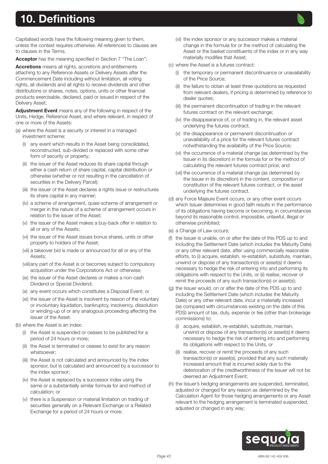# <span id="page-42-0"></span>10. Definitions

Capitalised words have the following meaning given to them, unless the context requires otherwise. All references to clauses are to clauses in the Terms.

Acceptor has the meaning specified in Section 7 "The Loan";

Accretions means all rights, accretions and entitlements attaching to any Reference Assets or Delivery Assets after the Commencement Date including without limitation, all voting rights, all dividends and all rights to receive dividends and other distributions or shares, notes, options, units or other financial products exercisable, declared, paid or issued in respect of the Delivery Asset;

Adjustment Event means any of the following in respect of the Units, Hedge, Reference Asset, and where relevant, in respect of one or more of the Assets:

- (a) where the Asset is a security or interest in a managed investment scheme:
	- (i) any event which results in the Asset being consolidated, reconstructed, sub-divided or replaced with some other form of security or property:
	- (ii) the issuer of the Asset reduces its share capital through either a cash return of share capital, capital distribution or otherwise (whether or not resulting in the cancellation of securities in the Delivery Parcel);
	- (iii) the issuer of the Asset declares a rights issue or restructures its share capital in any manner;
	- (iv) a scheme of arrangement, quasi-scheme of arrangement or merger in the nature of a scheme of arrangement occurs in relation to the issuer of the Asset;
	- (v) the issuer of the Asset makes a buy-back offer in relation to all or any of the Assets;
	- (vi) the issuer of the Asset issues bonus shares, units or other property to holders of the Asset;
	- (vii) a takeover bid is made or announced for all or any of the Assets;
	- (viii)any part of the Asset is or becomes subject to compulsory acquisition under the Corporations Act or otherwise;
	- (ix) the issuer of the Asset declares or makes a non-cash Dividend or Special Dividend;
	- (x) any event occurs which constitutes a Disposal Event; or
	- (xi) the issuer of the Asset is insolvent by reason of the voluntary or involuntary liquidation, bankruptcy, insolvency, dissolution or winding-up of or any analogous proceeding affecting the issuer of the Asset.
- (b) where the Asset is an index:
	- (i) the Asset is suspended or ceases to be published for a period of 24 hours or more;
	- (ii) the Asset is terminated or ceases to exist for any reason whatsoever;
	- (iii) the Asset is not calculated and announced by the index sponsor, but is calculated and announced by a successor to the index sponsor;
	- (iv) the Asset is replaced by a successor index using the same or a substantially similar formula for and method of calculation; or
	- (v) there is a Suspension or material limitation on trading of securities generally on a Relevant Exchange or a Related Exchange for a period of 24 hours or more;
- (vi) the index sponsor or any successor makes a material change in the formula for or the method of calculating the Asset or the basket constituents of the index or in any way materially modifies that Asset;
- (c) where the Asset is a futures contract:
	- (i) the temporary or permanent discontinuance or unavailability of the Price Source;
	- (ii) the failure to obtain at least three quotations as requested from relevant dealers, if pricing is determined by reference to dealer quotes;
	- (iii) the permanent discontinuation of trading in the relevant futures contract on the relevant exchange;
	- (iv) the disappearance of, or of trading in, the relevant asset underlying the futures contract;
	- (v) the disappearance or permanent discontinuation or unavailability of a price for the relevant futures contract notwithstanding the availability of the Price Source;
	- (vi) the occurrence of a material change (as determined by the Issuer in its discretion) in the formula for or the method of calculating the relevant futures contract price; and
	- (vii) the occurrence of a material change (as determined by the Issuer in its discretion) in the content, composition or constitution of the relevant futures contract, or the asset underlying the futures contract.
- (d) any Force Majeure Event occurs, or any other event occurs which Issuer determines in good faith results in the performance of its obligations having become or becoming, in circumstances beyond its reasonable control, impossible, unlawful, illegal or otherwise prohibited;
- (e) a Change of Law occurs;
- (f) the Issuer is unable, on or after the date of this PDS up to and including the Settlement Date (which includes the Maturity Date) or any other relevant date, after using commercially reasonable efforts, to (i) acquire, establish, re-establish, substitute, maintain, unwind or dispose of any transaction(s) or asset(s) it deems necessary to hedge the risk of entering into and performing its obligations with respect to the Units, or (ii) realise, recover or remit the proceeds of any such transaction(s) or asset(s);
- (g) the Issuer would, on or after the date of this PDS up to and including the Settlement Date (which includes the Maturity Date) or any other relevant date, incur a materially increased (as compared with circumstances existing on the date of this PDS) amount of tax, duty, expense or fee (other than brokerage commissions) to:
	- (i) acquire, establish, re-establish, substitute, maintain, unwind or dispose of any transaction(s) or asset(s) it deems necessary to hedge the risk of entering into and performing its obligations with respect to the Units, or
	- (ii) realise, recover or remit the proceeds of any such transaction(s) or asset(s), provided that any such materially increased amount that is incurred solely due to the deterioration of the creditworthiness of the Issuer will not be deemed an Adjustment Event;
- (h) the Issuer's hedging arrangements are suspended, terminated, adjusted or changed for any reason as determined by the Calculation Agent for those hedging arrangements or any Asset relevant to the hedging arrangement is terminated suspended, adjusted or changed in any way;

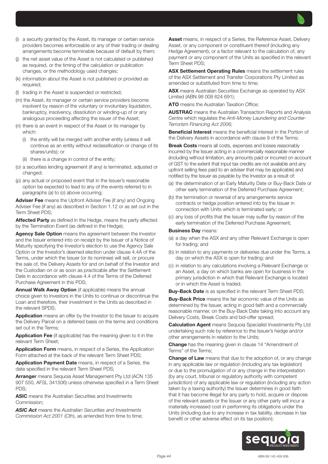

- (j) the net asset value of the Asset is not calculated or published as required, or the timing of the calculation or publication changes, or the methodology used changes;
- (k) information about the Asset is not published or provided as required;
- (l) trading in the Asset is suspended or restricted;
- (m) the Asset, its manager or certain service providers become insolvent by reason of the voluntary or involuntary liquidation, bankruptcy, insolvency, dissolution or winding-up of or any analogous proceeding affecting the issuer of the Asset;
- (n) there is an event in respect of the Asset or its manager by which:
	- (i) the entity will be merged with another entity (unless it will continue as an entity without reclassification or change of its shares/units); or
	- (ii) there is a change in control of the entity;
- (o) a securities lending agreement (if any) is terminated, adjusted or changed;
- (p) any actual or proposed event that in the Issuer's reasonable option be expected to lead to any of the events referred to in paragraphs (a) to (o) above occurring;

Adviser Fee means the Upfront Adviser Fee (if any) and Ongoing Adviser Fee (if any) as described in Section 1.12 or as set out in the Term Sheet PDS;

Affected Party as defined in the Hedge, means the party affected by the Termination Event (as defined in the Hedge);

Agency Sale Option means the agreement between the Investor and the Issuer entered into on receipt by the Issuer of a Notice of Maturity specifying the Investor's election to use the Agency Sale Option or the Investor's deemed election under clause 4.4A of the Terms, under which the Issuer (or its nominee) will sell, or procure the sale of, the Delivery Assets for and on behalf of the Investor and the Custodian on or as soon as practicable after the Settlement Date in accordance with clause 4.4 of the Terms of the Deferred Purchase Agreement in this PDS;

Annual Walk Away Option (if applicable) means the annual choice given to Investors in the Units to continue or discontinue the Loan and therefore, their investment in the Units as described in the relevant SPDS;

Application means an offer by the Investor to the Issuer to acquire the Delivery Parcel on a deferred basis on the terms and conditions set out in the Terms;

Application Fee (if applicable) has the meaning given to it in the relevant Term Sheet;

Application Form means, in respect of a Series, the Application Form attached at the back of the relevant Term Sheet PDS;

Application Payment Date means, in respect of a Series, the date specified in the relevant Term Sheet PDS;

Arranger means Sequoia Asset Management Pty Ltd (ACN 135 907 550, AFSL 341506) unless otherwise specified in a Term Sheet PDS;

ASIC means the Australian Securities and Investments Commission;

*ASIC Act* means the *Australian Securities and Investments Commission Act 2001* (Cth), as amended from time to time; Asset means, in respect of a Series, the Reference Asset, Delivery Asset, or any component or constituent thereof (including any Hedge Agreement), or a factor relevant to the calculation of, any payment or any component of the Units as specified in the relevant Term Sheet PDS;

ASX Settlement Operating Rules means the settlement rules of the ASX Settlement and Transfer Corporations Pty Limited as amended or substituted from time to time;

ASX means Australian Securities Exchange as operated by ASX Limited (ABN 98 008 624 691);

ATO means the Australian Taxation Office;

AUSTRAC means the Australian Transaction Reports and Analysis Centre which regulates the *Anti-Money Laundering and Counter-Terrorism Financing Act 2006;*

Beneficial Interest means the beneficial interest in the Portion of the Delivery Assets in accordance with clause 9 of the Terms;

Break Costs means all costs, expenses and losses reasonably incurred by the Issuer acting in a commercially reasonable manner (including without limitation, any amounts paid or incurred on account of GST to the extent that input tax credits are not available and any upfront selling fees paid to an adviser that may be applicable) and notified by the Issuer as payable by the Investor as a result of:

- (a) the determination of an Early Maturity Date or Buy-Back Date or other early termination of the Deferred Purchase Agreement;
- (b) the termination or reversal of any arrangements service contracts or hedge position entered into by the Issuer in connection with Units which is terminated early; or
- (c) any loss of profits that the Issuer may suffer by reason of the early termination of the Deferred Purchase Agreement;

#### **Business Dav means:**

- (a) a day when the ASX and any other Relevant Exchange is open for trading; and
- (b) in relation to any payments or deliveries due under the Terms, a day on which the ASX is open for trading; and
- (c) in relation to any calculations involving a Relevant Exchange or an Asset, a day on which banks are open for business in the primary jurisdiction in which that Relevant Exchange is located or in which the Asset is traded;

**Buy-Back Date** is as specified in the relevant Term Sheet PDS;

**Buy-Back Price** means the fair economic value of the Units as determined by the Issuer, acting in good faith and a commercially reasonable manner, on the Buy-Back Date taking into account any Delivery Costs, Break Costs and bid-offer spread;

**Calculation Agent** means Sequoia Specialist Investments Pty Ltd undertaking such role by reference to the Issuer's hedge and/or other arrangements in relation to the Units;

**Change** has the meaning given in clause 14 "Amendment of Terms" of the Terms;

**Change of Law** means that due to the adoption of, or any change in any applicable law or regulation (including any tax legislation) or due to the promulgation of or any change in the interpretation (by any court, tribunal or regulatory authority with competent jurisdiction) of any applicable law or regulation (including any action taken by a taxing authority) the Issuer determines in good faith that it has become illegal for any party to hold, acquire or dispose of the relevant assets or the Issuer or any other party will incur a materially increased cost in performing its obligations under the Units (including due to any increase in tax liability, decrease in tax benefit or other adverse effect on its tax position);

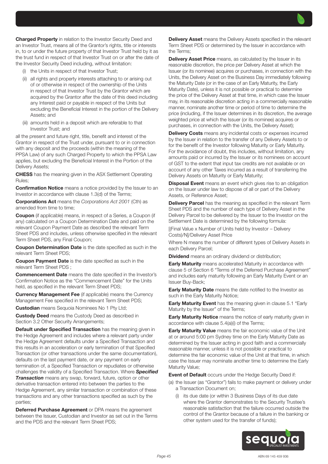Charged Property in relation to the Investor Security Deed and an Investor Trust, means all of the Grantor's rights, title or interests in, to or under the future property of that Investor Trust held by it as the trust fund in respect of that Investor Trust on or after the date of the Investor Security Deed including, without limitation:

- (i) the Units in respect of that Investor Trust;
- (ii) all rights and property interests attaching to or arising out of or otherwise in respect of the ownership of the Units in respect of that Investor Trust by the Grantor which are acquired by the Grantor after the date of this deed including any Interest paid or payable in respect of the Units but excluding the Beneficial Interest in the portion of the Delivery Assets; and
- (iii) amounts held in a deposit which are referable to that Investor Trust; and

all the present and future right, title, benefit and interest of the Grantor in respect of the Trust under, pursuant to or in connection with any deposit and the proceeds (within the meaning of the PPSA Law) of any such Charged Property to which the PPSA Law applies, but excluding the Beneficial Interest in the Portion of the Delivery Assets;

CHESS has the meaning given in the ASX Settlement Operating Rules;

**Confirmation Notice** means a notice provided by the Issuer to an Investor in accordance with clause 1.3(d) of the Terms;

Corporations Act means the *Corporations Act 2001* (Cth) as amended from time to time;

Coupon (if applicable) means, in respect of a Series, a Coupon (if any) calculated on a Coupon Determination Date and paid on the relevant Coupon Payment Date as described the relevant Term Sheet PDS and includes, unless otherwise specified in the relevant Term Sheet PDS, any Final Coupon;

Coupon Determination Date is the date specified as such in the relevant Term Sheet PDS;

**Coupon Payment Date** is the date specified as such in the relevant Term Sheet PDS ;

Commencement Date means the date specified in the Investor's Confirmation Notice as the "Commencement Date" for the Units held, as specified in the relevant Term Sheet PDS;

Currency Management Fee (if applicable) means the Currency Management Fee specified in the relevant Term Sheet PDS;

**Custodian** means Sequoia Nominees No 1 Pty Ltd;

**Custody Deed** means the Custody Deed as described in Section 3.2 Other Security Arrangements;

**Default under Specified Transaction** has the meaning given in the Hedge Agreement and includes where a relevant party under the Hedge Agreement defaults under a Specified Transaction and this results in an acceleration or early termination of that Specified Transaction (or other transactions under the same documentation), defaults on the last payment date, or any payment on early termination of, a Specified Transaction or repudiates or otherwise challenges the validity of a Specified Transaction. Where *Specified* 

**Transaction** means any swap, forward, future, option or other derivative transaction entered into between the parties to the Hedge Agreement, any similar transaction or combination of these transactions and any other transactions specified as such by the parties;

Deferred Purchase Agreement or DPA means the agreement between the Issuer, Custodian and Investor as set out in the Terms and the PDS and the relevant Term Sheet PDS;

Delivery Asset means the Delivery Assets specified in the relevant Term Sheet PDS or determined by the Issuer in accordance with the Terms;

**Delivery Asset Price** means, as calculated by the Issuer in its reasonable discretion, the price per Delivery Asset at which the Issuer (or its nominee) acquires or purchases, in connection with the Units, the Delivery Asset on the Business Day immediately following the Maturity Date (or in the case of an Early Maturity, the Early Maturity Date), unless it is not possible or practical to determine the price of the Delivery Asset at that time, in which case the Issuer may, in its reasonable discretion acting in a commercially reasonable manner, nominate another time or period of time to determine the price (including, if the Issuer determines in its discretion, the average weighted price at which the Issuer (or its nominee) acquires or purchases, in connection with the Units, the Delivery Asset);

Delivery Costs means any incidental costs or expenses incurred by the Issuer in relation to the transfer of any Delivery Assets to or for the benefit of the Investor following Maturity or Early Maturity. For the avoidance of doubt, this includes, without limitation, any amounts paid or incurred by the Issuer or its nominees on account of GST to the extent that input tax credits are not available or on account of any other Taxes incurred as a result of transferring the Delivery Assets on Maturity or Early Maturity;

**Disposal Event** means an event which gives rise to an obligation on the Issuer under law to dispose of all or part of the Delivery Assets, or Reference Asset;

Delivery Parcel has the meaning as specified in the relevant Term Sheet PDS and the number of each type of Delivery Asset in the Delivery Parcel to be delivered by the Issuer to the Investor on the Settlement Date is determined by the following formula:

[(Final Value x Number of Units held by Investor – Delivery Costs)/N]/Delivery Asset Price

Where N means the number of different types of Delivery Assets in each Delivery Parcel;

**Dividend** means an ordinary dividend or distribution;

**Early Maturity** means accelerated Maturity in accordance with clause 5 of Section 6 "Terms of the Deferred Purchase Agreement" and includes early maturity following an Early Maturity Event or an Issuer Buy-Back;

**Early Maturity Date** means the date notified to the Investor as such in the Early Maturity Notice;

**Early Maturity Event** has the meaning given in clause 5.1 "Early Maturity by the Issuer" of the Terms;

**Early Maturity Notice** means the notice of early maturity given in accordance with clause 5.4(a)(i) of the Terms;

**Early Maturity Value** means the fair economic value of the Unit at or around 5:00 pm Sydney time on the Early Maturity Date as determined by the Issuer acting in good faith and a commercially reasonable manner, unless it is not possible or practical to determine the fair economic value of the Unit at that time, in which case the Issuer may nominate another time to determine the Early Maturity Value;

**Event of Default** occurs under the Hedge Security Deed if:

(a) the Issuer (as "Grantor") fails to make payment or delivery under a Transaction Document on;

(i) its due date (or within 3 Business Days of its due date where the Grantor demonstrates to the Security Trustee's reasonable satisfaction that the failure occurred outside the control of the Grantor because of a failure in the banking or other system used for the transfer of funds);

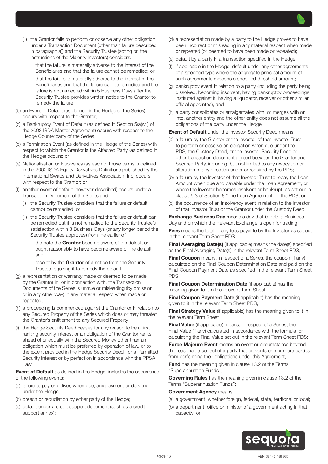

- i. that the failure is materially adverse to the interest of the Beneficiaries and that the failure cannot be remedied; or
- ii. that the failure is materially adverse to the interest of the Beneficiaries and that the failure can be remedied and the failure is not remedied within 5 Business Days after the Security Trustee provides written notice to the Grantor to remedy the failure;
- (b) an Event of Default (as defined in the Hedge of the Series) occurs with respect to the Grantor;
- (c) a Bankruptcy Event of Default (as defined in Section 5(a)(vii) of the 2002 ISDA Master Agreement) occurs with respect to the Hedge Counterparty of the Series;
- (d) a Termination Event (as defined in the Hedge of the Series) with respect to which the Grantor is the Affected Party (as defined in the Hedge) occurs; or
- (e) Nationalisation or Insolvency (as each of those terms is defined in the 2002 ISDA Equity Derivatives Definitions published by the International Swaps and Derivatives Association, Inc) occurs with respect to the Grantor; or
- (f) another event of default (however described) occurs under a Transaction Document of the Series and:
	- (i) the Security Trustee considers that the failure or default cannot be remedied; or
	- (ii) the Security Trustee considers that the failure or default can be remedied but it is not remedied to the Security Trustee's satisfaction within 3 Business Days (or any longer period the Security Trustee approves) from the earlier of:
		- i. the date the Grantor became aware of the default or ought reasonably to have become aware of the default; and
		- ii. receipt by the Grantor of a notice from the Security Trustee requiring it to remedy the default.
- (g) a representation or warranty made or deemed to be made by the Grantor in, or in connection with, the Transaction Documents of the Series is untrue or misleading (by omission or in any other way) in any material respect when made or repeated;
- (h) a proceeding is commenced against the Grantor or in relation to any Secured Property of the Series which does or may threaten the Grantor's entitlement to any Secured Property;
- (i) the Hedge Security Deed ceases for any reason to be a first ranking security interest or an obligation of the Grantor ranks ahead of or equally with the Secured Money other than an obligation which must be preferred by operation of law, or to the extent provided in the Hedge Security Deed , or a Permitted Security Interest or by perfection in accordance with the PPSA Law;

Event of Default as defined in the Hedge, includes the occurrence of the following events:

- (a) failure to pay or deliver, when due, any payment or delivery under the Hedge;
- (b) breach or repudiation by either party of the Hedge;
- (c) default under a credit support document (such as a credit support annex);
- (d) a representation made by a party to the Hedge proves to have been incorrect or misleading in any material respect when made or repeated (or deemed to have been made or repeated);
- (e) default by a party in a transaction specified in the Hedge;
- (f) if applicable in the Hedge, default under any other agreements of a specified type where the aggregate principal amount of such agreements exceeds a specified threshold amount;
- (g) bankruptcy event in relation to a party (including the party being dissolved, becoming insolvent, having bankruptcy proceedings instituted against it, having a liquidator, receiver or other similar official appointed); and
- (h) a party consolidates or amalgamates with, or merges with or into, another entity and the other entity does not assume all the obligations of the party under the Hedge

**Event of Default** under the Investor Security Deed means:

- (a) a failure by the Grantor or the Investor of that Investor Trust to perform or observe an obligation when due under the PDS, the Custody Deed, or the Investor Security Deed or other transaction document agreed between the Grantor and Secured Party, including, but not limited to any revocation or alteration of any direction under or required by the PDS;
- (b) a failure by the Investor of that Investor Trust to repay the Loan Amount when due and payable under the Loan Agreement, or where the Investor becomes insolvent or bankrupt, as set out in clause 6.3 of Section 8 "The Loan Agreement" in the PDS; or
- (c) the occurrence of an insolvency event in relation to the Investor of that Investor Trust or the Grantor under the Custody Deed;

**Exchange Business Day** means a day that is both a Business Day and on which the Relevant Exchange is open for trading;

**Fees** means the total of any fees payable by the Investor as set out in the relevant Term Sheet PDS:

Final Averaging Date(s) (if applicable) means the date(s) specified as the Final Averaging Date(s) in the relevant Term Sheet PDS;

**Final Coupon** means, in respect of a Series, the coupon (if any) calculated on the Final Coupon Determination Date and paid on the Final Coupon Payment Date as specified in the relevant Term Sheet PDS;

Final Coupon Determination Date (if applicable) has the meaning given to it in the relevant Term Sheet;

Final Coupon Payment Date (if applicable) has the meaning given to it in the relevant Term Sheet PDS;

**Final Strategy Value** (if applicable) has the meaning given to it in the relevant Term Sheet

Final Value (if applicable) means, in respect of a Series, the Final Value (if any) calculated in accordance with the formula for calculating the Final Value set out in the relevant Term Sheet PDS;

Force Majeure Event means an event or circumstance beyond the reasonable control of a party that prevents one or more parties from performing their obligations under this Agreement;

Fund has the meaning given in clause 13.2 of the Terms "Superannuation Funds";

Governing Rules has the meaning given in clause 13.2 of the Terms "Superannuation Funds";

#### Government Agency means:

- (a) a government, whether foreign, federal, state, territorial or local;
- (b) a department, office or minister of a government acting in that capacity; or

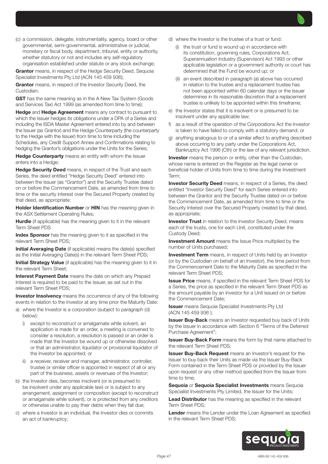(c) a commission, delegate, instrumentality, agency, board or other governmental, semi-governmental, administrative or judicial, monetary or fiscal body, department, tribunal, entity or authority, whether statutory or not and includes any self-regulatory organisation established under statute or any stock exchange;

**Grantor** means, in respect of the Hedge Security Deed, Sequoia Specialist Investments Pty Ltd (ACN 145 459 936);

**Grantor** means, in respect of the Investor Security Deed, the Custodian;

**GST** has the same meaning as in the A New Tax System (Goods and Services Tax) Act 1999 (as amended from time to time);

Hedge and Hedge Agreement means any contract to pursuant to which the Issuer hedges its obligations under a DPA of a Series and including the ISDA Master Agreement entered into by and between the Issuer (as Grantor) and the Hedge Counterparty (the counterparty to the Hedge with the Issuer) from time to time including the Schedules, any Credit Support Annex and Confirmations relating to hedging the Grantor's obligations under the Units for the Series;

**Hedge Counterparty** means an entity with whom the Issuer enters into a Hedge;

Hedge Security Deed means, in respect of the Trust and each Series, the deed entitled "Hedge Security Deed" entered into between the Issuer (as "Grantor") and the Security Trustee dated on or before the Commencement Date, as amended from time to time or the security interest over the Secured Property created by that deed, as appropriate;

Holder Identification Number or HIN has the meaning given in the ASX Settlement Operating Rules;

**Hurdle** (if applicable) has the meaning given to it in the relevant Term Sheet PDS

Index Sponsor has the meaning given to it as specified in the relevant Term Sheet PDS;

Initial Averaging Date (if applicable) means the date(s) specified as the Initial Averaging Date(s) in the relevant Term Sheet PDS;

Initial Strategy Value (if applicable) has the meaning given to it in the relevant Term Sheet;

Interest Payment Date means the date on which any Prepaid Interest is required to be paid to the Issuer, as set out in the relevant Term Sheet PDS;

**Investor Insolvency** means the occurrence of any of the following events in relation to the Investor at any time prior the Maturity Date:

- a) where the Investor is a corporation (subject to paragraph (d) below):
	- i) except to reconstruct or amalgamate while solvent, an application is made for an order, a meeting is convened to consider a resolution, a resolution is passed or an order is made that the Investor be wound up or otherwise dissolved or that an administrator, liquidator or provisional liquidator of the Investor be appointed; or
	- a receiver, receiver and manager, administrator, controller, trustee or similar officer is appointed in respect of all or any part of the business, assets or revenues of the Investor;
- b) the Investor dies, becomes insolvent (or is presumed to be insolvent under any applicable law) or is subject to any arrangement, assignment or composition (except to reconstruct or amalgamate while solvent), or is protected from any creditors or otherwise unable to pay their debts when they fall due;
- c) where a Investor is an individual, the Investor dies or commits an act of bankruptcy;
- d) where the Investor is the trustee of a trust or fund:
	- (i) the trust or fund is wound up in accordance with its constitution, governing rules, Corporations Act, Superannuation Industry (Supervision) Act 1993 or other applicable legislation or a government authority or court has determined that the Fund be wound up; or
	- (ii) an event described in paragraph (a) above has occurred in relation to the trustee and a replacement trustee has not been appointed within 60 calendar days or the Issuer determines in its reasonable discretion that a replacement trustee is unlikely to be appointed within this timeframe;
- e) the Investor states that it is insolvent or is presumed to be insolvent under any applicable law;
- f) as a result of the operation of the Corporations Act the Investor is taken to have failed to comply with a statutory demand; or
- g) anything analogous to or of a similar effect to anything described above occurring to any party under the Corporations Act, Bankruptcy Act 1996 (Cth) or the law of any relevant jurisdiction.

**Investor** means the person or entity, other than the Custodian, whose name is entered on the Register as the legal owner or beneficial holder of Units from time to time during the Investment Term;

**Investor Security Deed** means, in respect of a Series, the deed entitled "Investor Security Deed" for each Series entered into between the Grantor and the Security Trustee dated on or before the Commencement Date, as amended from time to time or the Security Interest over the Secured Property created by that deed, as appropriate;

**Investor Trust** in relation to the Investor Security Deed, means each of the trusts, one for each Unit, constituted under the Custody Deed;

**Investment Amount** means the Issue Price multiplied by the number of Units purchased;

**Investment Term** means, in respect of Units held by an Investor (or by the Custodian on behalf of an Investor), the time period from the Commencement Date to the Maturity Date as specified in the relevant Term Sheet PDS;

Issue Price means, if specified in the relevant Term Sheet PDS for a Series, the price as specified in the relevant Term Sheet PDS as the amount payable by an Investor for a Unit issued on or before the Commencement Date;

**Issuer** means Sequoia Specialist Investments Pty Ltd (ACN 145 459 936 );

**Issuer Buy-Back** means an Investor requested buy back of Units by the Issuer in accordance with Section 6 "Terms of the Deferred Purchase Agreement";

**Issuer Buy-Back Form** means the form by that name attached to the relevant Term Sheet PDS;

**Issuer Buy-Back Request** means an Investor's request for the Issuer to buy back their Units as made via the Issuer Buy-Back Form contained in the Term Sheet PDS or provided by the Issuer upon request or any other method specified from the Issuer from time to time;

Sequoia *or* Sequoia Specialist Investments means Sequoia Specialist Investments Pty Limited, the Issuer for the Units;

Lead Distributor has the meaning as specified in the relevant Term Sheet PDS;

Lender means the Lender under the Loan Agreement as specified in the relevant Term Sheet PDS;

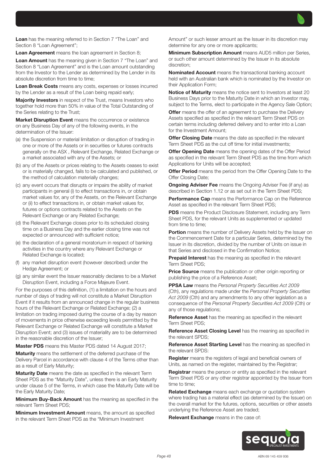Loan has the meaning referred to in Section 7 "The Loan" and Section 8 "Loan Agreement";

Loan Agreement means the loan agreement in Section 8;

Loan Amount has the meaning given in Section 7 "The Loan" and Section 8 "Loan Agreement" and is the Loan amount outstanding from the Investor to the Lender as determined by the Lender in its absolute discretion from time to time;

Loan Break Costs means any costs, expenses or losses incurred by the Lender as a result of the Loan being repaid early;

**Majority Investors** in respect of the Trust, means Investors who together hold more than 50% in value of the Total Outstanding of the Series relating to the Trust;

Market Disruption Event means the occurrence or existence on any Business Day of any of the following events, in the determination of the Issuer:

- (a) the Suspension or material limitation or disruption of trading in one or more of the Assets or in securities or futures contracts generally on the ASX , Relevant Exchange, Related Exchange or a market associated with any of the Assets; or
- (b) any of the Assets or prices relating to the Assets ceases to exist or is materially changed, fails to be calculated and published, or the method of calculation materially changes;
- (c) any event occurs that disrupts or impairs the ability of market participants in general (i) to effect transactions in, or obtain market values for, any of the Assets, on the Relevant Exchange or (ii) to effect transactions in, or obtain market values for, futures or options contracts related to the Assets on the Relevant Exchange or any Related Exchange;
- (d) the Relevant Exchange closes prior to its scheduled closing time on a Business Day and the earlier closing time was not expected or announced with sufficient notice;
- (e) the declaration of a general moratorium in respect of banking activities in the country where any Relevant Exchange or Related Exchange is located;
- any market disruption event (however described) under the Hedge Agreement; or
- (g) any similar event the Issuer reasonably declares to be a Market Disruption Event, including a Force Majeure Event.

For the purposes of this definition, (1) a limitation on the hours and number of days of trading will not constitute a Market Disruption Event if it results from an announced change in the regular business hours of the Relevant Exchange or Related Exchange; (2) a limitation on trading imposed during the course of a day by reason of movements in price otherwise exceeding levels permitted by the Relevant Exchange or Related Exchange will constitute a Market Disruption Event; and (3) issues of materiality are to be determined in the reasonable discretion of the Issuer;

Master PDS means this Master PDS dated 14 August 2017;

**Maturity** means the settlement of the deferred purchase of the Delivery Parcel in accordance with clause 4 of the Terms other than as a result of Early Maturity;

Maturity Date means the date as specified in the relevant Term Sheet PDS as the "Maturity Date", unless there is an Early Maturity under clause 5 of the Terms, in which case the Maturity Date will be the Early Maturity Date;

Minimum Buy-Back Amount has the meaning as specified in the relevant Term Sheet PDS;

**Minimum Investment Amount** means, the amount as specified in the relevant Term Sheet PDS as the "Minimum Investment

Amount" or such lesser amount as the Issuer in its discretion may determine for any one or more applicants;

Minimum Subscription Amount means AUD5 million per Series, or such other amount determined by the Issuer in its absolute discretion;

Nominated Account means the transactional banking account held with an Australian bank which is nominated by the Investor on their Application Form;

Notice of Maturity means the notice sent to Investors at least 20 Business Days prior to the Maturity Date in which an Investor may, subject to the Terms, elect to participate in the Agency Sale Option;

**Offer** means the offer of an agreement to purchase the Delivery Assets specified as specified in the relevant Term Sheet PDS on certain terms including deferred delivery and to enter into a Loan for the Investment Amount;

**Offer Closing Date** means the date as specified in the relevant Term Sheet PDS as the cut off time for initial investments;

**Offer Opening Date** means the opening dates of the Offer Period as specified in the relevant Term Sheet PDS as the time from which Applications for Units will be accepted;

**Offer Period** means the period from the Offer Opening Date to the Offer Closing Date;

**Ongoing Adviser Fee** means the Ongoing Adviser Fee (if any) as described in Section 1.12 or as set out in the Term Sheet PDS;

Performance Cap means the Performance Cap on the Reference Asset as specified in the relevant Term Sheet PDS;

**PDS** means the Product Disclosure Statement, including any Term Sheet PDS, for the relevant Units as supplemented or updated from time to time:

Portion means the number of Delivery Assets held by the Issuer on the Commencement Date for a particular Series, determined by the Issuer in its discretion, divided by the number of Units on issue in that Series and disclosed in the Confirmation Notice;

**Prepaid Interest** has the meaning as specified in the relevant Term Sheet PDS;

Price Source means the publication or other origin reporting or publishing the price of a Reference Asset;

PPSA Law means the *Personal Property Securities Act 2009*  (Cth), any regulations made under the *Personal Property Securities Act 2009* (Cth) and any amendments to any other legislation as a consequence of the *Personal Property Securities Act 2009* (Cth) or any of those regulations;

Reference Asset has the meaning as specified in the relevant Term Sheet PDS;

Reference Asset Closing Level has the meaning as specified in the relevant SPDS;

Reference Asset Starting Level has the meaning as specified in the relevant SPDS:

Register means the registers of legal and beneficial owners of Units, as named on the register, maintained by the Registrar;

Registrar means the person or entity as specified in the relevant Term Sheet PDS or any other registrar appointed by the Issuer from time to time;

Related Exchange means each exchange or quotation system where trading has a material effect (as determined by the Issuer) on the overall market for the futures, options, securities or other assets underlying the Reference Asset are traded;

Relevant Exchange means in the case of:

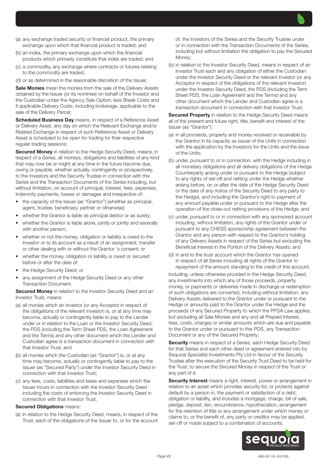- (a) any exchange traded security or financial product, the primary exchange upon which that financial product is traded; and
- (b) an index, the primary exchange upon which the financial products which primarily constitute that index are traded; and
- (c) a commodity, any exchange where contracts or futures relating to the commodity are traded;
- (d) or as determined in the reasonable discretion of the Issuer;

Sale Monies mean the monies from the sale of the Delivery Assets obtained by the Issuer (or its nominee) on behalf of the Investor and the Custodian under the Agency Sale Option, less Break Costs and if applicable Delivery Costs, including brokerage, applicable to the sale of the Delivery Parcel;

Scheduled Business Day means, in respect of a Reference Asset or Delivery Asset, any day on which the Relevant Exchange and/or Related Exchange in respect of such Reference Asset or Delivery Asset is scheduled to be open for trading for their respective regular trading sessions;

**Secured Money** in relation to the Hedge Security Deed, means, in respect of a Series, all moneys, obligations and liabilities of any kind that may now be or might at any time in the future become due, owing or payable, whether actually, contingently or prospectively, to the Investors and the Security Trustee in connection with the Series and the Transaction Documents of the Series including, but without limitation, on account of principal, interest, fees, expenses, indemnity payments, losses or damages and irrespective of:

- the capacity of the Issuer (as "Grantor") (whether as principal, agent, trustee, beneficiary, partner or otherwise);
- whether the Grantor is liable as principal debtor or as surety;
- whether the Grantor is liable alone, jointly or jointly and severally with another person;
- whether or not the money, obligation or liability is owed to the Investor or to its account as a result of an assignment, transfer or other dealing with or without the Grantor 's consent; or
- whether the money, obligation or liability is owed or secured before or after the date of:
- the Hedge Security Deed; or
- any assignment of the Hedge Security Deed or any other Transaction Document.

**Secured Money** in relation to the Investor Security Deed and an Investor Trust, means:

- (a) all monies which an Investor (or any Acceptor in respect of the obligations of the relevant Investor) is, or at any time may become, actually or contingently liable to pay to the Lender under or in relation to the Loan or the Investor Security Deed, the PDS (including the Term Sheet PDS, the Loan Agreement and the Terms) and any other document which the Lender and Custodian agree is a transaction document in connection with that Investor Trust; and
- (b) all monies which the Custodian (as "Grantor") is, or at any time may become, actually or contingently liable to pay to the Issuer (as "Secured Party") under the Investor Security Deed in connection with that Investor Trust;
- (c) any fees, costs, liabilities and taxes and expenses which the Issuer incurs in connection with the Investor Security Deed including the costs of enforcing the Investor Security Deed in connection with that Investor Trust.

#### **Secured Obligations means:**

(a) in relation to the Hedge Security Deed, means, in respect of the Trust, each of the obligations of the Issuer to, or for the account of, the Investors of the Series and the Security Trustee under or in connection with the Transaction Documents of the Series, including but without limitation the obligation to pay the Secured Money;

(b) in relation to the Investor Security Deed, means in respect of an Investor Trust each and any obligation of either the Custodian under the Investor Security Deed or the relevant Investor (or any Acceptor in respect of the obligations of the relevant Investor) under the Investor Security Deed, the PDS (including the Term Sheet PDS, the Loan Agreement and the Terms) and any other document which the Lender and Custodian agree is a transaction document in connection with that Investor Trust;

Secured Property in relation to the Hedge Security Deed means all of the present and future right, title, benefit and interest of the Issuer (as "Grantor"):

- (a) in all proceeds, property and money received or receivable by the Grantor in its capacity as issuer of the Units in connection with the application by the Investors for the Units and the issue of the Units;
- (b) under, pursuant to or in connection, with the Hedge including in all monetary obligations and all delivery obligations of the Hedge Counterparty arising under or pursuant to the Hedge (subject to any rights of set-off and netting under the Hedge whether arising before, on or after the date of the Hedge Security Deed or the date of any notice of the Security Deed to any party to the Hedge), and including the Grantor's right to payment of any amount payable under or pursuant to the Hedge after the operation of the close-out netting provisions of the Hedge; and
- (c) under, pursuant to or in connection with any sponsored account including, without limitation, any rights of the Grantor under or pursuant to any CHESS sponsorship agreement between the Grantor and any person with respect to the Grantor's holding of any Delivery Assets in respect of the Series but excluding the Beneficial Interest in the Portion of the Delivery Assets; and
- (d) in and to the trust account which the Grantor has opened in respect of all Series including all rights of the Grantor to repayment of the amount standing to the credit of this account,

including, unless otherwise provided in the Hedge Security Deed, any investments into which any of those proceeds, property, money, or payments or deliveries made in discharge or redemption of such obligations are converted, including without limitation, any Delivery Assets delivered to the Grantor under or pursuant to the Hedge or amounts paid to the Grantor under the Hedge and the proceeds of any Secured Property to which the PPSA Law applies, but excluding all Sale Monies and any and all Prepaid Interest, fees, costs, charges or similar amounts which are due and payable to the Grantor under or pursuant to this PDS, any Transaction Document or any of the Secured Property;

Security means in respect of a Series, each Hedge Security Deed for that Series and each other deed or agreement entered into by Sequoia Specialist Investments Pty Ltd in favour of the Security Trustee after the execution of the Security Trust Deed to be held for the Trust, to secure the Secured Money in respect of the Trust or any part of it;

Security Interest means a right, interest, power or arrangement in relation to an asset which provides security for, or protects against default by a person in, the payment or satisfaction of a debt, obligation or liability, and includes a mortgage, charge, bill of sale, pledge, deposit, lien, encumbrance, hypothecation, arrangement for the retention of title or any arrangement under which money or claims to, or the benefit of, any party or creditor may be applied, set-off or made subject to a combination of accounts;

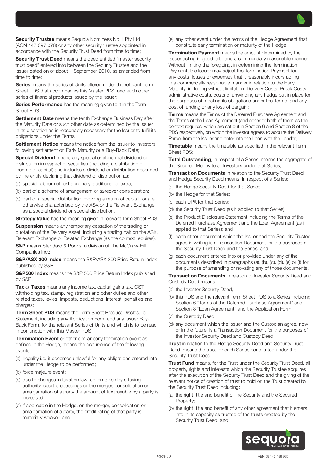**Security Trustee** means Sequoia Nominees No.1 Pty Ltd (ACN 147 097 078) or any other security trustee appointed in accordance with the Security Trust Deed from time to time;

**Security Trust Deed** means the deed entitled "master security" trust deed" entered into between the Security Trustee and the Issuer dated on or about 1 September 2010, as amended from time to time;

Series means the series of Units offered under the relevant Term Sheet PDS that accompanies this Master PDS, and each other series of financial products issued by the Issuer;

Series Performance has the meaning given to it in the Term Sheet PDS.

Settlement Date means the tenth Exchange Business Day after the Maturity Date or such other date as determined by the Issuer in its discretion as is reasonably necessary for the Issuer to fulfil its obligations under the Terms;

Settlement Notice means the notice from the Issuer to Investors following settlement on Early Maturity or a Buy-Back Date;

**Special Dividend** means any special or abnormal dividend or distribution in respect of securities (including a distribution of income or capital) and includes a dividend or distribution described by the entity declaring that dividend or distribution as:

(a) special, abnormal, extraordinary, additional or extra;

- (b) part of a scheme of arrangement or takeover consideration;
- (c) part of a special distribution involving a return of capital, or are otherwise characterised by the ASX or the Relevant Exchange as a special dividend or special distribution.

**Strategy Value** has the meaning given in relevant Term Sheet PDS;

**Suspension** means any temporary cessation of the trading or quotation of the Delivery Asset, including a trading halt on the ASX, Relevant Exchange or Related Exchange (as the context requires);

S&P means Standard & Poor's, a division of The McGraw-Hill Companies Inc.;

S&P/ASX 200 Index means the S&P/ASX 200 Price Return Index published by S&P;

**S&P500 Index** means the S&P 500 Price Return Index published by S&P;

Tax *or* Taxes means any income tax, capital gains tax, GST, withholding tax, stamp, registration and other duties and other related taxes, levies, imposts, deductions, interest, penalties and charges;

**Term Sheet PDS** means the Term Sheet Product Disclosure Statement, including any Application Form and any Issuer Buy-Back Form, for the relevant Series of Units and which is to be read in conjunction with this Master PDS;

**Termination Event** or other similar early termination event as defined in the Hedge, means the occurrence of the following events:

- (a) illegality i.e. it becomes unlawful for any obligations entered into under the Hedge to be performed;
- (b) force majeure event;
- (c) due to changes in taxation law, action taken by a taxing authority, court proceedings or the merger, consolidation or amalgamation of a party the amount of tax payable by a party is increased;
- (d) if applicable in the Hedge, on the merger, consolidation or amalgamation of a party, the credit rating of that party is materially weaker; and

(e) any other event under the terms of the Hedge Agreement that constitute early termination or maturity of the Hedge;

**Termination Payment** means the amount determined by the Issuer acting in good faith and a commercially reasonable manner. Without limiting the foregoing, in determining the Termination Payment, the Issuer may adjust the Termination Payment for any costs, losses or expenses that it reasonably incurs acting in a commercially reasonable manner in relation to the Early Maturity, including without limitation, Delivery Costs, Break Costs, administrative costs, costs of unwinding any hedge put in place for the purposes of meeting its obligations under the Terms, and any cost of funding or any loss of bargain;

**Terms** means the Terms of the Deferred Purchase Agreement and the Terms of the Loan Agreement (and either or both of them as the context requires) which are set out in Section 6 and Section 8 of the PDS respectively, on which the Investor agrees to acquire the Delivery Parcel from the Issuer and enter into the Loan with the Lender;

**Timetable** means the timetable as specified in the relevant Term Sheet PDS;

Total Outstanding, in respect of a Series, means the aggregate of the Secured Money to all Investors under that Series;

**Transaction Documents** in relation to the Security Trust Deed and Hedge Security Deed means, in respect of a Series:

- (a) the Hedge Security Deed for that Series;
- (b) the Hedge for that Series;
- (c) each DPA for that Series;
- (d) the Security Trust Deed (as it applied to that Series);
- (e) the Product Disclosure Statement including the Terms of the Deferred Purchase Agreement and the Loan Agreement (as it applied to that Series); and
- (f) each other document which the Issuer and the Security Trustee agree in writing is a Transaction Document for the purposes of the Security Trust Deed and the Series; and
- (g) each document entered into or provided under any of the documents described in paragraphs (a), (b), (c), (d), (e) or (f) for the purpose of amending or novating any of those documents.

**Transaction Documents** in relation to Investor Security Deed and Custody Deed means:

- (a) the Investor Security Deed;
- (b) this PDS and the relevant Term Sheet PDS to a Series including Section 6 "Terms of the Deferred Purchase Agreement" and Section 8 "Loan Agreement" and the Application Form;
- (c) the Custody Deed;
- (d) any document which the Issuer and the Custodian agree, now or in the future, is a Transaction Document for the purposes of the Investor Security Deed and Custody Deed.

**Trust** in relation to the Hedge Security Deed and Security Trust Deed, means the trust for each Series constituted under the Security Trust Deed;

**Trust Fund** means, for the Trust under the Security Trust Deed, all property, rights and interests which the Security Trustee acquires after the execution of the Security Trust Deed and the giving of the relevant notice of creation of trust to hold on the Trust created by the Security Trust Deed including:

- (a) the right, title and benefit of the Security and the Secured Property;
- (b) the right, title and benefit of any other agreement that it enters into in its capacity as trustee of the trusts created by the Security Trust Deed; and

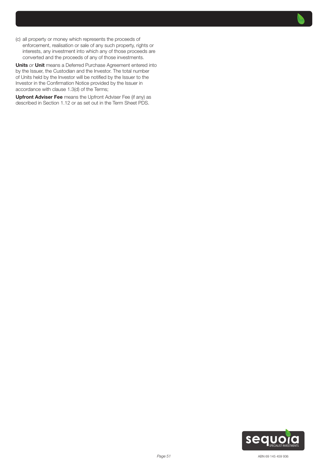(c) all property or money which represents the proceeds of enforcement, realisation or sale of any such property, rights or interests, any investment into which any of those proceeds are converted and the proceeds of any of those investments.

Units *or* Unit means a Deferred Purchase Agreement entered into by the Issuer, the Custodian and the Investor. The total number of Units held by the Investor will be notified by the Issuer to the Investor in the Confirmation Notice provided by the Issuer in accordance with clause 1.3(d) of the Terms;

Upfront Adviser Fee means the Upfront Adviser Fee (if any) as described in Section 1.12 or as set out in the Term Sheet PDS.

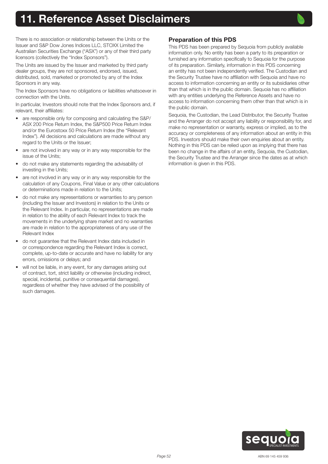# <span id="page-51-0"></span>**1. Reference Asset Disclaimers**



There is no association or relationship between the Units or the Issuer and S&P Dow Jones Indices LLC, STOXX Limited the Australian Securities Exchange ("ASX") or any of their third party licensors (collectively the "Index Sponsors").

The Units are issued by the Issuer and marketed by third party dealer groups, they are not sponsored, endorsed, issued, distributed, sold, marketed or promoted by any of the Index Sponsors in any way.

The Index Sponsors have no obligations or liabilities whatsoever in connection with the Units.

In particular, Investors should note that the Index Sponsors and, if relevant, their affiliates:

- are responsible only for composing and calculating the S&P/ ASX 200 Price Return Index, the S&P500 Price Return Index and/or the Eurostoxx 50 Price Return Index (the "Relevant Index"). All decisions and calculations are made without any regard to the Units or the Issuer;
- are not involved in any way or in any way responsible for the issue of the Units;
- do not make any statements regarding the advisability of investing in the Units;
- are not involved in any way or in any way responsible for the calculation of any Coupons, Final Value or any other calculations or determinations made in relation to the Units;
- do not make any representations or warranties to any person (including the Issuer and Investors) in relation to the Units or the Relevant Index. In particular, no representations are made in relation to the ability of each Relevant Index to track the movements in the underlying share market and no warranties are made in relation to the appropriateness of any use of the Relevant Index
- do not guarantee that the Relevant Index data included in or correspondence regarding the Relevant Index is correct, complete, up-to-date or accurate and have no liability for any errors, omissions or delays; and
- will not be liable, in any event, for any damages arising out of contract, tort, strict liability or otherwise (including indirect, special, incidental, punitive or consequential damages), regardless of whether they have advised of the possibility of such damages.

# Preparation of this PDS

This PDS has been prepared by Sequoia from publicly available information only. No entity has been a party to its preparation or furnished any information specifically to Sequoia for the purpose of its preparation. Similarly, information in this PDS concerning an entity has not been independently verified. The Custodian and the Security Trustee have no affiliation with Sequoia and have no access to information concerning an entity or its subsidiaries other than that which is in the public domain. Sequoia has no affiliation with any entities underlying the Reference Assets and have no access to information concerning them other than that which is in the public domain.

Sequoia, the Custodian, the Lead Distributor, the Security Trustee and the Arranger do not accept any liability or responsibility for, and make no representation or warranty, express or implied, as to the accuracy or completeness of any information about an entity in this PDS. Investors should make their own enquiries about an entity. Nothing in this PDS can be relied upon as implying that there has been no change in the affairs of an entity, Sequoia, the Custodian, the Security Trustee and the Arranger since the dates as at which information is given in this PDS.

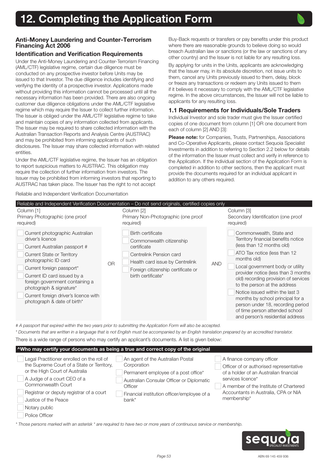

## <span id="page-52-0"></span>Anti-Money Laundering and Counter-Terrorism Financing Act 2006

# Identification and Verification Requirements

Under the Anti-Money Laundering and Counter-Terrorism Financing (AML/CTF) legislative regime, certain due diligence must be conducted on any prospective investor before Units may be issued to that Investor. The due diligence includes identifying and verifying the identity of a prospective investor. Applications made without providing this information cannot be processed until all the necessary information has been provided. There are also ongoing customer due diligence obligations under the AML/CTF legislative regime which may require the Issuer to collect further information. The Issuer is obliged under the AML/CTF legislative regime to take and maintain copies of any information collected from applicants. The Issuer may be required to share collected information with the Australian Transaction Reports and Analysis Centre (AUSTRAC) and may be prohibited from informing applicants of such disclosures. The Issuer may share collected information with related entities.

Under the AML/CTF legislative regime, the Issuer has an obligation to report suspicious matters to AUSTRAC. This obligation may require the collection of further information from investors. The Issuer may be prohibited from informing investors that reporting to AUSTRAC has taken place. The Issuer has the right to not accept

Reliable and Independent Verification Documentation

Buy-Back requests or transfers or pay benefits under this product where there are reasonable grounds to believe doing so would breach Australian law or sanctions (or the law or sanctions of any other country) and the Issuer is not liable for any resulting loss.

By applying for units in the Units, applicants are acknowledging that the Issuer may, in its absolute discretion, not issue units to them, cancel any Units previously issued to them, delay, block or freeze any transactions or redeem any Units issued to them if it believes it necessary to comply with the AML/CTF legislative regime. In the above circumstances, the Issuer will not be liable to applicants for any resulting loss.

# 1.1 Requirements for Individuals/Sole Traders

Individual Investor and sole trader must give the Issuer certified copies of one document from column [1] OR one document from each of column [2] AND [3]:

Please note: for Companies, Trusts, Partnerships, Associations and Co-Operative Applicants, please contact Sequoia Specialist Investments in addition to referring to Section 2.2 below for details of the information the Issuer must collect and verify in reference to the Application. If the individual section of the Application Form is completed in addition to other sections, then the applicant must provide the documents required for an individual applicant in addition to any others required.

#### Reliable and Independent Verification Documentation – Do not send originals, certified copies only Column [1] Primary Photographic (one proof required) OR Column [2] Primary Non-Photographic (one proof required) AND Column [3] Secondary Identification (one proof required) Current photographic Australian driver's licence Current Australian passport # Current State or Territory photographic ID card Current foreign passport\* Current ID card issued by a foreign government containing a photograph & signature\* Current foreign driver's licence with photograph & date of birth\* Birth certificate Commonwealth citizenship certificate Centrelink Pension card Health card issue by Centrelink Foreign citizenship certificate or birth certificate\* Commonwealth, State and Territory financial benefits notice (less than 12 months old) ATO Tax notice (less than 12 months old) Local government body or utility provider notice (less than 3 months old) recording provision of services to the person at the address Notice issued within the last 3 months by school principal for a person under 18, recording period of time person attended school and person's residential address

*# A passport that expired within the two years prior to submitting the Application Form will also be accepted.*

*\* Documents that are written in a language that is not English must be accompanied by an English translation prepared by an accredited translator.* There is a wide range of persons who may certify an applicant's documents. A list is given below:

| <sup>^</sup> Who may certify your documents as being a true and correct copy of the original                                                                                                                                                                         |                                                                                                                                                                                                          |                                                                                                                                                                                                                                      |  |  |
|----------------------------------------------------------------------------------------------------------------------------------------------------------------------------------------------------------------------------------------------------------------------|----------------------------------------------------------------------------------------------------------------------------------------------------------------------------------------------------------|--------------------------------------------------------------------------------------------------------------------------------------------------------------------------------------------------------------------------------------|--|--|
| Legal Practitioner enrolled on the roll of<br>the Supreme Court of a State or Territory,<br>or the High Court of Australia<br>A Judge of a court CEO of a<br>Commonwealth Court<br>Registrar or deputy registrar of a court<br>Justice of the Peace<br>Notary public | An agent of the Australian Postal<br>Corporation<br>Permanent employee of a post office*<br>Australian Consular Officer or Diplomatic<br>Officer<br>Financial institution officer/employee of a<br>bank* | A finance company officer<br>Officer of or authorised representative<br>of a holder of an Australian financial<br>services licence*<br>A member of the Institute of Chartered<br>Accountants in Australia, CPA or NIA<br>membership* |  |  |
| Police Officer                                                                                                                                                                                                                                                       |                                                                                                                                                                                                          |                                                                                                                                                                                                                                      |  |  |
|                                                                                                                                                                                                                                                                      |                                                                                                                                                                                                          |                                                                                                                                                                                                                                      |  |  |

*\* Those persons marked with an asterisk \* are required to have two or more years of continuous service or membership.*

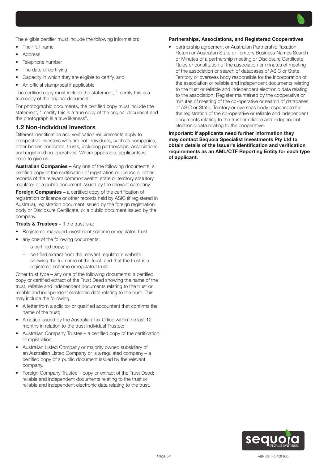The eligible certifier must include the following information:

- Their full name
- Address
- Telephone number
- The date of certifying
- Capacity in which they are eligible to certify, and
- An official stamp/seal if applicable

The certified copy must include the statement, "I certify this is a true copy of the original document".

For photographic documents, the certified copy must include the statement, "I certify this is a true copy of the original document and the photograph is a true likeness".

#### 1.2 Non-individual investors

Different identification and verification requirements apply to prospective investors who are not individuals, such as companies, other bodies corporate, trusts; including partnerships, associations and registered co-operatives. Where applicable, applicants will need to give us:

Australian Companies – Any one of the following documents: a certified copy of the certification of registration or licence or other records of the relevant commonwealth, state or territory statutory regulator or a public document issued by the relevant company.

**Foreign Companies –** a certified copy of the certification of registration or licence or other records held by ASIC (if registered in Australia), registration document issued by the foreign registration body or Disclosure Certificate, or a public document issued by the company.

**Trusts & Trustees – If the trust is a:** 

- Registered managed investment scheme or regulated trust
- any one of the following documents:
	- a certified copy; or
	- certified extract from the relevant regulator's website showing the full name of the trust, and that the trust is a registered scheme or regulated trust.

Other trust type – any one of the following documents: a certified copy or certified extract of the Trust Deed showing the name of the trust, reliable and independent documents relating to the trust or reliable and independent electronic data relating to the trust. This may include the following:

- A letter from a solicitor or qualified accountant that confirms the name of the trust;
- A notice issued by the Australian Tax Office within the last 12 months in relation to the trust Individual Trustee;
- Australian Company Trustee a certified copy of the certification of registration.
- Australian Listed Company or majority owned subsidiary of an Australian Listed Company or is a regulated company – a certified copy of a public document issued by the relevant company.
- Foreign Company Trustee copy or extract of the Trust Deed; reliable and independent documents relating to the trust or reliable and independent electronic data relating to the trust.

#### Partnerships, Associations, and Registered Cooperatives

• partnership agreement or Australian Partnership Taxation Return or Australian State or Territory Business Names Search or Minutes of a partnership meeting or Disclosure Certificate; Rules or constitution of the association or minutes of meeting of the association or search of databases of ASIC or State, Territory or overseas body responsible for the incorporation of the association or reliable and independent documents relating to the trust or reliable and independent electronic data relating to the association; Register maintained by the cooperative or minutes of meeting of the co-operative or search of databases of ASIC or State, Territory or overseas body responsible for the registration of the co-operative or reliable and independent documents relating to the trust or reliable and independent electronic data relating to the cooperative.

#### Important: If applicants need further information they may contact Sequoia Specialist Investments Pty Ltd to obtain details of the Issuer's identification and verification requirements as an AML/CTF Reporting Entity for each type of applicant.